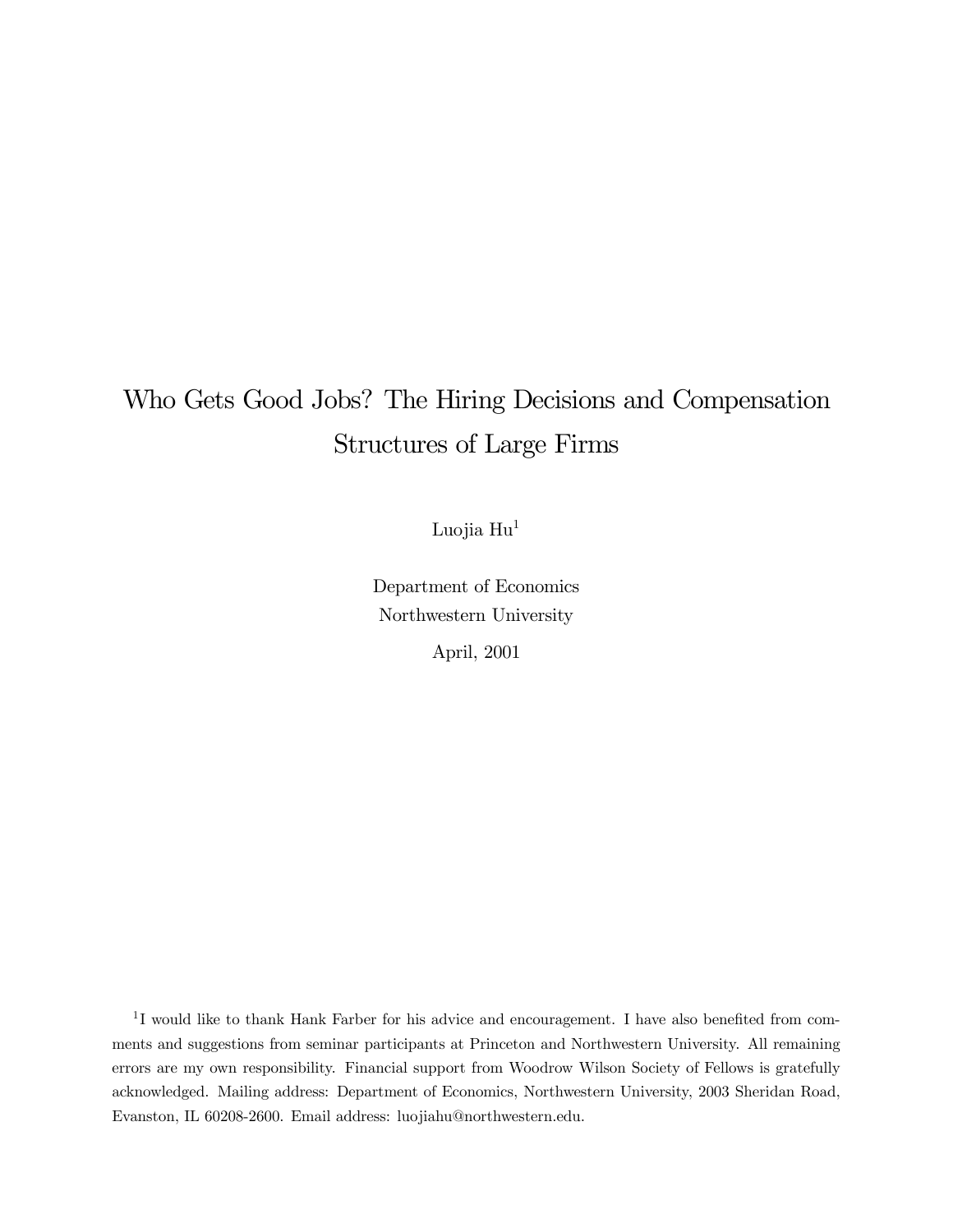# Who Gets Good Jobs? The Hiring Decisions and Compensation Structures of Large Firms

Luojia Hu<sup>1</sup>

Department of Economics Northwestern University

April, 2001

<sup>1</sup>I would like to thank Hank Farber for his advice and encouragement. I have also benefited from comments and suggestions from seminar participants at Princeton and Northwestern University. All remaining errors are my own responsibility. Financial support from Woodrow Wilson Society of Fellows is gratefully acknowledged. Mailing address: Department of Economics, Northwestern University, 2003 Sheridan Road, Evanston, IL 60208-2600. Email address: luojiahu@northwestern.edu.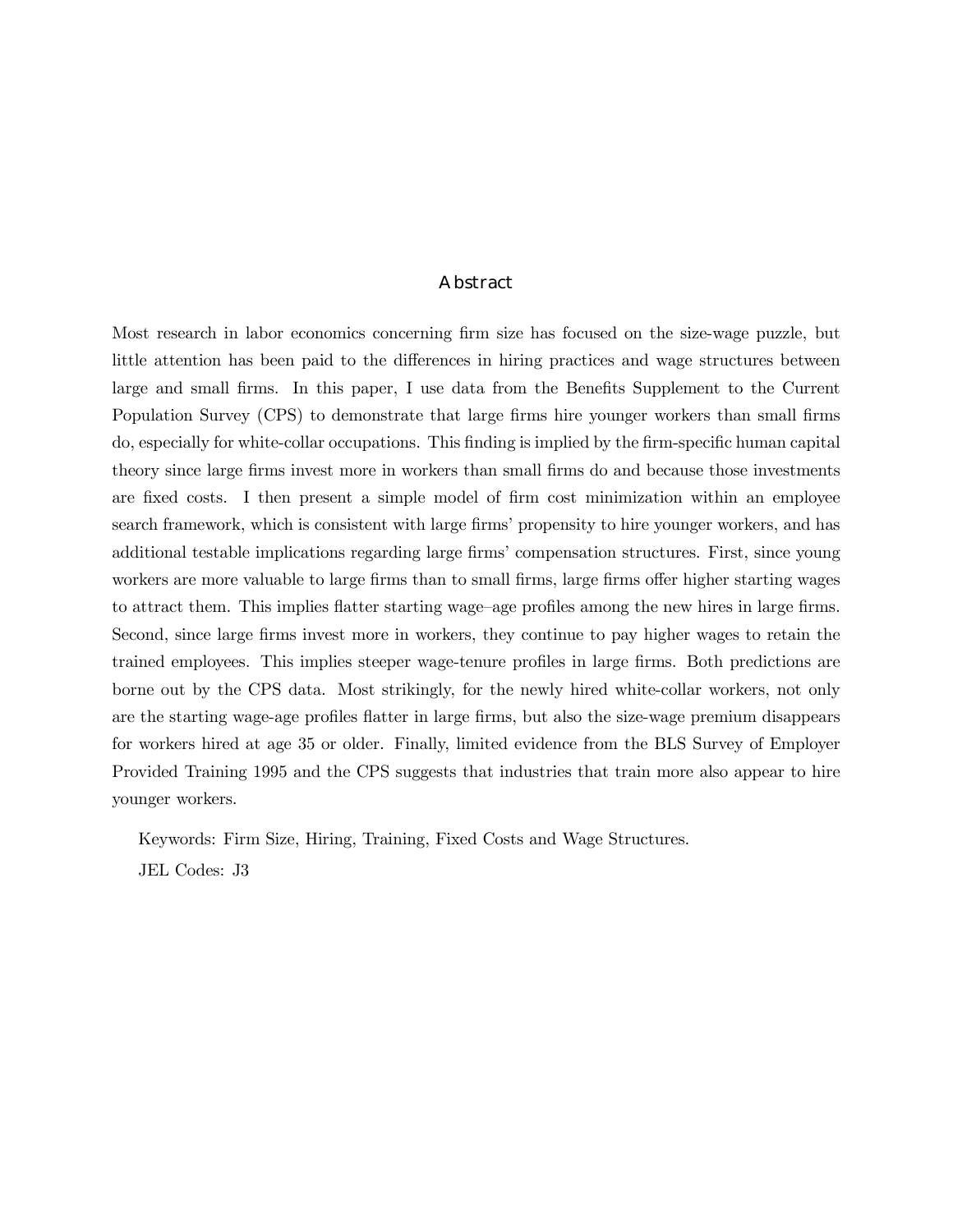#### Abstract

Most research in labor economics concerning firm size has focused on the size-wage puzzle, but little attention has been paid to the differences in hiring practices and wage structures between large and small firms. In this paper, I use data from the Benefits Supplement to the Current Population Survey (CPS) to demonstrate that large firms hire younger workers than small firms do, especially for white-collar occupations. This finding is implied by the firm-specific human capital theory since large firms invest more in workers than small firms do and because those investments are fixed costs. I then present a simple model of firm cost minimization within an employee search framework, which is consistent with large firmsí propensity to hire younger workers, and has additional testable implications regarding large firmsí compensation structures. First, since young workers are more valuable to large firms than to small firms, large firms offer higher starting wages to attract them. This implies flatter starting wage-age profiles among the new hires in large firms. Second, since large firms invest more in workers, they continue to pay higher wages to retain the trained employees. This implies steeper wage-tenure profiles in large firms. Both predictions are borne out by the CPS data. Most strikingly, for the newly hired white-collar workers, not only are the starting wage-age profiles flatter in large firms, but also the size-wage premium disappears for workers hired at age 35 or older. Finally, limited evidence from the BLS Survey of Employer Provided Training 1995 and the CPS suggests that industries that train more also appear to hire younger workers.

Keywords: Firm Size, Hiring, Training, Fixed Costs and Wage Structures.

JEL Codes: J3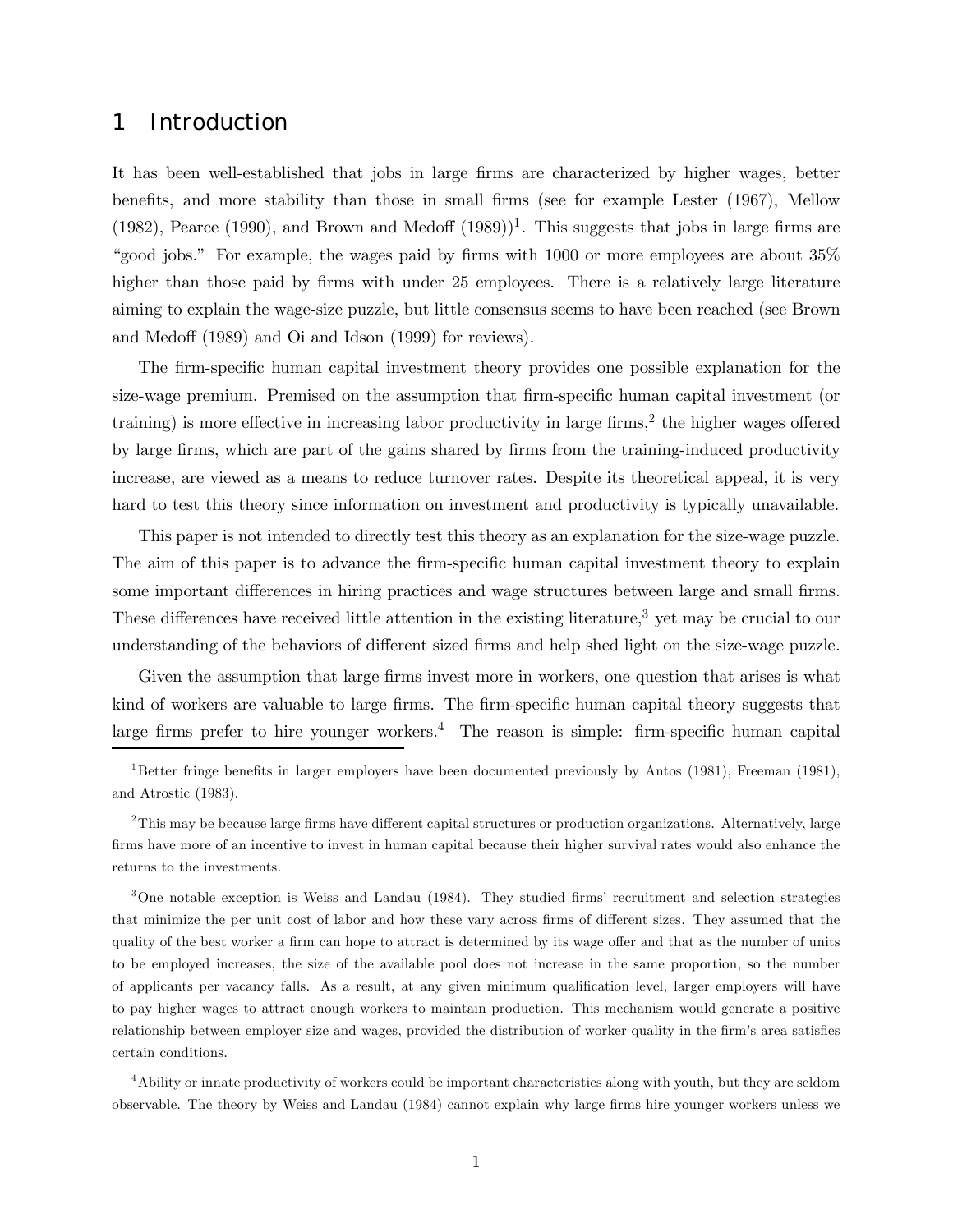### 1 Introduction

It has been well-established that jobs in large firms are characterized by higher wages, better benefits, and more stability than those in small firms (see for example Lester (1967), Mellow (1982), Pearce (1990), and Brown and Medoff  $(1989)^{1}$ . This suggests that jobs in large firms are ìgood jobs.î For example, the wages paid by firms with 1000 or more employees are about 35% higher than those paid by firms with under 25 employees. There is a relatively large literature aiming to explain the wage-size puzzle, but little consensus seems to have been reached (see Brown and Medoff (1989) and Oi and Idson (1999) for reviews).

The firm-specific human capital investment theory provides one possible explanation for the size-wage premium. Premised on the assumption that firm-specific human capital investment (or training) is more effective in increasing labor productivity in large firms,<sup>2</sup> the higher wages offered by large firms, which are part of the gains shared by firms from the training-induced productivity increase, are viewed as a means to reduce turnover rates. Despite its theoretical appeal, it is very hard to test this theory since information on investment and productivity is typically unavailable.

This paper is not intended to directly test this theory as an explanation for the size-wage puzzle. The aim of this paper is to advance the firm-specific human capital investment theory to explain some important differences in hiring practices and wage structures between large and small firms. These differences have received little attention in the existing literature,3 yet may be crucial to our understanding of the behaviors of different sized firms and help shed light on the size-wage puzzle.

Given the assumption that large firms invest more in workers, one question that arises is what kind of workers are valuable to large firms. The firm-specific human capital theory suggests that large firms prefer to hire younger workers.4 The reason is simple: firm-specific human capital

3One notable exception is Weiss and Landau (1984). They studied firmsí recruitment and selection strategies that minimize the per unit cost of labor and how these vary across firms of different sizes. They assumed that the quality of the best worker a firm can hope to attract is determined by its wage offer and that as the number of units to be employed increases, the size of the available pool does not increase in the same proportion, so the number of applicants per vacancy falls. As a result, at any given minimum qualification level, larger employers will have to pay higher wages to attract enough workers to maintain production. This mechanism would generate a positive relationship between employer size and wages, provided the distribution of worker quality in the firmís area satisfies certain conditions.

4Ability or innate productivity of workers could be important characteristics along with youth, but they are seldom observable. The theory by Weiss and Landau (1984) cannot explain why large firms hire younger workers unless we

<sup>1</sup>Better fringe benefits in larger employers have been documented previously by Antos (1981), Freeman (1981), and Atrostic (1983).

<sup>2</sup>This may be because large firms have different capital structures or production organizations. Alternatively, large firms have more of an incentive to invest in human capital because their higher survival rates would also enhance the returns to the investments.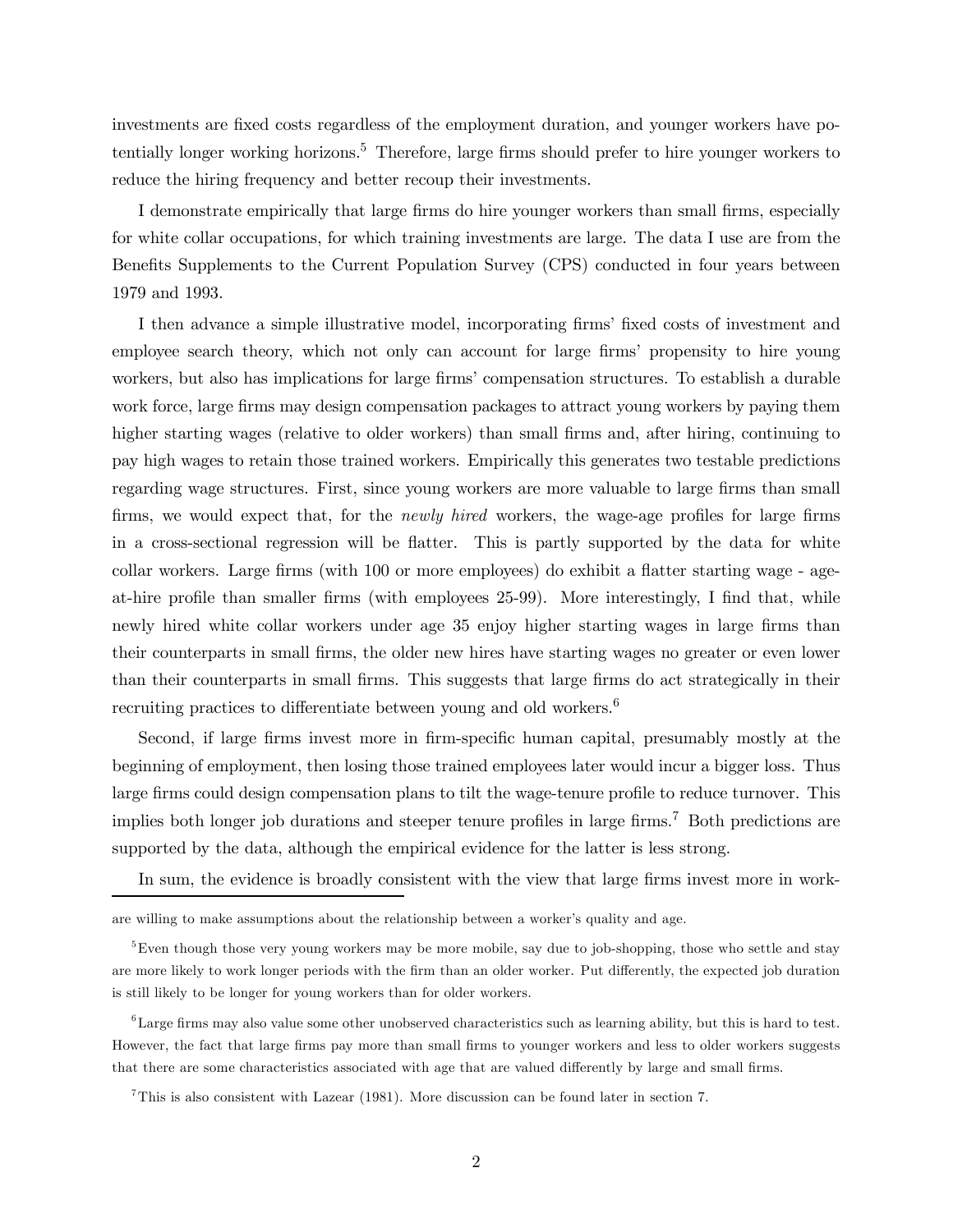investments are fixed costs regardless of the employment duration, and younger workers have potentially longer working horizons.<sup>5</sup> Therefore, large firms should prefer to hire younger workers to reduce the hiring frequency and better recoup their investments.

I demonstrate empirically that large firms do hire younger workers than small firms, especially for white collar occupations, for which training investments are large. The data I use are from the Benefits Supplements to the Current Population Survey (CPS) conducted in four years between 1979 and 1993.

I then advance a simple illustrative model, incorporating firmsí fixed costs of investment and employee search theory, which not only can account for large firms' propensity to hire young workers, but also has implications for large firms' compensation structures. To establish a durable work force, large firms may design compensation packages to attract young workers by paying them higher starting wages (relative to older workers) than small firms and, after hiring, continuing to pay high wages to retain those trained workers. Empirically this generates two testable predictions regarding wage structures. First, since young workers are more valuable to large firms than small firms, we would expect that, for the newly hired workers, the wage-age profiles for large firms in a cross-sectional regression will be flatter. This is partly supported by the data for white collar workers. Large firms (with 100 or more employees) do exhibit a flatter starting wage - ageat-hire profile than smaller firms (with employees 25-99). More interestingly, I find that, while newly hired white collar workers under age 35 enjoy higher starting wages in large firms than their counterparts in small firms, the older new hires have starting wages no greater or even lower than their counterparts in small firms. This suggests that large firms do act strategically in their recruiting practices to differentiate between young and old workers.<sup>6</sup>

Second, if large firms invest more in firm-specific human capital, presumably mostly at the beginning of employment, then losing those trained employees later would incur a bigger loss. Thus large firms could design compensation plans to tilt the wage-tenure profile to reduce turnover. This implies both longer job durations and steeper tenure profiles in large firms.<sup>7</sup> Both predictions are supported by the data, although the empirical evidence for the latter is less strong.

In sum, the evidence is broadly consistent with the view that large firms invest more in work-

are willing to make assumptions about the relationship between a worker's quality and age.

<sup>&</sup>lt;sup>5</sup>Even though those very young workers may be more mobile, say due to job-shopping, those who settle and stay are more likely to work longer periods with the firm than an older worker. Put differently, the expected job duration is still likely to be longer for young workers than for older workers.

<sup>6</sup>Large firms may also value some other unobserved characteristics such as learning ability, but this is hard to test. However, the fact that large firms pay more than small firms to younger workers and less to older workers suggests that there are some characteristics associated with age that are valued differently by large and small firms.

<sup>7</sup>This is also consistent with Lazear (1981). More discussion can be found later in section 7.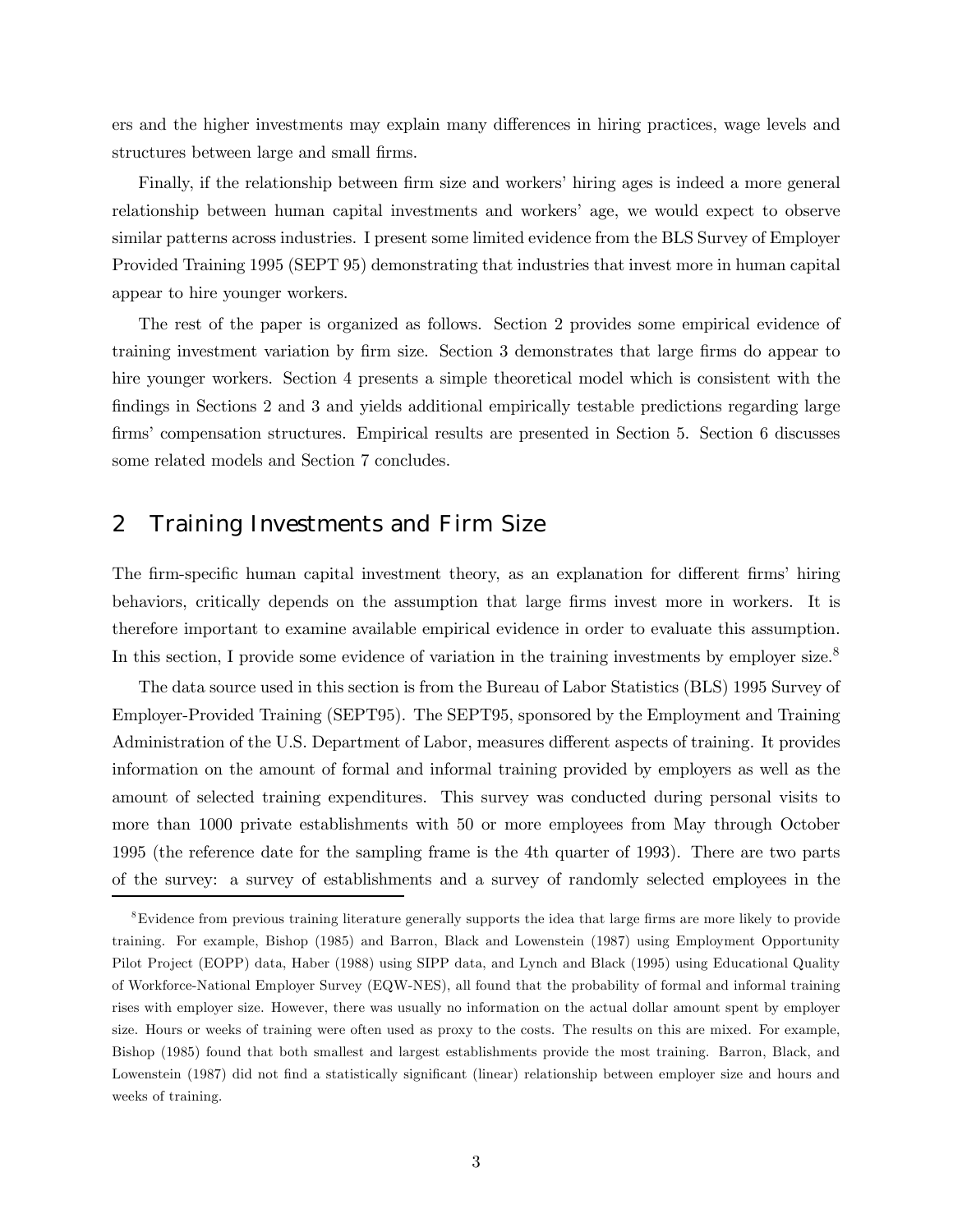ers and the higher investments may explain many differences in hiring practices, wage levels and structures between large and small firms.

Finally, if the relationship between firm size and workers' hiring ages is indeed a more general relationship between human capital investments and workersí age, we would expect to observe similar patterns across industries. I present some limited evidence from the BLS Survey of Employer Provided Training 1995 (SEPT 95) demonstrating that industries that invest more in human capital appear to hire younger workers.

The rest of the paper is organized as follows. Section 2 provides some empirical evidence of training investment variation by firm size. Section 3 demonstrates that large firms do appear to hire younger workers. Section 4 presents a simple theoretical model which is consistent with the findings in Sections 2 and 3 and yields additional empirically testable predictions regarding large firms' compensation structures. Empirical results are presented in Section 5. Section 6 discusses some related models and Section 7 concludes.

# 2 Training Investments and Firm Size

The firm-specific human capital investment theory, as an explanation for different firmsí hiring behaviors, critically depends on the assumption that large firms invest more in workers. It is therefore important to examine available empirical evidence in order to evaluate this assumption. In this section, I provide some evidence of variation in the training investments by employer size.<sup>8</sup>

The data source used in this section is from the Bureau of Labor Statistics (BLS) 1995 Survey of Employer-Provided Training (SEPT95). The SEPT95, sponsored by the Employment and Training Administration of the U.S. Department of Labor, measures different aspects of training. It provides information on the amount of formal and informal training provided by employers as well as the amount of selected training expenditures. This survey was conducted during personal visits to more than 1000 private establishments with 50 or more employees from May through October 1995 (the reference date for the sampling frame is the 4th quarter of 1993). There are two parts of the survey: a survey of establishments and a survey of randomly selected employees in the

<sup>8</sup>Evidence from previous training literature generally supports the idea that large firms are more likely to provide training. For example, Bishop (1985) and Barron, Black and Lowenstein (1987) using Employment Opportunity Pilot Project (EOPP) data, Haber (1988) using SIPP data, and Lynch and Black (1995) using Educational Quality of Workforce-National Employer Survey (EQW-NES), all found that the probability of formal and informal training rises with employer size. However, there was usually no information on the actual dollar amount spent by employer size. Hours or weeks of training were often used as proxy to the costs. The results on this are mixed. For example, Bishop (1985) found that both smallest and largest establishments provide the most training. Barron, Black, and Lowenstein (1987) did not find a statistically significant (linear) relationship between employer size and hours and weeks of training.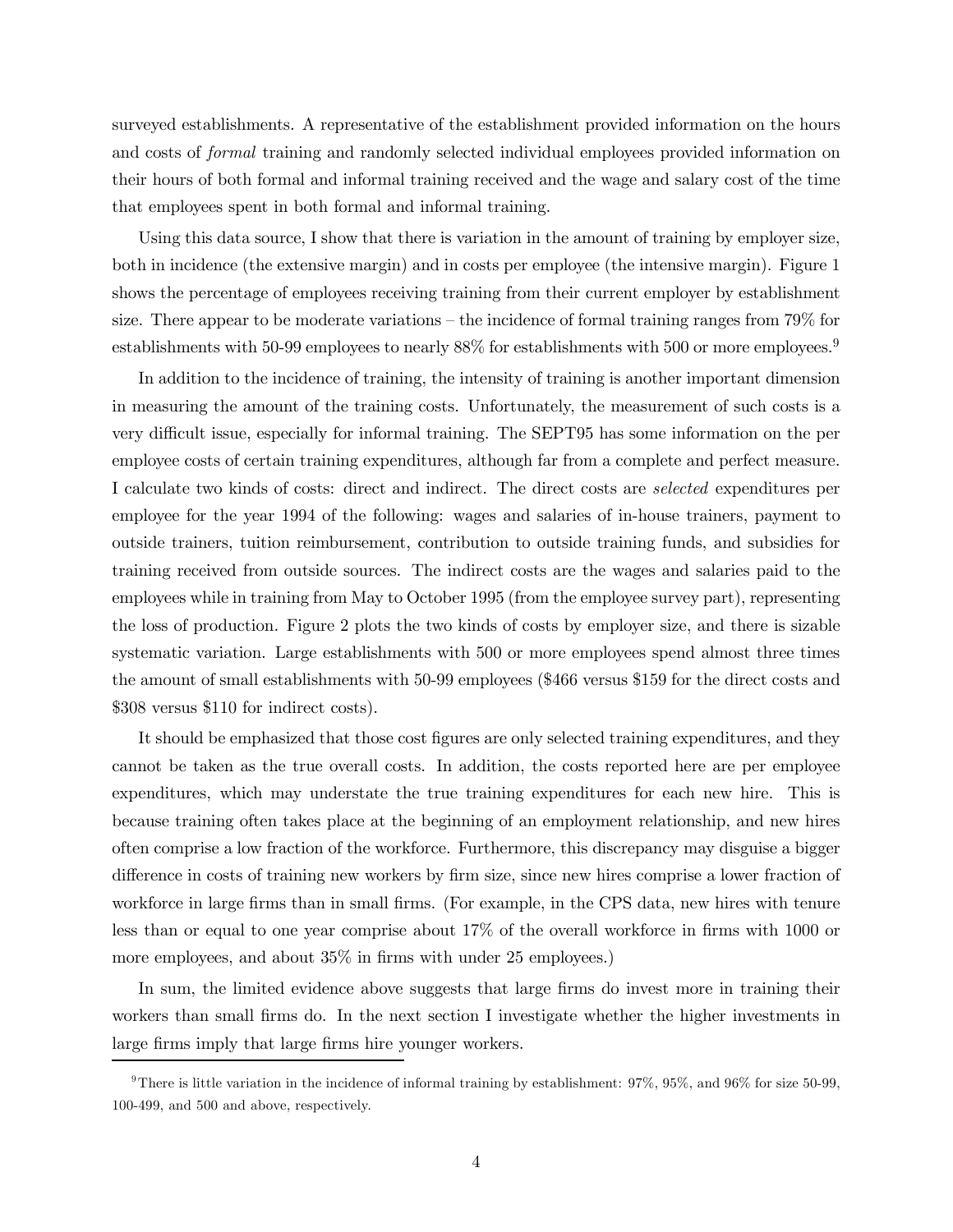surveyed establishments. A representative of the establishment provided information on the hours and costs of formal training and randomly selected individual employees provided information on their hours of both formal and informal training received and the wage and salary cost of the time that employees spent in both formal and informal training.

Using this data source, I show that there is variation in the amount of training by employer size, both in incidence (the extensive margin) and in costs per employee (the intensive margin). Figure 1 shows the percentage of employees receiving training from their current employer by establishment size. There appear to be moderate variations – the incidence of formal training ranges from  $79\%$  for establishments with 50-99 employees to nearly 88% for establishments with 500 or more employees.<sup>9</sup>

In addition to the incidence of training, the intensity of training is another important dimension in measuring the amount of the training costs. Unfortunately, the measurement of such costs is a very difficult issue, especially for informal training. The SEPT95 has some information on the per employee costs of certain training expenditures, although far from a complete and perfect measure. I calculate two kinds of costs: direct and indirect. The direct costs are selected expenditures per employee for the year 1994 of the following: wages and salaries of in-house trainers, payment to outside trainers, tuition reimbursement, contribution to outside training funds, and subsidies for training received from outside sources. The indirect costs are the wages and salaries paid to the employees while in training from May to October 1995 (from the employee survey part), representing the loss of production. Figure 2 plots the two kinds of costs by employer size, and there is sizable systematic variation. Large establishments with 500 or more employees spend almost three times the amount of small establishments with 50-99 employees (\$466 versus \$159 for the direct costs and \$308 versus \$110 for indirect costs).

It should be emphasized that those cost figures are only selected training expenditures, and they cannot be taken as the true overall costs. In addition, the costs reported here are per employee expenditures, which may understate the true training expenditures for each new hire. This is because training often takes place at the beginning of an employment relationship, and new hires often comprise a low fraction of the workforce. Furthermore, this discrepancy may disguise a bigger difference in costs of training new workers by firm size, since new hires comprise a lower fraction of workforce in large firms than in small firms. (For example, in the CPS data, new hires with tenure less than or equal to one year comprise about 17% of the overall workforce in firms with 1000 or more employees, and about 35% in firms with under 25 employees.)

In sum, the limited evidence above suggests that large firms do invest more in training their workers than small firms do. In the next section I investigate whether the higher investments in large firms imply that large firms hire younger workers.

<sup>&</sup>lt;sup>9</sup>There is little variation in the incidence of informal training by establishment:  $97\%$ ,  $95\%$ , and  $96\%$  for size 50-99, 100-499, and 500 and above, respectively.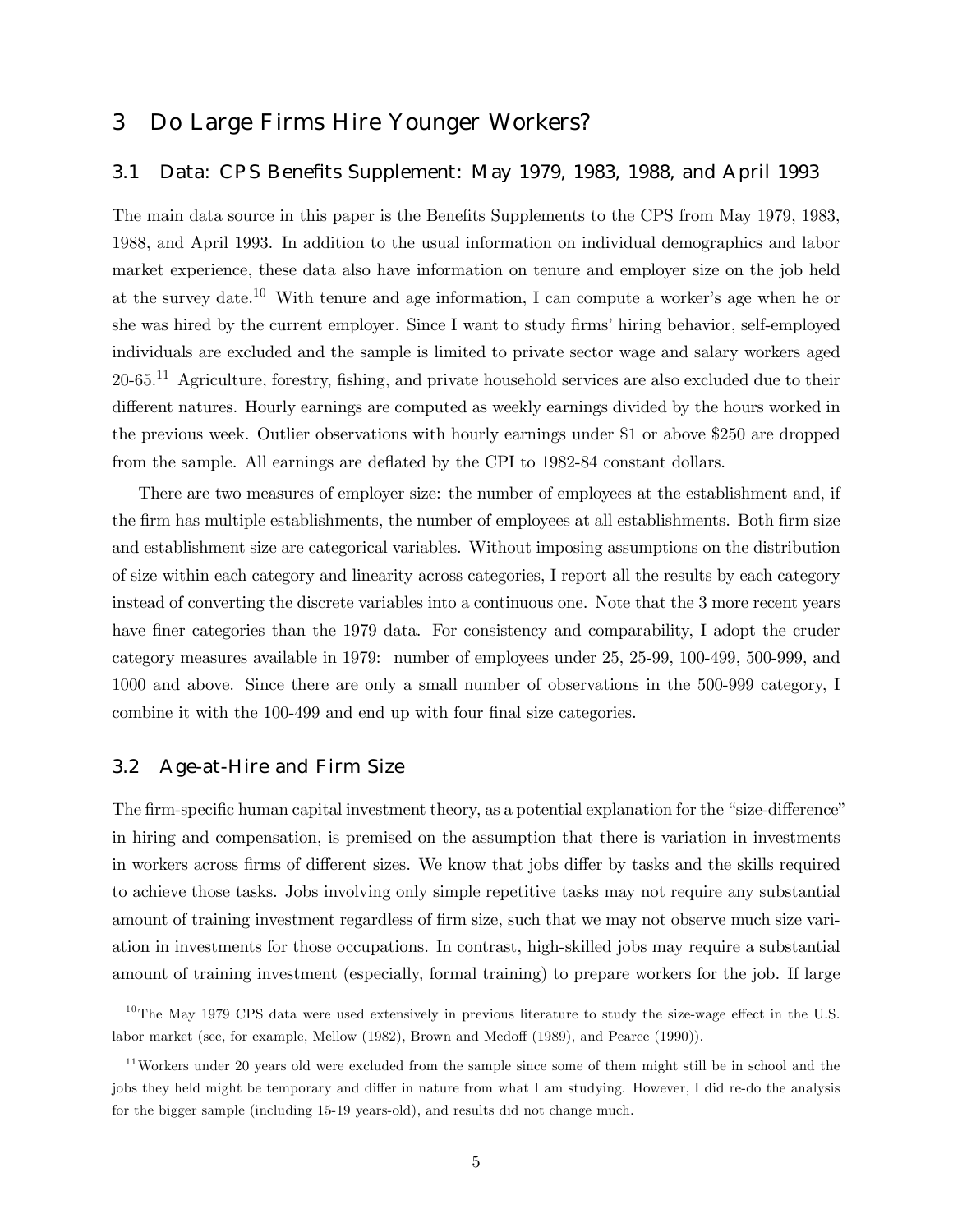# 3 Do Large Firms Hire Younger Workers?

### 3.1 Data: CPS Benefits Supplement: May 1979, 1983, 1988, and April 1993

The main data source in this paper is the Benefits Supplements to the CPS from May 1979, 1983, 1988, and April 1993. In addition to the usual information on individual demographics and labor market experience, these data also have information on tenure and employer size on the job held at the survey date.<sup>10</sup> With tenure and age information, I can compute a worker's age when he or she was hired by the current employer. Since I want to study firms' hiring behavior, self-employed individuals are excluded and the sample is limited to private sector wage and salary workers aged 20-65.11 Agriculture, forestry, fishing, and private household services are also excluded due to their different natures. Hourly earnings are computed as weekly earnings divided by the hours worked in the previous week. Outlier observations with hourly earnings under \$1 or above \$250 are dropped from the sample. All earnings are deflated by the CPI to 1982-84 constant dollars.

There are two measures of employer size: the number of employees at the establishment and, if the firm has multiple establishments, the number of employees at all establishments. Both firm size and establishment size are categorical variables. Without imposing assumptions on the distribution of size within each category and linearity across categories, I report all the results by each category instead of converting the discrete variables into a continuous one. Note that the 3 more recent years have finer categories than the 1979 data. For consistency and comparability, I adopt the cruder category measures available in 1979: number of employees under 25, 25-99, 100-499, 500-999, and 1000 and above. Since there are only a small number of observations in the 500-999 category, I combine it with the 100-499 and end up with four final size categories.

#### 3.2 Age-at-Hire and Firm Size

The firm-specific human capital investment theory, as a potential explanation for the "size-difference" in hiring and compensation, is premised on the assumption that there is variation in investments in workers across firms of different sizes. We know that jobs differ by tasks and the skills required to achieve those tasks. Jobs involving only simple repetitive tasks may not require any substantial amount of training investment regardless of firm size, such that we may not observe much size variation in investments for those occupations. In contrast, high-skilled jobs may require a substantial amount of training investment (especially, formal training) to prepare workers for the job. If large

<sup>&</sup>lt;sup>10</sup>The May 1979 CPS data were used extensively in previous literature to study the size-wage effect in the U.S. labor market (see, for example, Mellow (1982), Brown and Medoff (1989), and Pearce (1990)).

 $11$ Workers under 20 years old were excluded from the sample since some of them might still be in school and the jobs they held might be temporary and differ in nature from what I am studying. However, I did re-do the analysis for the bigger sample (including 15-19 years-old), and results did not change much.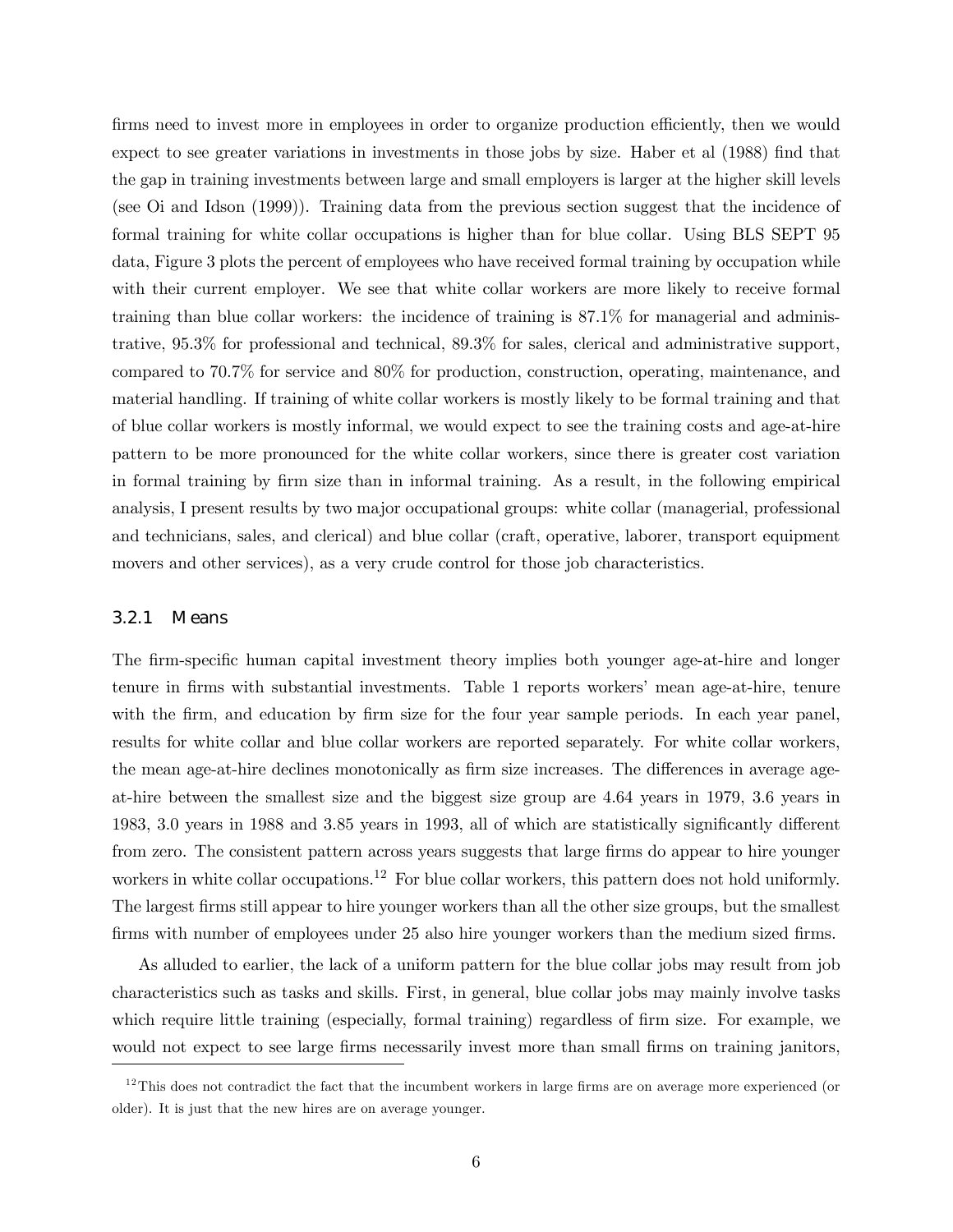firms need to invest more in employees in order to organize production efficiently, then we would expect to see greater variations in investments in those jobs by size. Haber et al (1988) find that the gap in training investments between large and small employers is larger at the higher skill levels (see Oi and Idson (1999)). Training data from the previous section suggest that the incidence of formal training for white collar occupations is higher than for blue collar. Using BLS SEPT 95 data, Figure 3 plots the percent of employees who have received formal training by occupation while with their current employer. We see that white collar workers are more likely to receive formal training than blue collar workers: the incidence of training is 87.1% for managerial and administrative, 95.3% for professional and technical, 89.3% for sales, clerical and administrative support, compared to 70.7% for service and 80% for production, construction, operating, maintenance, and material handling. If training of white collar workers is mostly likely to be formal training and that of blue collar workers is mostly informal, we would expect to see the training costs and age-at-hire pattern to be more pronounced for the white collar workers, since there is greater cost variation in formal training by firm size than in informal training. As a result, in the following empirical analysis, I present results by two major occupational groups: white collar (managerial, professional and technicians, sales, and clerical) and blue collar (craft, operative, laborer, transport equipment movers and other services), as a very crude control for those job characteristics.

#### 3.2.1 Means

The firm-specific human capital investment theory implies both younger age-at-hire and longer tenure in firms with substantial investments. Table 1 reports workersí mean age-at-hire, tenure with the firm, and education by firm size for the four year sample periods. In each year panel, results for white collar and blue collar workers are reported separately. For white collar workers, the mean age-at-hire declines monotonically as firm size increases. The differences in average ageat-hire between the smallest size and the biggest size group are 4.64 years in 1979, 3.6 years in 1983, 3.0 years in 1988 and 3.85 years in 1993, all of which are statistically significantly different from zero. The consistent pattern across years suggests that large firms do appear to hire younger workers in white collar occupations.<sup>12</sup> For blue collar workers, this pattern does not hold uniformly. The largest firms still appear to hire younger workers than all the other size groups, but the smallest firms with number of employees under 25 also hire younger workers than the medium sized firms.

As alluded to earlier, the lack of a uniform pattern for the blue collar jobs may result from job characteristics such as tasks and skills. First, in general, blue collar jobs may mainly involve tasks which require little training (especially, formal training) regardless of firm size. For example, we would not expect to see large firms necessarily invest more than small firms on training janitors,

 $12$ This does not contradict the fact that the incumbent workers in large firms are on average more experienced (or older). It is just that the new hires are on average younger.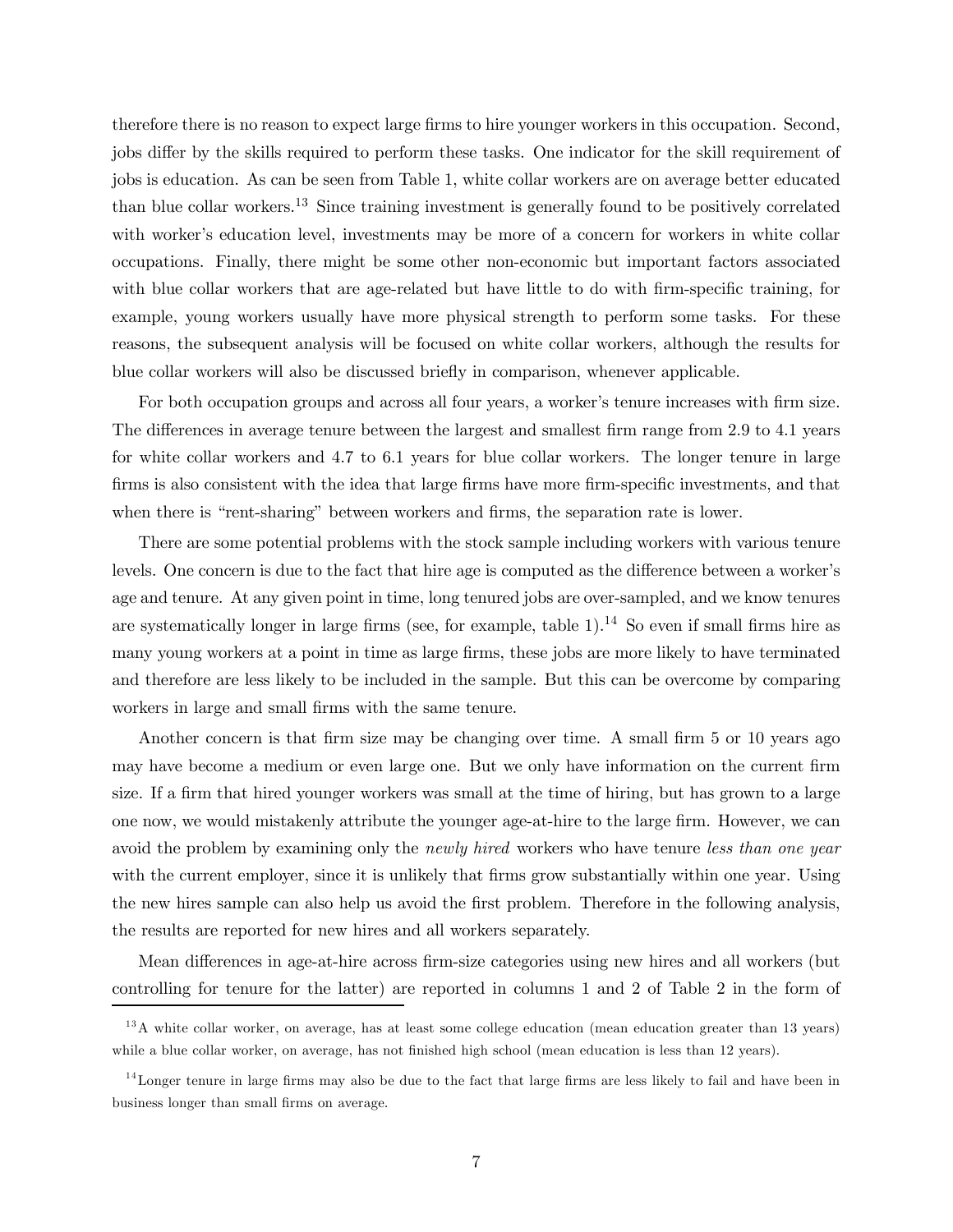therefore there is no reason to expect large firms to hire younger workers in this occupation. Second, jobs differ by the skills required to perform these tasks. One indicator for the skill requirement of jobs is education. As can be seen from Table 1, white collar workers are on average better educated than blue collar workers.<sup>13</sup> Since training investment is generally found to be positively correlated with worker's education level, investments may be more of a concern for workers in white collar occupations. Finally, there might be some other non-economic but important factors associated with blue collar workers that are age-related but have little to do with firm-specific training, for example, young workers usually have more physical strength to perform some tasks. For these reasons, the subsequent analysis will be focused on white collar workers, although the results for blue collar workers will also be discussed briefly in comparison, whenever applicable.

For both occupation groups and across all four years, a worker's tenure increases with firm size. The differences in average tenure between the largest and smallest firm range from 2.9 to 4.1 years for white collar workers and 4.7 to 6.1 years for blue collar workers. The longer tenure in large firms is also consistent with the idea that large firms have more firm-specific investments, and that when there is "rent-sharing" between workers and firms, the separation rate is lower.

There are some potential problems with the stock sample including workers with various tenure levels. One concern is due to the fact that hire age is computed as the difference between a worker's age and tenure. At any given point in time, long tenured jobs are over-sampled, and we know tenures are systematically longer in large firms (see, for example, table  $1$ ).<sup>14</sup> So even if small firms hire as many young workers at a point in time as large firms, these jobs are more likely to have terminated and therefore are less likely to be included in the sample. But this can be overcome by comparing workers in large and small firms with the same tenure.

Another concern is that firm size may be changing over time. A small firm 5 or 10 years ago may have become a medium or even large one. But we only have information on the current firm size. If a firm that hired younger workers was small at the time of hiring, but has grown to a large one now, we would mistakenly attribute the younger age-at-hire to the large firm. However, we can avoid the problem by examining only the *newly hired* workers who have tenure less than one year with the current employer, since it is unlikely that firms grow substantially within one year. Using the new hires sample can also help us avoid the first problem. Therefore in the following analysis, the results are reported for new hires and all workers separately.

Mean differences in age-at-hire across firm-size categories using new hires and all workers (but controlling for tenure for the latter) are reported in columns 1 and 2 of Table 2 in the form of

 $13A$  white collar worker, on average, has at least some college education (mean education greater than 13 years) while a blue collar worker, on average, has not finished high school (mean education is less than 12 years).

 $14$ Longer tenure in large firms may also be due to the fact that large firms are less likely to fail and have been in business longer than small firms on average.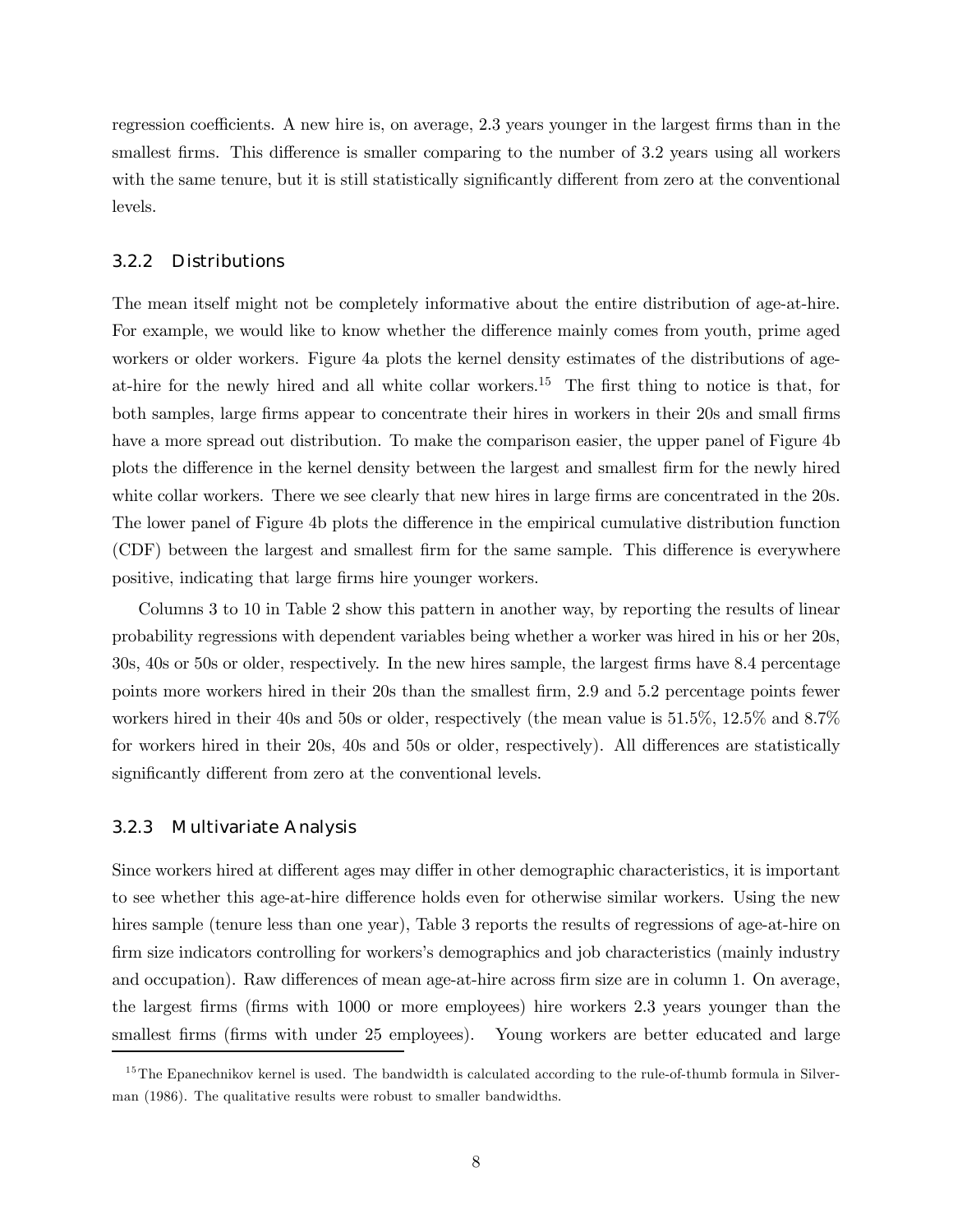regression coefficients. A new hire is, on average, 2.3 years younger in the largest firms than in the smallest firms. This difference is smaller comparing to the number of 3.2 years using all workers with the same tenure, but it is still statistically significantly different from zero at the conventional levels.

#### 3.2.2 Distributions

The mean itself might not be completely informative about the entire distribution of age-at-hire. For example, we would like to know whether the difference mainly comes from youth, prime aged workers or older workers. Figure 4a plots the kernel density estimates of the distributions of ageat-hire for the newly hired and all white collar workers.<sup>15</sup> The first thing to notice is that, for both samples, large firms appear to concentrate their hires in workers in their 20s and small firms have a more spread out distribution. To make the comparison easier, the upper panel of Figure 4b plots the difference in the kernel density between the largest and smallest firm for the newly hired white collar workers. There we see clearly that new hires in large firms are concentrated in the 20s. The lower panel of Figure 4b plots the difference in the empirical cumulative distribution function (CDF) between the largest and smallest firm for the same sample. This difference is everywhere positive, indicating that large firms hire younger workers.

Columns 3 to 10 in Table 2 show this pattern in another way, by reporting the results of linear probability regressions with dependent variables being whether a worker was hired in his or her 20s, 30s, 40s or 50s or older, respectively. In the new hires sample, the largest firms have 8.4 percentage points more workers hired in their 20s than the smallest firm, 2.9 and 5.2 percentage points fewer workers hired in their 40s and 50s or older, respectively (the mean value is 51.5%, 12.5% and 8.7% for workers hired in their 20s, 40s and 50s or older, respectively). All differences are statistically significantly different from zero at the conventional levels.

#### 3.2.3 Multivariate Analysis

Since workers hired at different ages may differ in other demographic characteristics, it is important to see whether this age-at-hire difference holds even for otherwise similar workers. Using the new hires sample (tenure less than one year), Table 3 reports the results of regressions of age-at-hire on firm size indicators controlling for workers's demographics and job characteristics (mainly industry and occupation). Raw differences of mean age-at-hire across firm size are in column 1. On average, the largest firms (firms with 1000 or more employees) hire workers 2.3 years younger than the smallest firms (firms with under 25 employees). Young workers are better educated and large

 $15$ The Epanechnikov kernel is used. The bandwidth is calculated according to the rule-of-thumb formula in Silverman (1986). The qualitative results were robust to smaller bandwidths.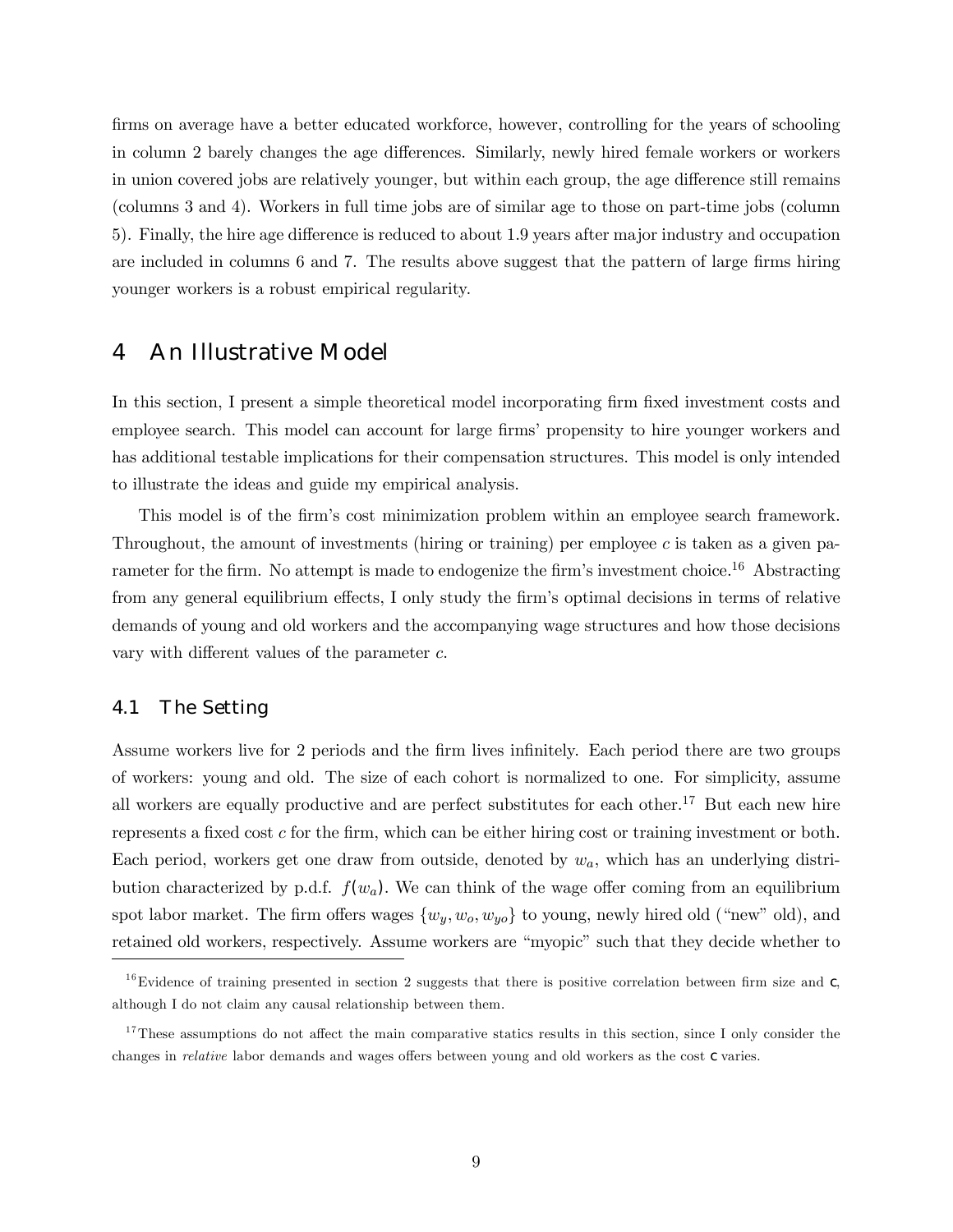firms on average have a better educated workforce, however, controlling for the years of schooling in column 2 barely changes the age differences. Similarly, newly hired female workers or workers in union covered jobs are relatively younger, but within each group, the age difference still remains (columns 3 and 4). Workers in full time jobs are of similar age to those on part-time jobs (column 5). Finally, the hire age difference is reduced to about 1.9 years after major industry and occupation are included in columns 6 and 7. The results above suggest that the pattern of large firms hiring younger workers is a robust empirical regularity.

# 4 An Illustrative Model

In this section, I present a simple theoretical model incorporating firm fixed investment costs and employee search. This model can account for large firmsí propensity to hire younger workers and has additional testable implications for their compensation structures. This model is only intended to illustrate the ideas and guide my empirical analysis.

This model is of the firmís cost minimization problem within an employee search framework. Throughout, the amount of investments (hiring or training) per employee  $c$  is taken as a given parameter for the firm. No attempt is made to endogenize the firm's investment choice.<sup>16</sup> Abstracting from any general equilibrium effects, I only study the firmís optimal decisions in terms of relative demands of young and old workers and the accompanying wage structures and how those decisions vary with different values of the parameter c.

#### 4.1 The Setting

Assume workers live for 2 periods and the firm lives infinitely. Each period there are two groups of workers: young and old. The size of each cohort is normalized to one. For simplicity, assume all workers are equally productive and are perfect substitutes for each other.<sup>17</sup> But each new hire represents a fixed cost  $c$  for the firm, which can be either hiring cost or training investment or both. Each period, workers get one draw from outside, denoted by  $w_a$ , which has an underlying distribution characterized by p.d.f.  $f(w_a)$ . We can think of the wage offer coming from an equilibrium spot labor market. The firm offers wages  $\{w_y, w_o, w_{yo}\}$  to young, newly hired old ("new" old), and retained old workers, respectively. Assume workers are "myopic" such that they decide whether to

 $16$ Evidence of training presented in section 2 suggests that there is positive correlation between firm size and  $c$ , although I do not claim any causal relationship between them.

 $17$ These assumptions do not affect the main comparative statics results in this section, since I only consider the changes in relative labor demands and wages offers between young and old workers as the cost c varies.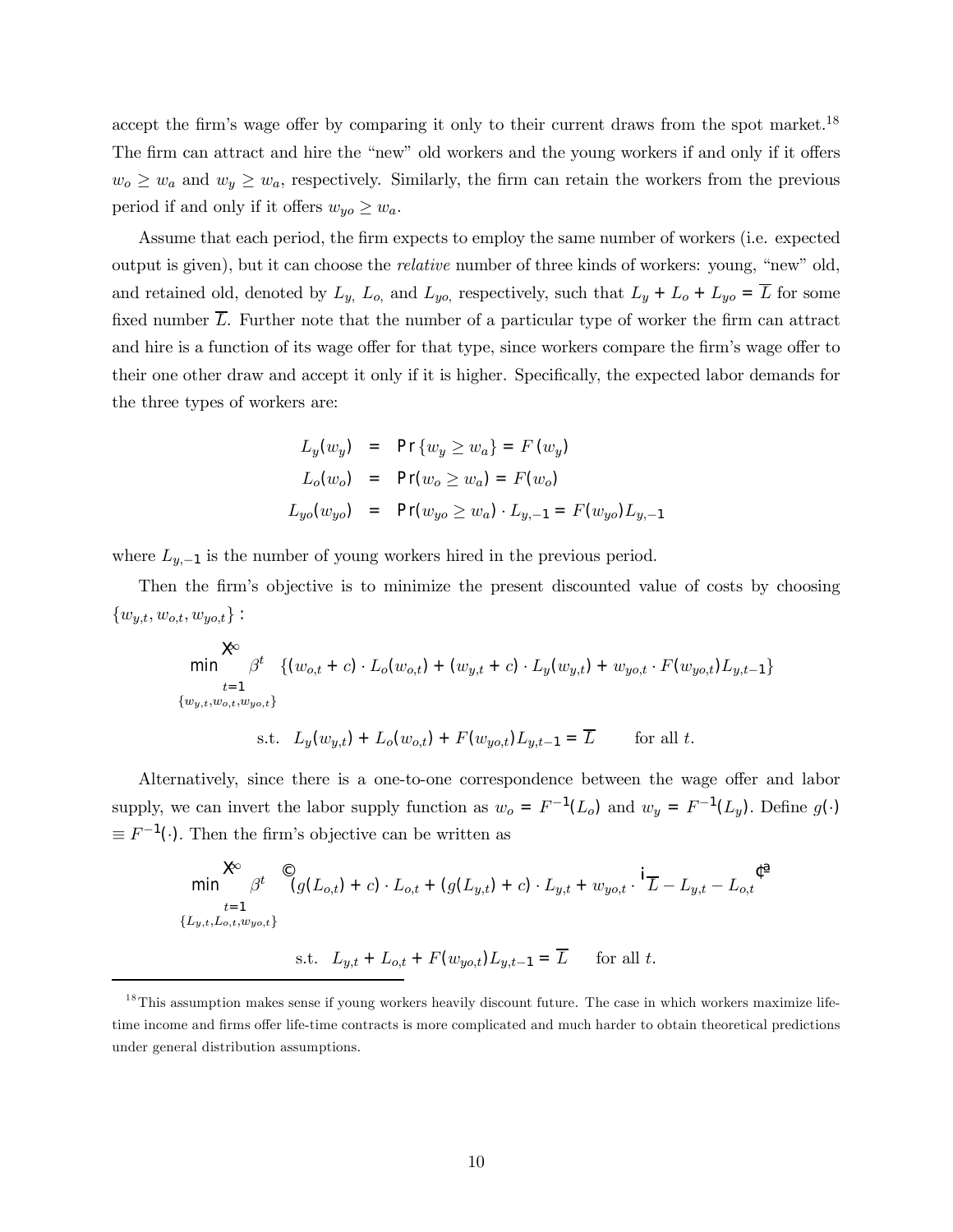accept the firm's wage offer by comparing it only to their current draws from the spot market.<sup>18</sup> The firm can attract and hire the "new" old workers and the young workers if and only if it offers  $w_0 \geq w_a$  and  $w_y \geq w_a$ , respectively. Similarly, the firm can retain the workers from the previous period if and only if it offers  $w_{y0} \geq w_a$ .

Assume that each period, the firm expects to employ the same number of workers (i.e. expected output is given), but it can choose the *relative* number of three kinds of workers: young, "new" old, and retained old, denoted by  $L_y$ ,  $L_o$ , and  $L_{yo}$ , respectively, such that  $L_y + L_o + L_{yo} = \overline{L}$  for some fixed number  $\overline{L}$ . Further note that the number of a particular type of worker the firm can attract and hire is a function of its wage offer for that type, since workers compare the firmís wage offer to their one other draw and accept it only if it is higher. Specifically, the expected labor demands for the three types of workers are:

$$
L_y(w_y) = \Pr\{w_y \ge w_a\} = F(w_y)
$$
  
\n
$$
L_o(w_o) = \Pr(w_o \ge w_a) = F(w_o)
$$
  
\n
$$
L_{yo}(w_{yo}) = \Pr(w_{yo} \ge w_a) \cdot L_{y,-1} = F(w_{yo})L_{y,-1}
$$

where  $L_{y,-1}$  is the number of young workers hired in the previous period.

Then the firmís objective is to minimize the present discounted value of costs by choosing  $\{w_{y,t}, w_{o,t}, w_{y,o,t}\}$ :

$$
\begin{aligned}\n&\text{min} \quad &\beta^t \quad \{ (w_{o,t} + c) \cdot L_o(w_{o,t}) + (w_{y,t} + c) \cdot L_y(w_{y,t}) + w_{yo,t} \cdot F(w_{yo,t}) L_{y,t-1} \} \\
&\text{for all } t.\n\end{aligned}
$$
\n
$$
\begin{aligned}\n&\text{min} \quad &\beta^t \quad \{ (w_{o,t} + c) \cdot L_o(w_{o,t}) + (w_{y,t} + c) \cdot L_y(w_{y,t}) + w_{yo,t} \cdot F(w_{yo,t}) L_{y,t-1} \} \\
&\text{for all } t.\n\end{aligned}
$$

Alternatively, since there is a one-to-one correspondence between the wage offer and labor supply, we can invert the labor supply function as  $w_o = F^{-1}(L_o)$  and  $w_y = F^{-1}(L_y)$ . Define  $g(\cdot)$  $\equiv F^{-1}(\cdot)$ . Then the firm's objective can be written as

$$
\begin{aligned}\n&\text{min} \quad & \beta^t \quad \mathcal{C}(g(L_{o,t}) + c) \cdot L_{o,t} + (g(L_{y,t}) + c) \cdot L_{y,t} + w_{yo,t} \cdot \mathbf{1}_{\overline{L}} - L_{y,t} - L_{o,t} \quad \mathcal{C}^{\text{a}} \\
& \{L_{y,t}, L_{o,t}, w_{yo,t}\} \\
&\text{s.t.} \quad L_{y,t} + L_{o,t} + F(w_{yo,t})L_{y,t-1} = \overline{L} \quad \text{for all } t.\n\end{aligned}
$$

 $18$ This assumption makes sense if young workers heavily discount future. The case in which workers maximize lifetime income and firms offer life-time contracts is more complicated and much harder to obtain theoretical predictions under general distribution assumptions.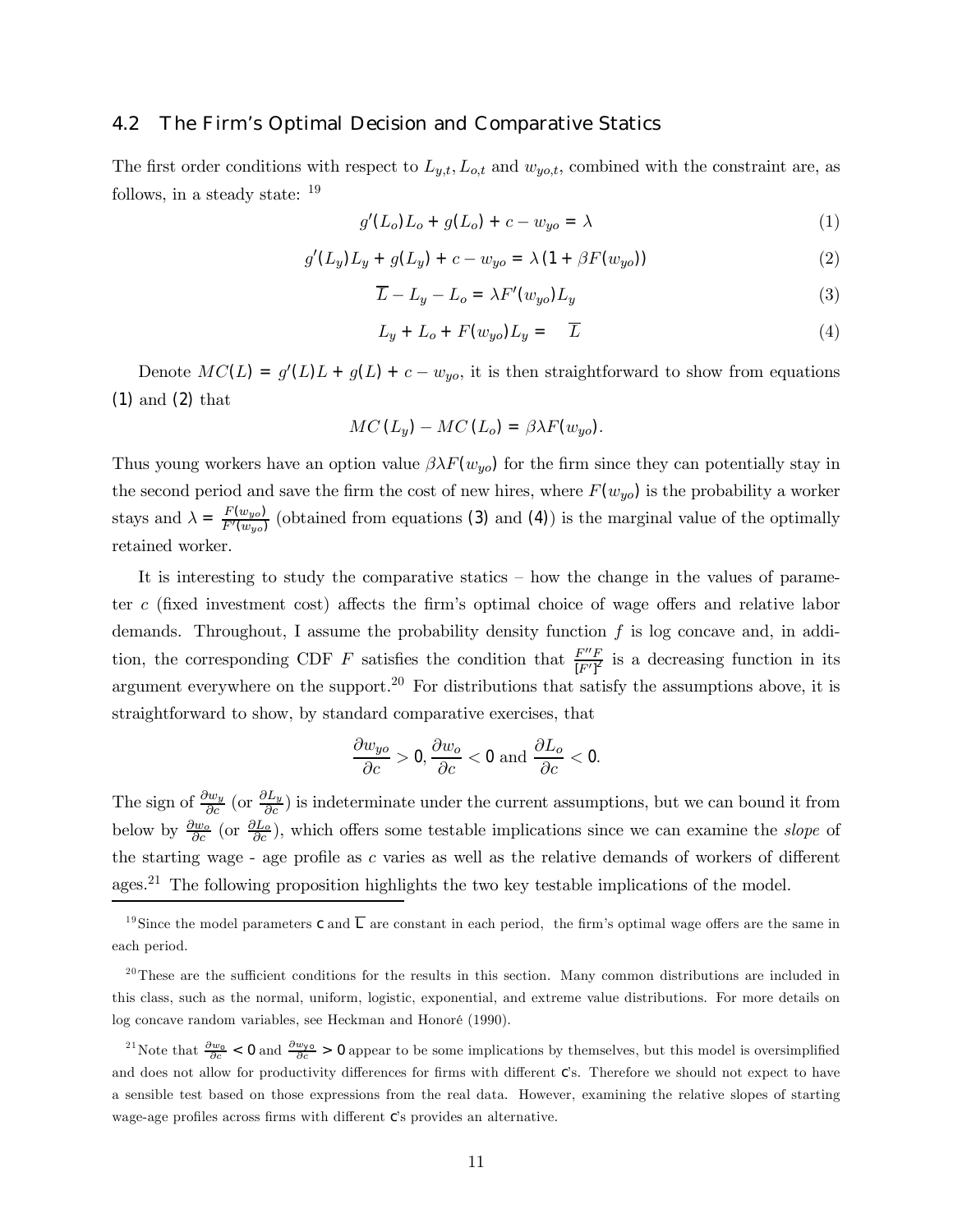#### 4.2 The Firm's Optimal Decision and Comparative Statics

The first order conditions with respect to  $L_{y,t}$ ,  $L_{o,t}$  and  $w_{yo,t}$ , combined with the constraint are, as follows, in a steady state: <sup>19</sup>

$$
g'(L_o)L_o + g(L_o) + c - w_{yo} = \lambda
$$
\n(1)

$$
g'(L_y)L_y + g(L_y) + c - w_{yo} = \lambda (1 + \beta F(w_{yo}))
$$
\n(2)

$$
\overline{L} - L_y - L_o = \lambda F'(w_{yo}) L_y \tag{3}
$$

$$
L_y + L_o + F(w_{yo})L_y = \overline{L}
$$
\n(4)

Denote  $MC(L) = g'(L)L + g(L) + c - w_{yo}$ , it is then straightforward to show from equations (1) and (2) that

$$
MC(L_y) - MC(L_o) = \beta \lambda F(w_{yo}).
$$

Thus young workers have an option value  $\beta \lambda F(w_{yo})$  for the firm since they can potentially stay in the second period and save the firm the cost of new hires, where  $F(w_{yo})$  is the probability a worker stays and  $\lambda = \frac{F(w_{yo})}{F'(w_{yo})}$  (obtained from equations (3) and (4)) is the marginal value of the optimally retained worker.

It is interesting to study the comparative statics  $-$  how the change in the values of parameter c (fixed investment cost) affects the firm's optimal choice of wage offers and relative labor demands. Throughout, I assume the probability density function  $f$  is log concave and, in addition, the corresponding CDF F satisfies the condition that  $\frac{F''F}{[F']^2}$  is a decreasing function in its argument everywhere on the support.20 For distributions that satisfy the assumptions above, it is straightforward to show, by standard comparative exercises, that

$$
\frac{\partial w_{yo}}{\partial c} > 0, \frac{\partial w_o}{\partial c} < 0 \text{ and } \frac{\partial L_o}{\partial c} < 0.
$$

The sign of  $\frac{\partial w_y}{\partial c}$  (or  $\frac{\partial L_y}{\partial c}$ ) is indeterminate under the current assumptions, but we can bound it from below by  $\frac{\partial w_o}{\partial c}$  (or  $\frac{\partial L_o}{\partial c}$ ), which offers some testable implications since we can examine the *slope* of the starting wage - age profile as  $c$  varies as well as the relative demands of workers of different ages.21 The following proposition highlights the two key testable implications of the model.

<sup>&</sup>lt;sup>19</sup>Since the model parameters c and  $\overline{L}$  are constant in each period, the firm's optimal wage offers are the same in each period.

 $20$ <sup>20</sup>These are the sufficient conditions for the results in this section. Many common distributions are included in this class, such as the normal, uniform, logistic, exponential, and extreme value distributions. For more details on log concave random variables, see Heckman and Honoré (1990).

<sup>&</sup>lt;sup>21</sup>Note that  $\frac{\partial w_0}{\partial c}$  < 0 and  $\frac{\partial w_{\nu 0}}{\partial c}$  > 0 appear to be some implications by themselves, but this model is oversimplified and does not allow for productivity differences for firms with different C's. Therefore we should not expect to have a sensible test based on those expressions from the real data. However, examining the relative slopes of starting wage-age profiles across firms with different C's provides an alternative.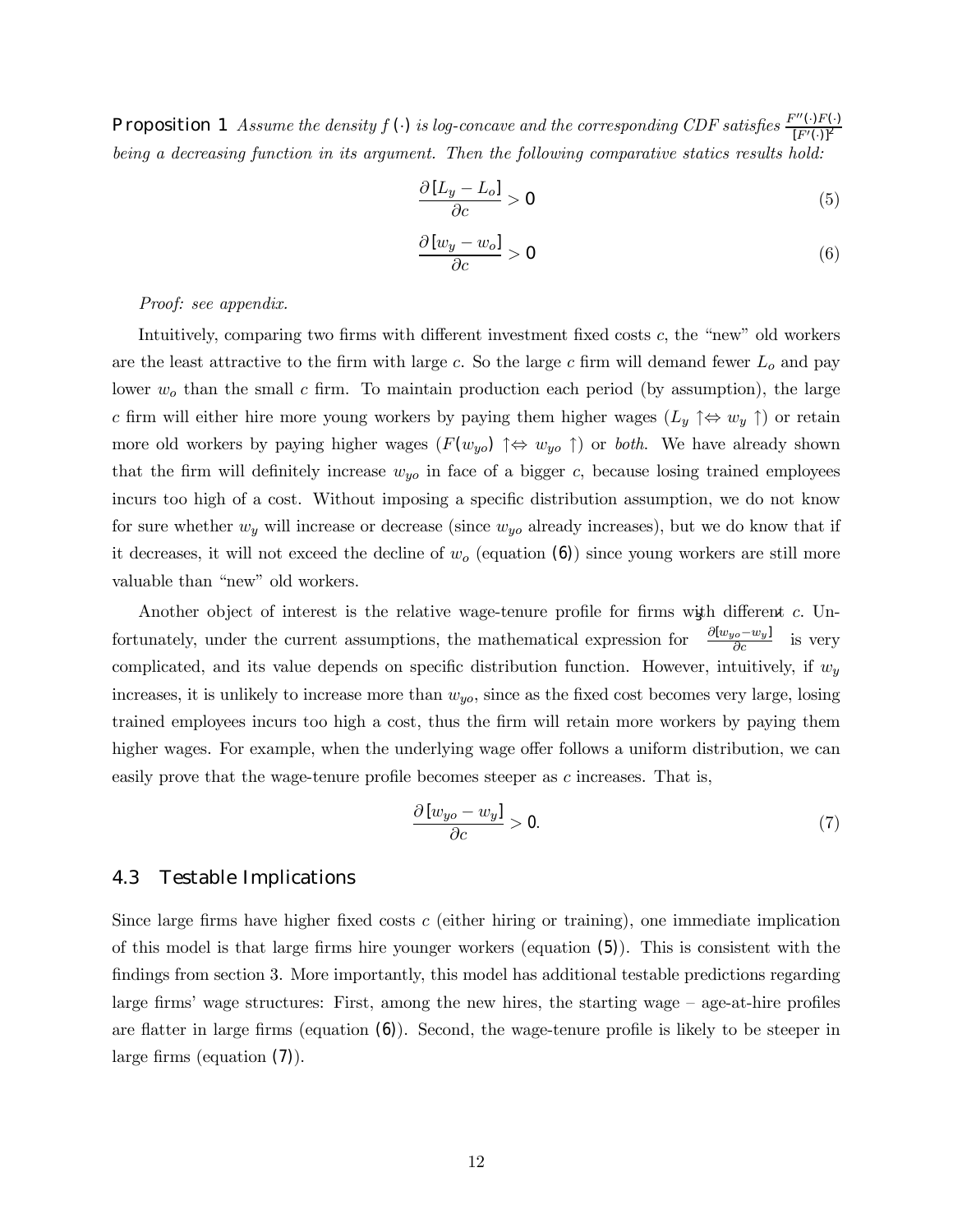Proposition 1 Assume the density f (.) is log-concave and the corresponding CDF satisfies  $\frac{F''(\cdot)F(\cdot)}{[F'(\cdot)]^2}$  $[F'(\cdot)]^2$ being a decreasing function in its argument. Then the following comparative statics results hold:

$$
\frac{\partial [L_y - L_o]}{\partial c} > 0 \tag{5}
$$

$$
\frac{\partial [w_y - w_o]}{\partial c} > 0 \tag{6}
$$

Proof: see appendix.

Intuitively, comparing two firms with different investment fixed costs  $c$ , the "new" old workers are the least attractive to the firm with large c. So the large c firm will demand fewer  $L<sub>o</sub>$  and pay lower  $w<sub>o</sub>$  than the small c firm. To maintain production each period (by assumption), the large c firm will either hire more young workers by paying them higher wages  $(L_y \uparrow \Leftrightarrow w_y \uparrow)$  or retain more old workers by paying higher wages  $(F(w_{yo}) \uparrow \Leftrightarrow w_{yo} \uparrow)$  or *both*. We have already shown that the firm will definitely increase  $w_{y0}$  in face of a bigger c, because losing trained employees incurs too high of a cost. Without imposing a specific distribution assumption, we do not know for sure whether  $w_y$  will increase or decrease (since  $w_{yo}$  already increases), but we do know that if it decreases, it will not exceed the decline of  $w<sub>o</sub>$  (equation (6)) since young workers are still more valuable than "new" old workers.

Another object of interest is the relative wage-tenure profile for firms with different c. Unfortunately, under the current assumptions, the mathematical expression for  $\frac{\partial [w_{yo}-w_y]}{\partial c}$ ´ is very complicated, and its value depends on specific distribution function. However, intuitively, if  $w_y$ increases, it is unlikely to increase more than  $w_{y0}$ , since as the fixed cost becomes very large, losing trained employees incurs too high a cost, thus the firm will retain more workers by paying them higher wages. For example, when the underlying wage offer follows a uniform distribution, we can easily prove that the wage-tenure profile becomes steeper as c increases. That is,

$$
\frac{\partial [w_{yo} - w_y]}{\partial c} > 0.
$$
 (7)

#### 4.3 Testable Implications

Since large firms have higher fixed costs  $c$  (either hiring or training), one immediate implication of this model is that large firms hire younger workers (equation (5)). This is consistent with the findings from section 3. More importantly, this model has additional testable predictions regarding large firms' wage structures: First, among the new hires, the starting wage  $-\alpha$  age-at-hire profiles are flatter in large firms (equation (6)). Second, the wage-tenure profile is likely to be steeper in large firms (equation (7)).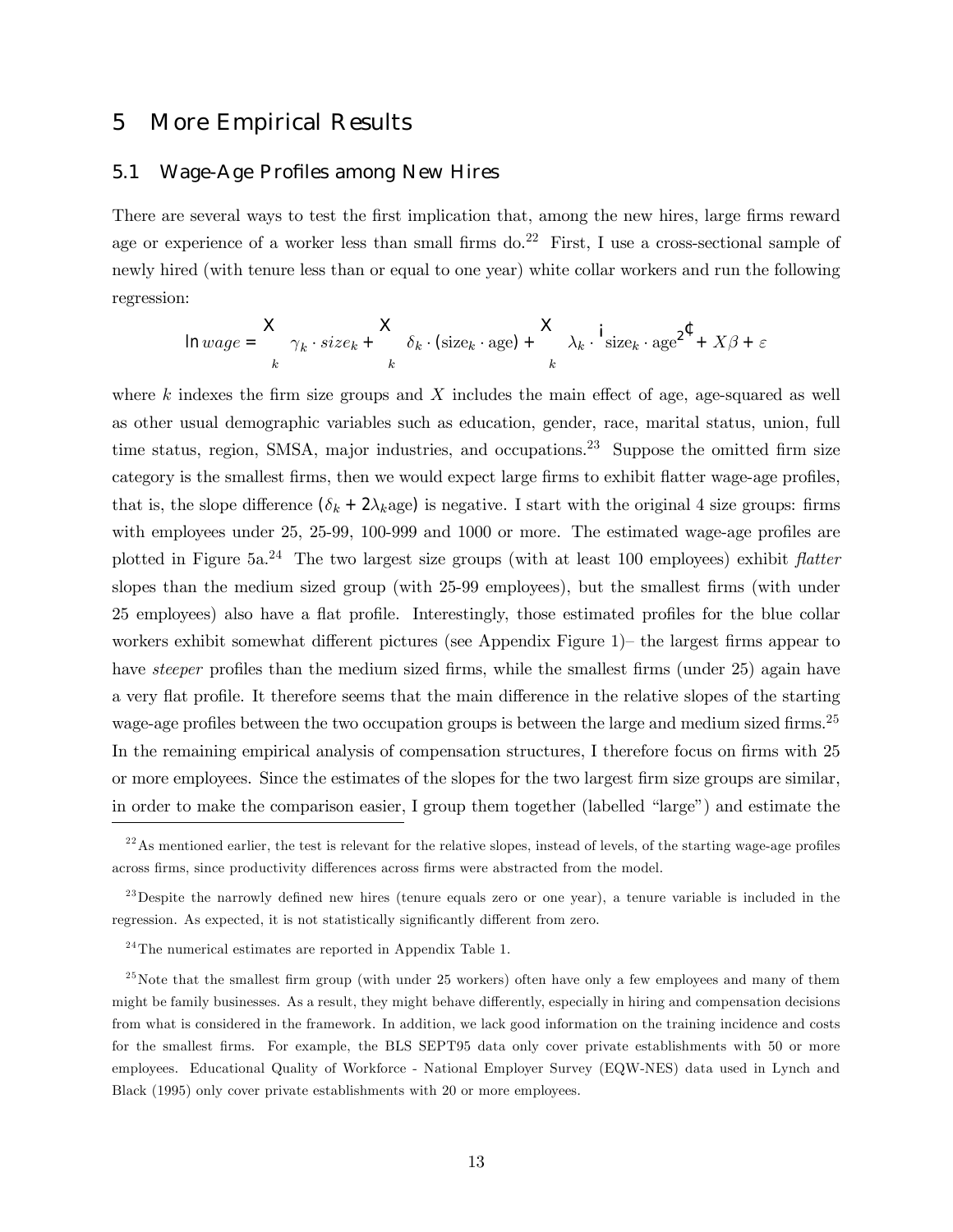# 5 More Empirical Results

#### 5.1 Wage-Age Profiles among New Hires

There are several ways to test the first implication that, among the new hires, large firms reward age or experience of a worker less than small firms  $do<sup>22</sup>$  First, I use a cross-sectional sample of newly hired (with tenure less than or equal to one year) white collar workers and run the following regression:

$$
\ln{wage} = \frac{X}{k} \gamma_k \cdot size_k + \frac{X}{k} \delta_k \cdot (size_k \cdot age) + \frac{X}{k} \lambda_k \cdot \frac{i}{size_k} \cdot age^{2^{\text{C}}} + X\beta + \varepsilon
$$

where k indexes the firm size groups and  $X$  includes the main effect of age, age-squared as well as other usual demographic variables such as education, gender, race, marital status, union, full time status, region, SMSA, major industries, and occupations.<sup>23</sup> Suppose the omitted firm size category is the smallest firms, then we would expect large firms to exhibit flatter wage-age profiles, that is, the slope difference  $(\delta_k + 2\lambda_k)$  is negative. I start with the original 4 size groups: firms with employees under 25, 25-99, 100-999 and 1000 or more. The estimated wage-age profiles are plotted in Figure  $5a^{24}$  The two largest size groups (with at least 100 employees) exhibit flatter slopes than the medium sized group (with 25-99 employees), but the smallest firms (with under 25 employees) also have a flat profile. Interestingly, those estimated profiles for the blue collar workers exhibit somewhat different pictures (see Appendix Figure  $1$ ) – the largest firms appear to have *steeper* profiles than the medium sized firms, while the smallest firms (under 25) again have a very flat profile. It therefore seems that the main difference in the relative slopes of the starting wage-age profiles between the two occupation groups is between the large and medium sized firms.<sup>25</sup> In the remaining empirical analysis of compensation structures, I therefore focus on firms with 25 or more employees. Since the estimates of the slopes for the two largest firm size groups are similar, in order to make the comparison easier, I group them together (labelled "large") and estimate the

 $2<sup>2</sup>$ As mentioned earlier, the test is relevant for the relative slopes, instead of levels, of the starting wage-age profiles across firms, since productivity differences across firms were abstracted from the model.

 $^{23}$ Despite the narrowly defined new hires (tenure equals zero or one year), a tenure variable is included in the regression. As expected, it is not statistically significantly different from zero.

 $24$ The numerical estimates are reported in Appendix Table 1.

 $^{25}$  Note that the smallest firm group (with under 25 workers) often have only a few employees and many of them might be family businesses. As a result, they might behave differently, especially in hiring and compensation decisions from what is considered in the framework. In addition, we lack good information on the training incidence and costs for the smallest firms. For example, the BLS SEPT95 data only cover private establishments with 50 or more employees. Educational Quality of Workforce - National Employer Survey (EQW-NES) data used in Lynch and Black (1995) only cover private establishments with 20 or more employees.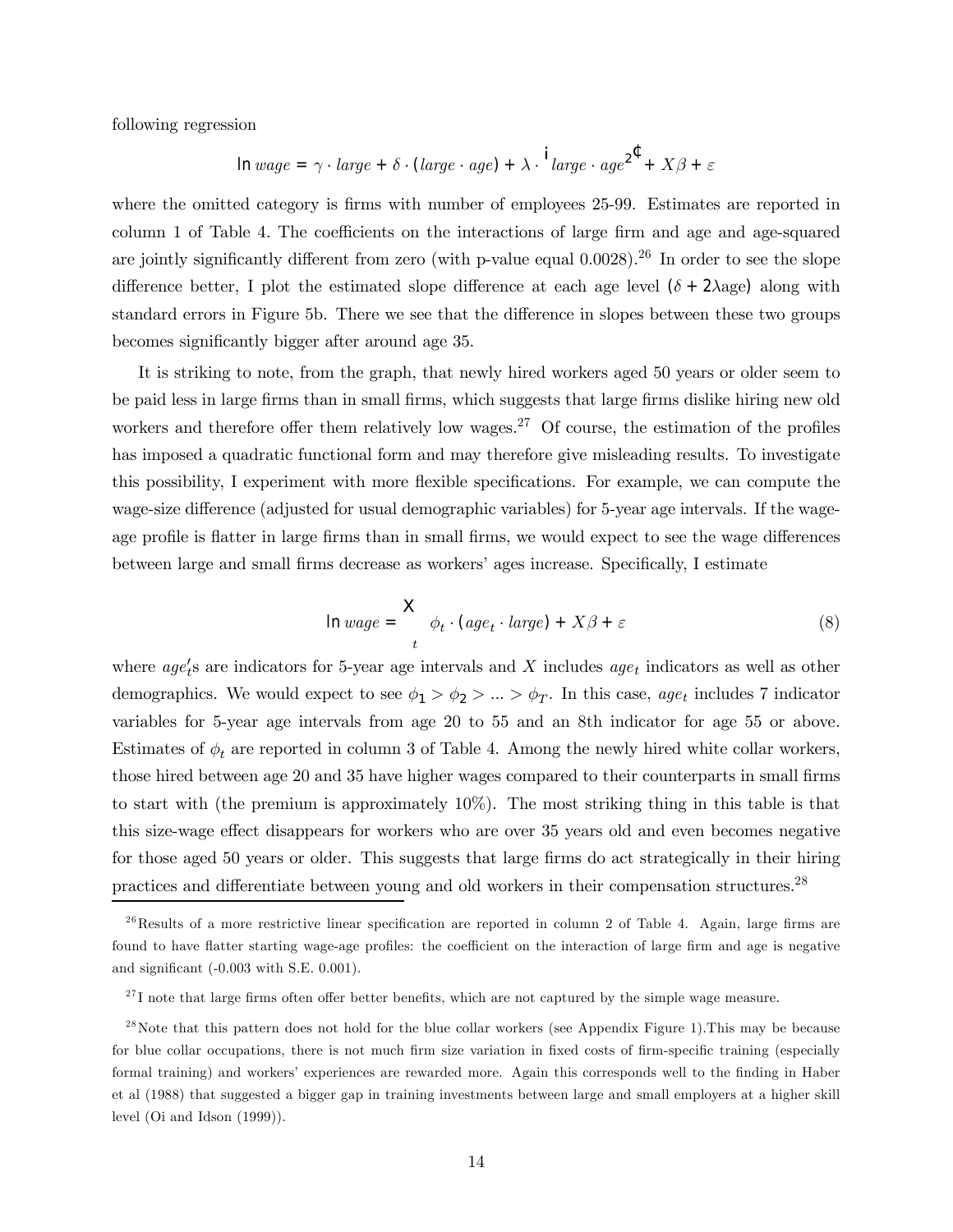following regression

$$
\ln{wage} = \gamma \cdot large + \delta \cdot (large \cdot age) + \lambda \cdot \frac{1}{\ell} large \cdot age^2 + X\beta + \varepsilon
$$

where the omitted category is firms with number of employees 25-99. Estimates are reported in column 1 of Table 4. The coefficients on the interactions of large firm and age and age-squared are jointly significantly different from zero (with p-value equal 0.0028).<sup>26</sup> In order to see the slope difference better, I plot the estimated slope difference at each age level  $(\delta + 2\lambda$ age) along with standard errors in Figure 5b. There we see that the difference in slopes between these two groups becomes significantly bigger after around age 35.

It is striking to note, from the graph, that newly hired workers aged 50 years or older seem to be paid less in large firms than in small firms, which suggests that large firms dislike hiring new old workers and therefore offer them relatively low wages.<sup>27</sup> Of course, the estimation of the profiles has imposed a quadratic functional form and may therefore give misleading results. To investigate this possibility, I experiment with more flexible specifications. For example, we can compute the wage-size difference (adjusted for usual demographic variables) for 5-year age intervals. If the wageage profile is flatter in large firms than in small firms, we would expect to see the wage differences between large and small firms decrease as workers' ages increase. Specifically, I estimate

$$
\ln{wage} = \frac{X}{t} \phi_t \cdot (age_t \cdot large) + X\beta + \varepsilon \tag{8}
$$

where  $age<sub>t</sub>'s$  are indicators for 5-year age intervals and X includes  $age<sub>t</sub>$  indicators as well as other demographics. We would expect to see  $\phi_1 > \phi_2 > ... > \phi_T$ . In this case, age<sub>t</sub> includes 7 indicator variables for 5-year age intervals from age 20 to 55 and an 8th indicator for age 55 or above. Estimates of  $\phi_t$  are reported in column 3 of Table 4. Among the newly hired white collar workers, those hired between age 20 and 35 have higher wages compared to their counterparts in small firms to start with (the premium is approximately 10%). The most striking thing in this table is that this size-wage effect disappears for workers who are over 35 years old and even becomes negative for those aged 50 years or older. This suggests that large firms do act strategically in their hiring practices and differentiate between young and old workers in their compensation structures.<sup>28</sup>

 $^{26}$ Results of a more restrictive linear specification are reported in column 2 of Table 4. Again, large firms are found to have flatter starting wage-age profiles: the coefficient on the interaction of large firm and age is negative and significant (-0.003 with S.E. 0.001).

 $^{27}$ I note that large firms often offer better benefits, which are not captured by the simple wage measure.

 $^{28}$ Note that this pattern does not hold for the blue collar workers (see Appendix Figure 1). This may be because for blue collar occupations, there is not much firm size variation in fixed costs of firm-specific training (especially formal training) and workersí experiences are rewarded more. Again this corresponds well to the finding in Haber et al (1988) that suggested a bigger gap in training investments between large and small employers at a higher skill level (Oi and Idson (1999)).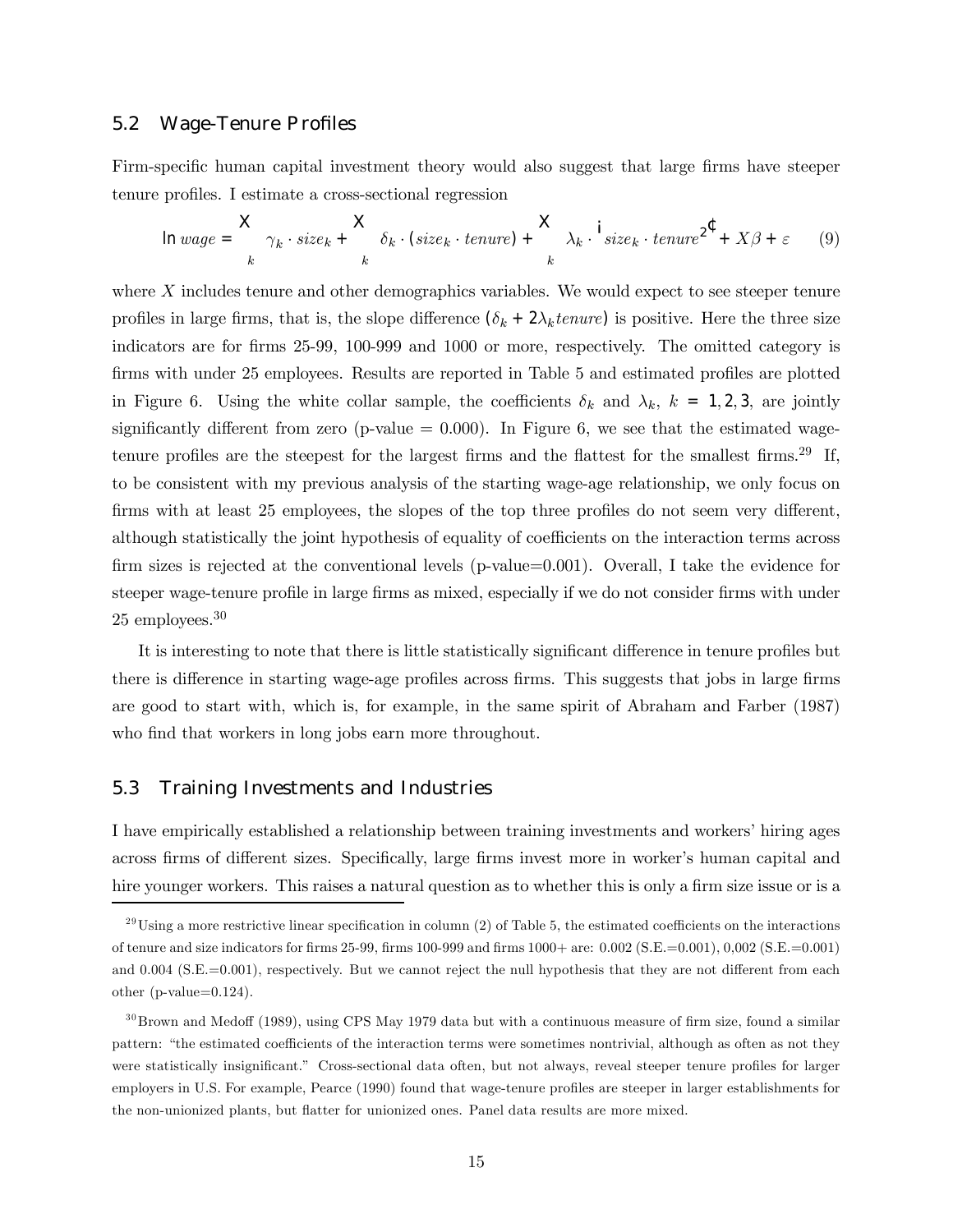#### 5.2 Wage-Tenure Profiles

Firm-specific human capital investment theory would also suggest that large firms have steeper tenure profiles. I estimate a cross-sectional regression

$$
\ln{wage} = \frac{X}{k} \gamma_k \cdot size_k + \frac{X}{k} \delta_k \cdot (size_k \cdot tenure) + \frac{X}{k} \lambda_k \cdot \frac{1}{size_k} \cdot tenure^{2^{\text{C}}} + X\beta + \varepsilon \qquad (9)
$$

where  $X$  includes tenure and other demographics variables. We would expect to see steeper tenure profiles in large firms, that is, the slope difference  $(\delta_k + 2\lambda_k \text{tenure})$  is positive. Here the three size indicators are for firms 25-99, 100-999 and 1000 or more, respectively. The omitted category is firms with under 25 employees. Results are reported in Table 5 and estimated profiles are plotted in Figure 6. Using the white collar sample, the coefficients  $\delta_k$  and  $\lambda_k$ ,  $k = 1, 2, 3$ , are jointly significantly different from zero (p-value  $= 0.000$ ). In Figure 6, we see that the estimated wagetenure profiles are the steepest for the largest firms and the flattest for the smallest firms.<sup>29</sup> If, to be consistent with my previous analysis of the starting wage-age relationship, we only focus on firms with at least 25 employees, the slopes of the top three profiles do not seem very different, although statistically the joint hypothesis of equality of coefficients on the interaction terms across firm sizes is rejected at the conventional levels (p-value=0.001). Overall, I take the evidence for steeper wage-tenure profile in large firms as mixed, especially if we do not consider firms with under 25 employees.30

It is interesting to note that there is little statistically significant difference in tenure profiles but there is difference in starting wage-age profiles across firms. This suggests that jobs in large firms are good to start with, which is, for example, in the same spirit of Abraham and Farber (1987) who find that workers in long jobs earn more throughout.

#### 5.3 Training Investments and Industries

I have empirically established a relationship between training investments and workers' hiring ages across firms of different sizes. Specifically, large firms invest more in worker's human capital and hire younger workers. This raises a natural question as to whether this is only a firm size issue or is a

 $^{29}$ Using a more restrictive linear specification in column (2) of Table 5, the estimated coefficients on the interactions of tenure and size indicators for firms 25-99, firms 100-999 and firms 1000+ are: 0.002 (S.E.=0.001), 0,002 (S.E.=0.001) and 0.004 (S.E.=0.001), respectively. But we cannot reject the null hypothesis that they are not different from each other (p-value=0.124).

 $30Brown$  and Medoff (1989), using CPS May 1979 data but with a continuous measure of firm size, found a similar pattern: "the estimated coefficients of the interaction terms were sometimes nontrivial, although as often as not they were statistically insignificant." Cross-sectional data often, but not always, reveal steeper tenure profiles for larger employers in U.S. For example, Pearce (1990) found that wage-tenure profiles are steeper in larger establishments for the non-unionized plants, but flatter for unionized ones. Panel data results are more mixed.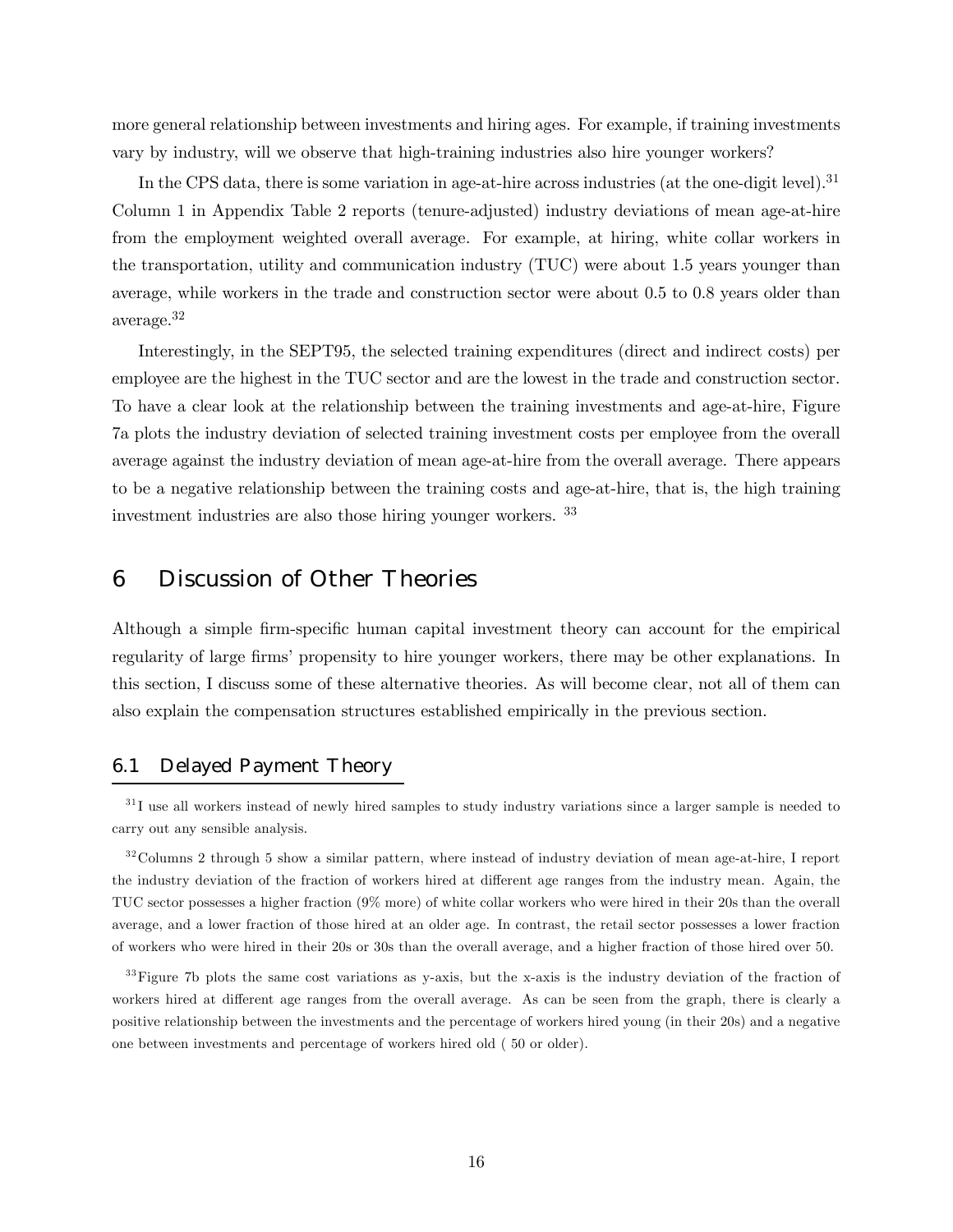more general relationship between investments and hiring ages. For example, if training investments vary by industry, will we observe that high-training industries also hire younger workers?

In the CPS data, there is some variation in age-at-hire across industries (at the one-digit level).<sup>31</sup> Column 1 in Appendix Table 2 reports (tenure-adjusted) industry deviations of mean age-at-hire from the employment weighted overall average. For example, at hiring, white collar workers in the transportation, utility and communication industry (TUC) were about 1.5 years younger than average, while workers in the trade and construction sector were about 0.5 to 0.8 years older than average.32

Interestingly, in the SEPT95, the selected training expenditures (direct and indirect costs) per employee are the highest in the TUC sector and are the lowest in the trade and construction sector. To have a clear look at the relationship between the training investments and age-at-hire, Figure 7a plots the industry deviation of selected training investment costs per employee from the overall average against the industry deviation of mean age-at-hire from the overall average. There appears to be a negative relationship between the training costs and age-at-hire, that is, the high training investment industries are also those hiring younger workers. <sup>33</sup>

# 6 Discussion of Other Theories

Although a simple firm-specific human capital investment theory can account for the empirical regularity of large firms' propensity to hire younger workers, there may be other explanations. In this section, I discuss some of these alternative theories. As will become clear, not all of them can also explain the compensation structures established empirically in the previous section.

### 6.1 Delayed Payment Theory

 $31$  I use all workers instead of newly hired samples to study industry variations since a larger sample is needed to carry out any sensible analysis.

<sup>32</sup> Columns 2 through 5 show a similar pattern, where instead of industry deviation of mean age-at-hire, I report the industry deviation of the fraction of workers hired at different age ranges from the industry mean. Again, the TUC sector possesses a higher fraction (9% more) of white collar workers who were hired in their 20s than the overall average, and a lower fraction of those hired at an older age. In contrast, the retail sector possesses a lower fraction of workers who were hired in their 20s or 30s than the overall average, and a higher fraction of those hired over 50.

 $33$ Figure 7b plots the same cost variations as y-axis, but the x-axis is the industry deviation of the fraction of workers hired at different age ranges from the overall average. As can be seen from the graph, there is clearly a positive relationship between the investments and the percentage of workers hired young (in their 20s) and a negative one between investments and percentage of workers hired old ( 50 or older).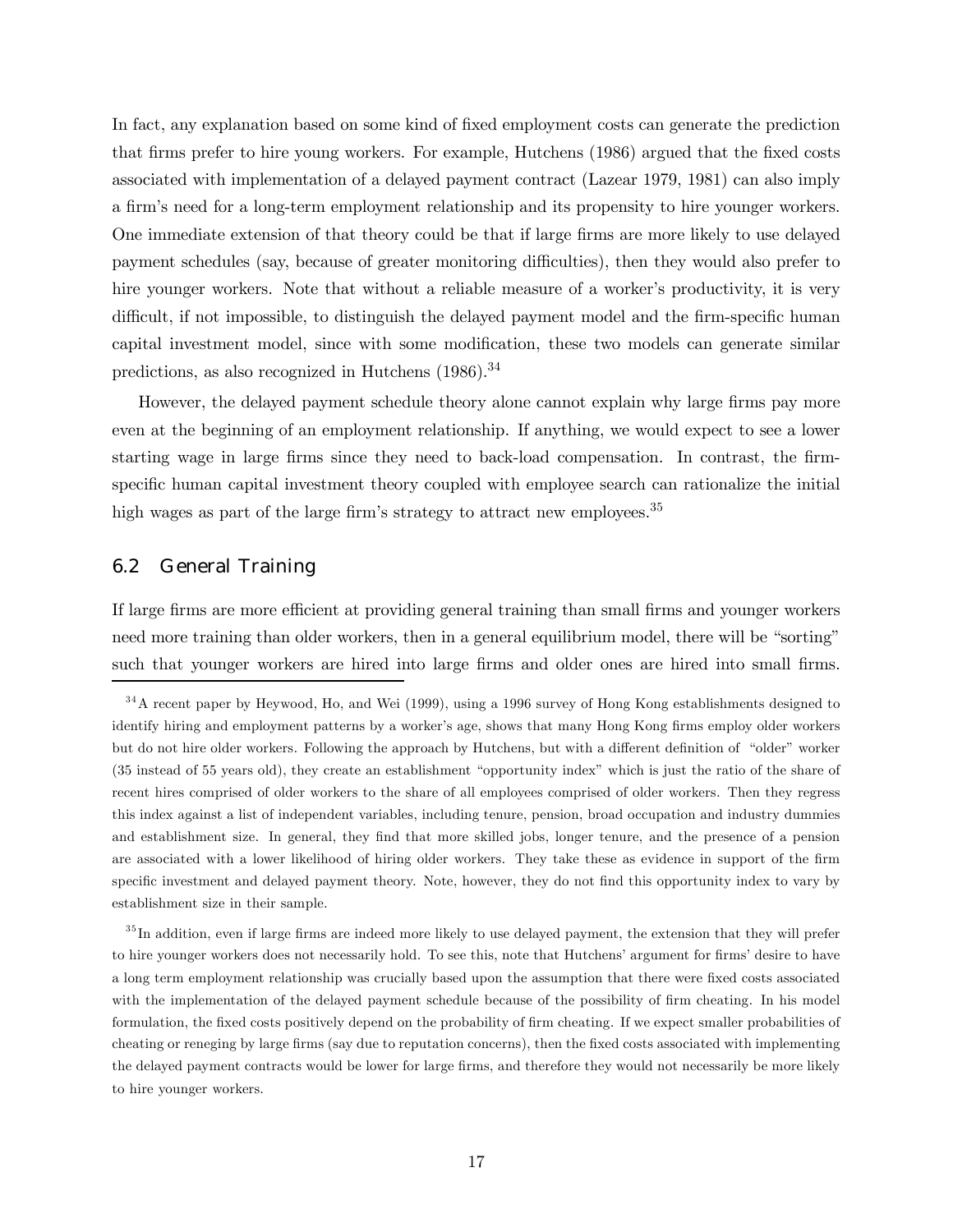In fact, any explanation based on some kind of fixed employment costs can generate the prediction that firms prefer to hire young workers. For example, Hutchens (1986) argued that the fixed costs associated with implementation of a delayed payment contract (Lazear 1979, 1981) can also imply a firmís need for a long-term employment relationship and its propensity to hire younger workers. One immediate extension of that theory could be that if large firms are more likely to use delayed payment schedules (say, because of greater monitoring difficulties), then they would also prefer to hire younger workers. Note that without a reliable measure of a worker's productivity, it is very difficult, if not impossible, to distinguish the delayed payment model and the firm-specific human capital investment model, since with some modification, these two models can generate similar predictions, as also recognized in Hutchens (1986).34

However, the delayed payment schedule theory alone cannot explain why large firms pay more even at the beginning of an employment relationship. If anything, we would expect to see a lower starting wage in large firms since they need to back-load compensation. In contrast, the firmspecific human capital investment theory coupled with employee search can rationalize the initial high wages as part of the large firm's strategy to attract new employees.<sup>35</sup>

#### 6.2 General Training

If large firms are more efficient at providing general training than small firms and younger workers need more training than older workers, then in a general equilibrium model, there will be "sorting" such that younger workers are hired into large firms and older ones are hired into small firms.

<sup>&</sup>lt;sup>34</sup>A recent paper by Heywood, Ho, and Wei (1999), using a 1996 survey of Hong Kong establishments designed to identify hiring and employment patterns by a worker's age, shows that many Hong Kong firms employ older workers but do not hire older workers. Following the approach by Hutchens, but with a different definition of "older" worker (35 instead of 55 years old), they create an establishment "opportunity index" which is just the ratio of the share of recent hires comprised of older workers to the share of all employees comprised of older workers. Then they regress this index against a list of independent variables, including tenure, pension, broad occupation and industry dummies and establishment size. In general, they find that more skilled jobs, longer tenure, and the presence of a pension are associated with a lower likelihood of hiring older workers. They take these as evidence in support of the firm specific investment and delayed payment theory. Note, however, they do not find this opportunity index to vary by establishment size in their sample.

 $35$  In addition, even if large firms are indeed more likely to use delayed payment, the extension that they will prefer to hire younger workers does not necessarily hold. To see this, note that Hutchens' argument for firms' desire to have a long term employment relationship was crucially based upon the assumption that there were fixed costs associated with the implementation of the delayed payment schedule because of the possibility of firm cheating. In his model formulation, the fixed costs positively depend on the probability of firm cheating. If we expect smaller probabilities of cheating or reneging by large firms (say due to reputation concerns), then the fixed costs associated with implementing the delayed payment contracts would be lower for large firms, and therefore they would not necessarily be more likely to hire younger workers.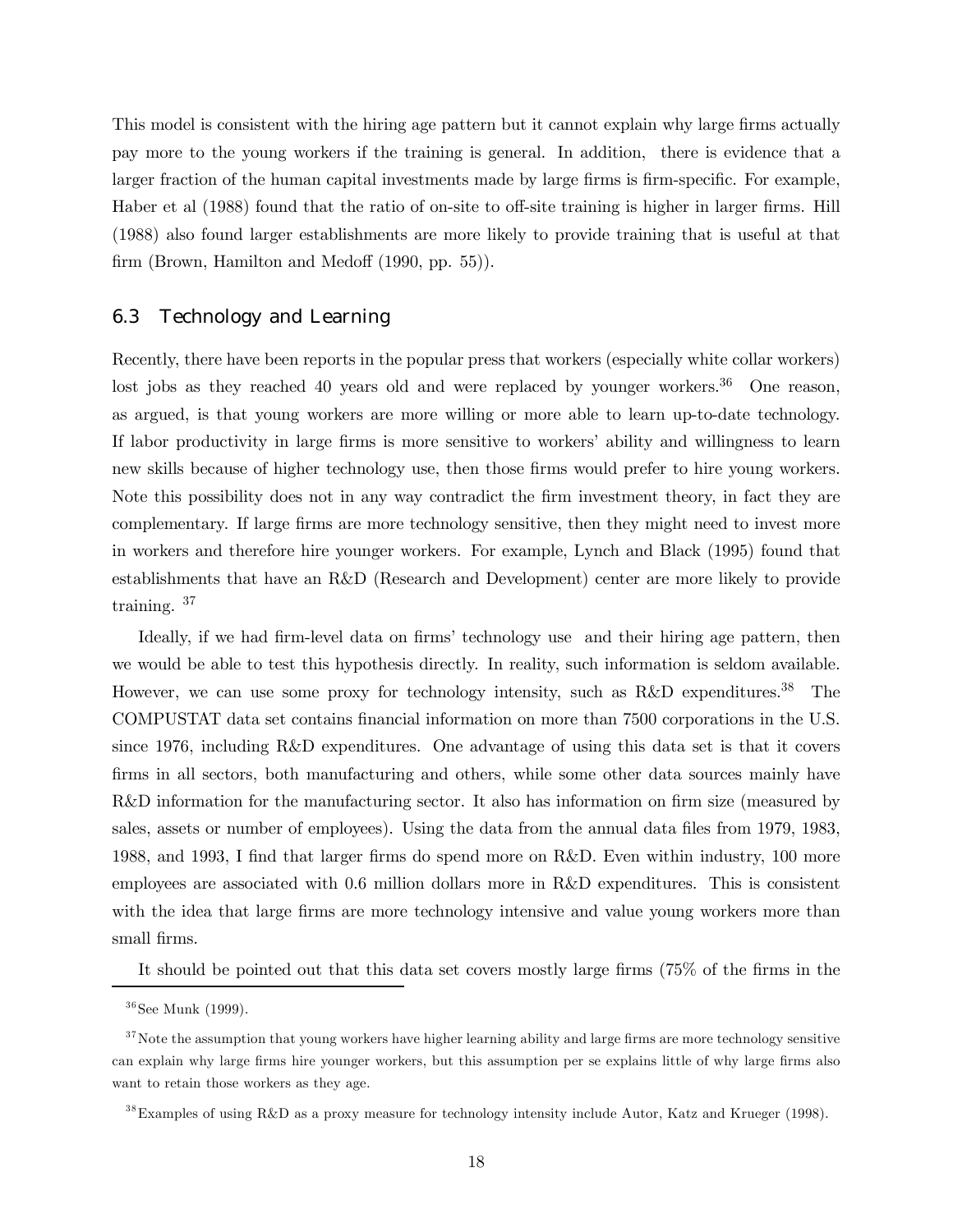This model is consistent with the hiring age pattern but it cannot explain why large firms actually pay more to the young workers if the training is general. In addition, there is evidence that a larger fraction of the human capital investments made by large firms is firm-specific. For example, Haber et al (1988) found that the ratio of on-site to off-site training is higher in larger firms. Hill (1988) also found larger establishments are more likely to provide training that is useful at that firm (Brown, Hamilton and Medoff (1990, pp. 55)).

#### 6.3 Technology and Learning

Recently, there have been reports in the popular press that workers (especially white collar workers) lost jobs as they reached 40 years old and were replaced by younger workers.<sup>36</sup> One reason, as argued, is that young workers are more willing or more able to learn up-to-date technology. If labor productivity in large firms is more sensitive to workers' ability and willingness to learn new skills because of higher technology use, then those firms would prefer to hire young workers. Note this possibility does not in any way contradict the firm investment theory, in fact they are complementary. If large firms are more technology sensitive, then they might need to invest more in workers and therefore hire younger workers. For example, Lynch and Black (1995) found that establishments that have an R&D (Research and Development) center are more likely to provide training. <sup>37</sup>

Ideally, if we had firm-level data on firms' technology use and their hiring age pattern, then we would be able to test this hypothesis directly. In reality, such information is seldom available. However, we can use some proxy for technology intensity, such as R&D expenditures.<sup>38</sup> The COMPUSTAT data set contains financial information on more than 7500 corporations in the U.S. since 1976, including R&D expenditures. One advantage of using this data set is that it covers firms in all sectors, both manufacturing and others, while some other data sources mainly have R&D information for the manufacturing sector. It also has information on firm size (measured by sales, assets or number of employees). Using the data from the annual data files from 1979, 1983, 1988, and 1993, I find that larger firms do spend more on R&D. Even within industry, 100 more employees are associated with 0.6 million dollars more in R&D expenditures. This is consistent with the idea that large firms are more technology intensive and value young workers more than small firms.

It should be pointed out that this data set covers mostly large firms (75% of the firms in the

 $36$ See Munk (1999).

 $37$  Note the assumption that young workers have higher learning ability and large firms are more technology sensitive can explain why large firms hire younger workers, but this assumption per se explains little of why large firms also want to retain those workers as they age.

<sup>&</sup>lt;sup>38</sup>Examples of using R&D as a proxy measure for technology intensity include Autor, Katz and Krueger (1998).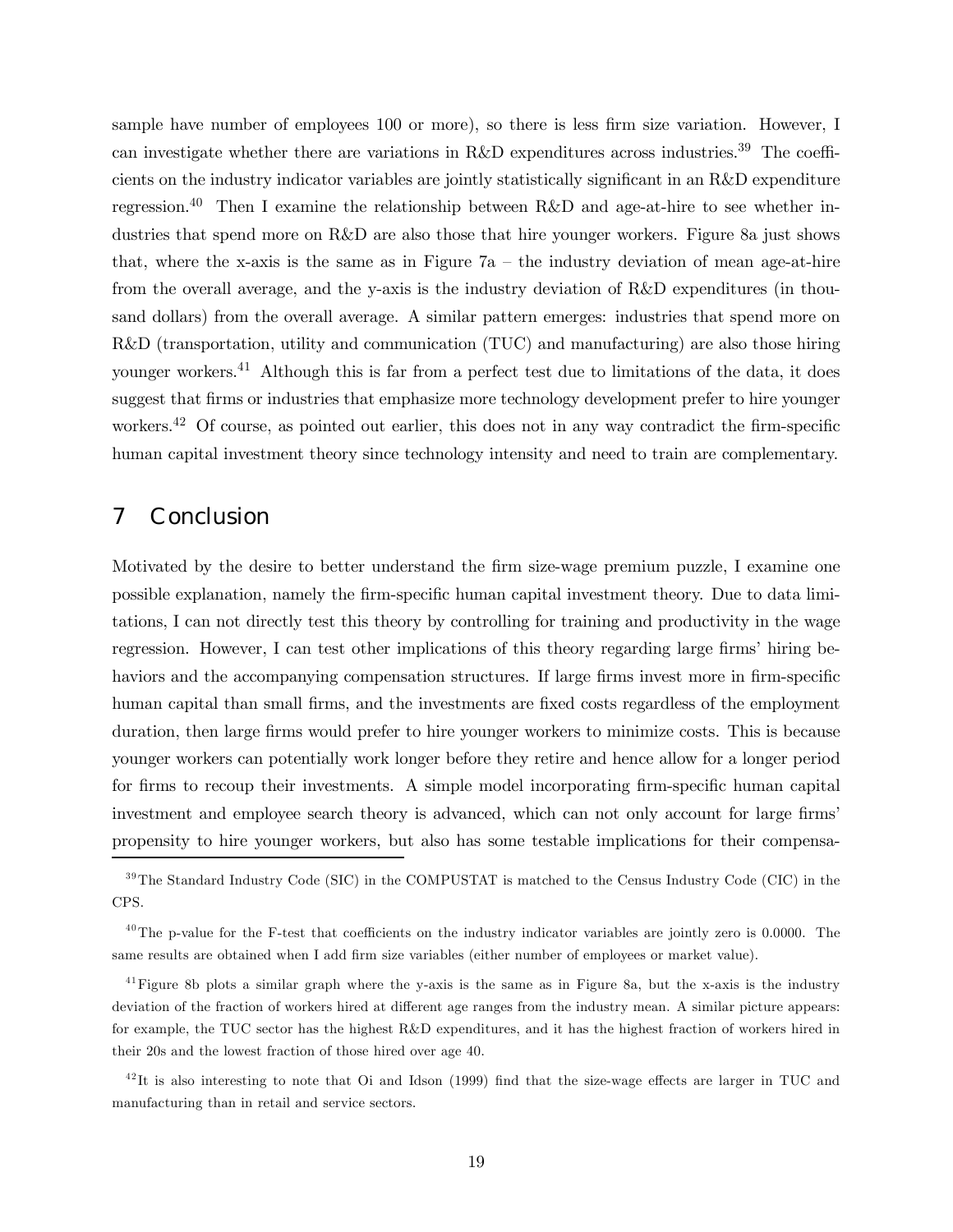sample have number of employees 100 or more), so there is less firm size variation. However, I can investigate whether there are variations in R&D expenditures across industries.<sup>39</sup> The coefficients on the industry indicator variables are jointly statistically significant in an R&D expenditure regression.<sup>40</sup> Then I examine the relationship between R&D and age-at-hire to see whether industries that spend more on R&D are also those that hire younger workers. Figure 8a just shows that, where the x-axis is the same as in Figure  $7a -$  the industry deviation of mean age-at-hire from the overall average, and the y-axis is the industry deviation of R&D expenditures (in thousand dollars) from the overall average. A similar pattern emerges: industries that spend more on R&D (transportation, utility and communication (TUC) and manufacturing) are also those hiring younger workers.41 Although this is far from a perfect test due to limitations of the data, it does suggest that firms or industries that emphasize more technology development prefer to hire younger workers.<sup>42</sup> Of course, as pointed out earlier, this does not in any way contradict the firm-specific human capital investment theory since technology intensity and need to train are complementary.

# 7 Conclusion

Motivated by the desire to better understand the firm size-wage premium puzzle, I examine one possible explanation, namely the firm-specific human capital investment theory. Due to data limitations, I can not directly test this theory by controlling for training and productivity in the wage regression. However, I can test other implications of this theory regarding large firms' hiring behaviors and the accompanying compensation structures. If large firms invest more in firm-specific human capital than small firms, and the investments are fixed costs regardless of the employment duration, then large firms would prefer to hire younger workers to minimize costs. This is because younger workers can potentially work longer before they retire and hence allow for a longer period for firms to recoup their investments. A simple model incorporating firm-specific human capital investment and employee search theory is advanced, which can not only account for large firms' propensity to hire younger workers, but also has some testable implications for their compensa-

<sup>&</sup>lt;sup>39</sup>The Standard Industry Code (SIC) in the COMPUSTAT is matched to the Census Industry Code (CIC) in the CPS.

 $^{40}$ The p-value for the F-test that coefficients on the industry indicator variables are jointly zero is 0.0000. The same results are obtained when I add firm size variables (either number of employees or market value).

 $41$  Figure 8b plots a similar graph where the y-axis is the same as in Figure 8a, but the x-axis is the industry deviation of the fraction of workers hired at different age ranges from the industry mean. A similar picture appears: for example, the TUC sector has the highest R&D expenditures, and it has the highest fraction of workers hired in their 20s and the lowest fraction of those hired over age 40.

 $^{42}$ It is also interesting to note that Oi and Idson (1999) find that the size-wage effects are larger in TUC and manufacturing than in retail and service sectors.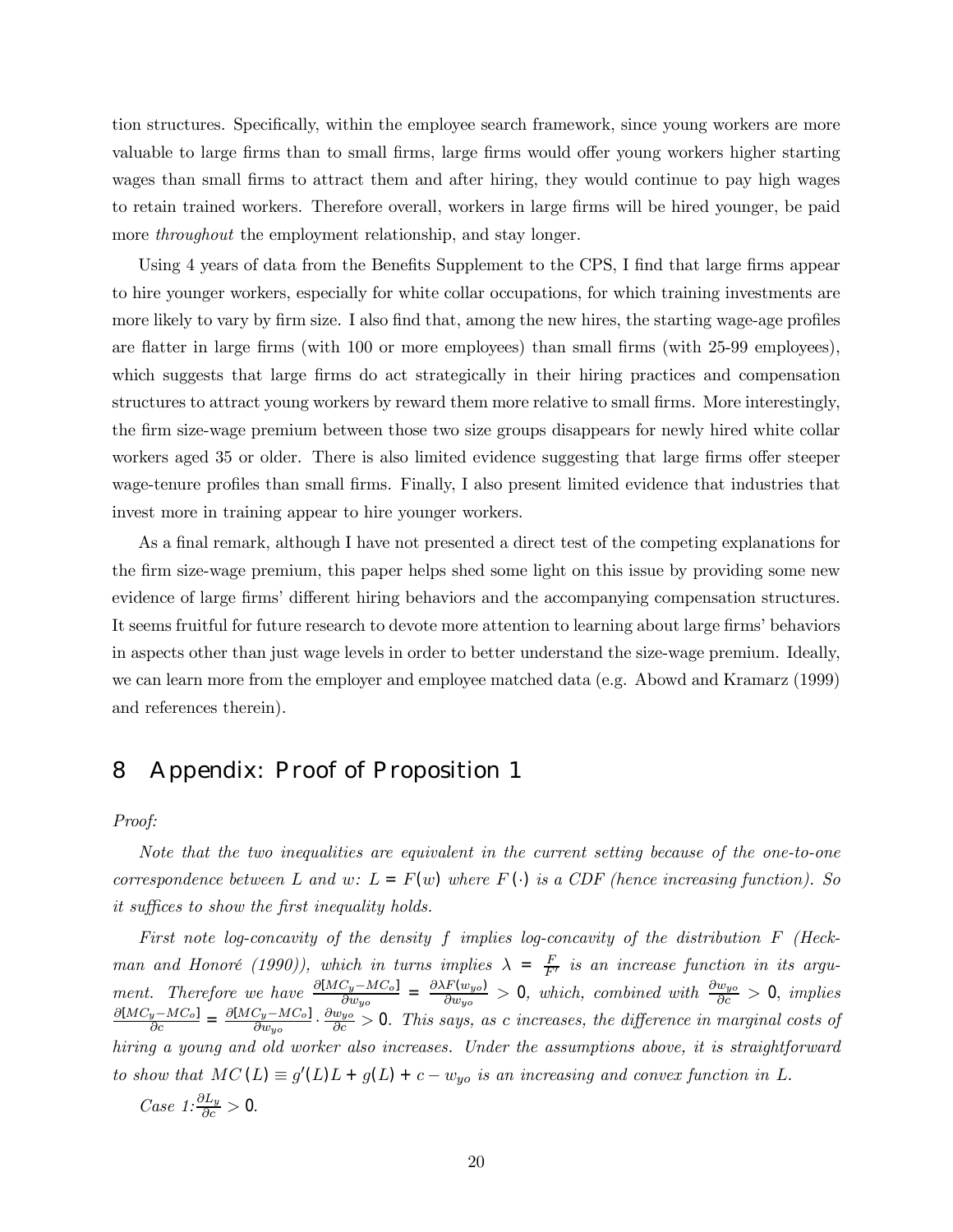tion structures. Specifically, within the employee search framework, since young workers are more valuable to large firms than to small firms, large firms would offer young workers higher starting wages than small firms to attract them and after hiring, they would continue to pay high wages to retain trained workers. Therefore overall, workers in large firms will be hired younger, be paid more *throughout* the employment relationship, and stay longer.

Using 4 years of data from the Benefits Supplement to the CPS, I find that large firms appear to hire younger workers, especially for white collar occupations, for which training investments are more likely to vary by firm size. I also find that, among the new hires, the starting wage-age profiles are flatter in large firms (with 100 or more employees) than small firms (with 25-99 employees), which suggests that large firms do act strategically in their hiring practices and compensation structures to attract young workers by reward them more relative to small firms. More interestingly, the firm size-wage premium between those two size groups disappears for newly hired white collar workers aged 35 or older. There is also limited evidence suggesting that large firms offer steeper wage-tenure profiles than small firms. Finally, I also present limited evidence that industries that invest more in training appear to hire younger workers.

As a final remark, although I have not presented a direct test of the competing explanations for the firm size-wage premium, this paper helps shed some light on this issue by providing some new evidence of large firms' different hiring behaviors and the accompanying compensation structures. It seems fruitful for future research to devote more attention to learning about large firms' behaviors in aspects other than just wage levels in order to better understand the size-wage premium. Ideally, we can learn more from the employer and employee matched data (e.g. Abowd and Kramarz (1999) and references therein).

# 8 Appendix: Proof of Proposition 1

Proof:

Note that the two inequalities are equivalent in the current setting because of the one-to-one correspondence between L and w:  $L = F(w)$  where  $F(\cdot)$  is a CDF (hence increasing function). So it suffices to show the first inequality holds.

First note log-concavity of the density f implies log-concavity of the distribution F (Heckman and Honoré (1990)), which in turns implies  $\lambda = \frac{F}{F'}$  is an increase function in its argument. Therefore we have  $\frac{\partial [MC_y - MC_o]}{\partial w_{yo}} = \frac{\partial \lambda F(w_{yo})}{\partial w_{yo}} > 0$ , which, combined with  $\frac{\partial w_{yo}}{\partial c} > 0$ , implies  $\frac{\partial [MC_y - MC_o]}{\partial c} = \frac{\partial [MC_y - MC_o]}{\partial w_{yo}} \cdot \frac{\partial w_{yo}}{\partial c} > 0$ . This says, as c increases, the difference in marginal costs of hiring a young and old worker also increases. Under the assumptions above, it is straightforward to show that  $MC(L) \equiv g'(L)L + g(L) + c - w_{yo}$  is an increasing and convex function in L.

Case  $1: \frac{\partial L_y}{\partial c} > 0$ .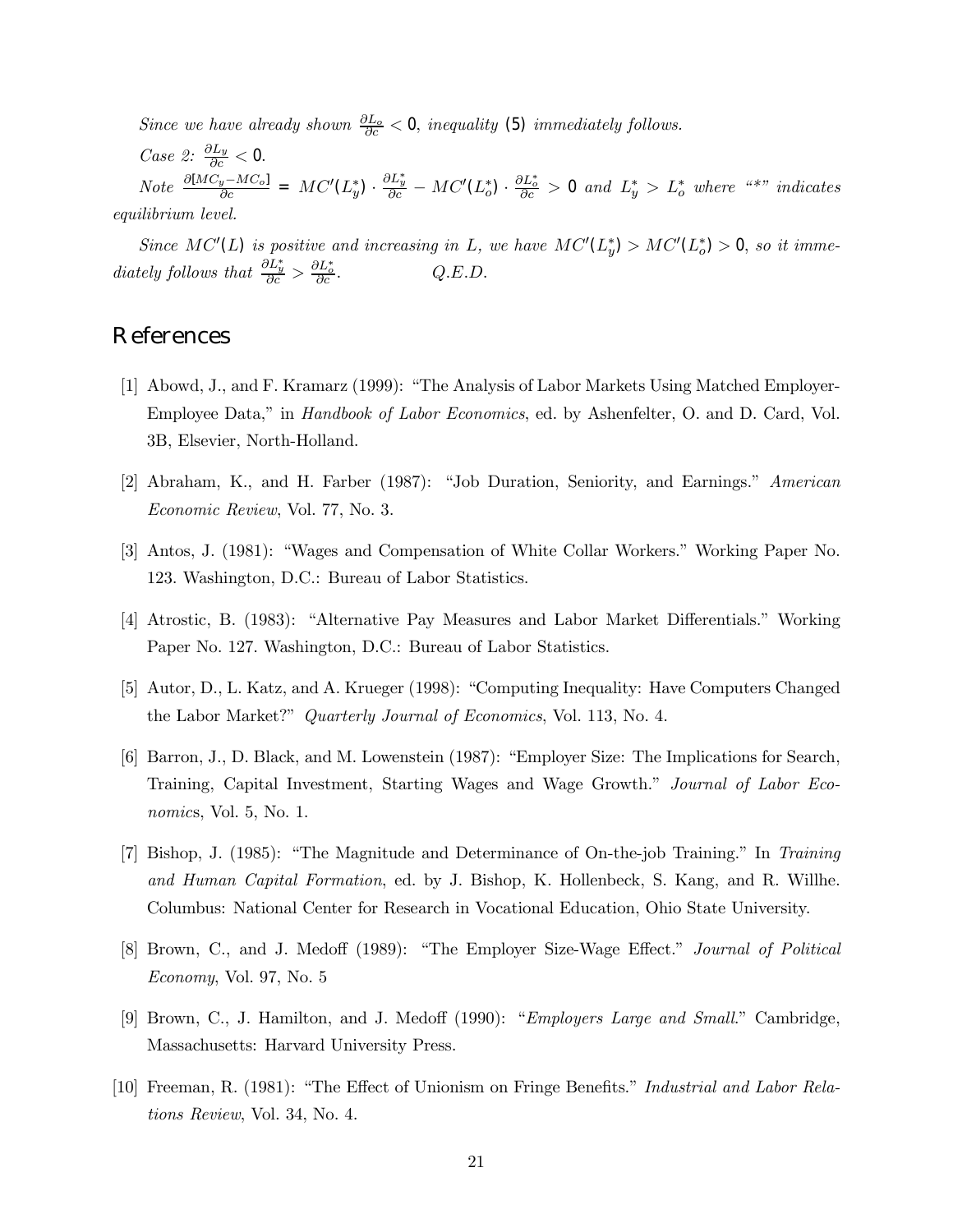Since we have already shown  $\frac{\partial L_o}{\partial c} < 0$ , inequality (5) immediately follows.

Case 2:  $\frac{\partial L_y}{\partial c} < 0$ .

Note  $\frac{\partial [MC_y - MC_o]}{\partial c}$  =  $MC'(L_y^*) \cdot \frac{\partial L_y^*}{\partial c} - MC'(L_o^*) \cdot \frac{\partial L_o^*}{\partial c} > 0$  and  $L_y^* > L_o^*$  where "\*" indicates equilibrium level.

Since  $MC'(L)$  is positive and increasing in L, we have  $MC'(L_y^*) > MC'(L_o^*) > 0$ , so it immediately follows that  $\frac{\partial L_y^*}{\partial c} > \frac{\partial L_o^*}{\partial c}$  $Q.E.D.$ 

# **References**

- [1] Abowd, J., and F. Kramarz (1999): "The Analysis of Labor Markets Using Matched Employer-Employee Data," in *Handbook of Labor Economics*, ed. by Ashenfelter, O. and D. Card, Vol. 3B, Elsevier, North-Holland.
- [2] Abraham, K., and H. Farber (1987): "Job Duration, Seniority, and Earnings." American Economic Review, Vol. 77, No. 3.
- [3] Antos, J. (1981): "Wages and Compensation of White Collar Workers." Working Paper No. 123. Washington, D.C.: Bureau of Labor Statistics.
- [4] Atrostic, B. (1983): "Alternative Pay Measures and Labor Market Differentials." Working Paper No. 127. Washington, D.C.: Bureau of Labor Statistics.
- [5] Autor, D., L. Katz, and A. Krueger (1998): "Computing Inequality: Have Computers Changed the Labor Market?" *Quarterly Journal of Economics*, Vol. 113, No. 4.
- [6] Barron, J., D. Black, and M. Lowenstein (1987): "Employer Size: The Implications for Search, Training, Capital Investment, Starting Wages and Wage Growth." Journal of Labor Economics, Vol. 5, No. 1.
- [7] Bishop, J.  $(1985)$ : "The Magnitude and Determinance of On-the-job Training." In Training and Human Capital Formation, ed. by J. Bishop, K. Hollenbeck, S. Kang, and R. Willhe. Columbus: National Center for Research in Vocational Education, Ohio State University.
- [8] Brown, C., and J. Medoff (1989): "The Employer Size-Wage Effect." Journal of Political Economy, Vol. 97, No. 5
- [9] Brown, C., J. Hamilton, and J. Medoff (1990): "*Employers Large and Small.*" Cambridge, Massachusetts: Harvard University Press.
- [10] Freeman, R. (1981): "The Effect of Unionism on Fringe Benefits." Industrial and Labor Relations Review, Vol. 34, No. 4.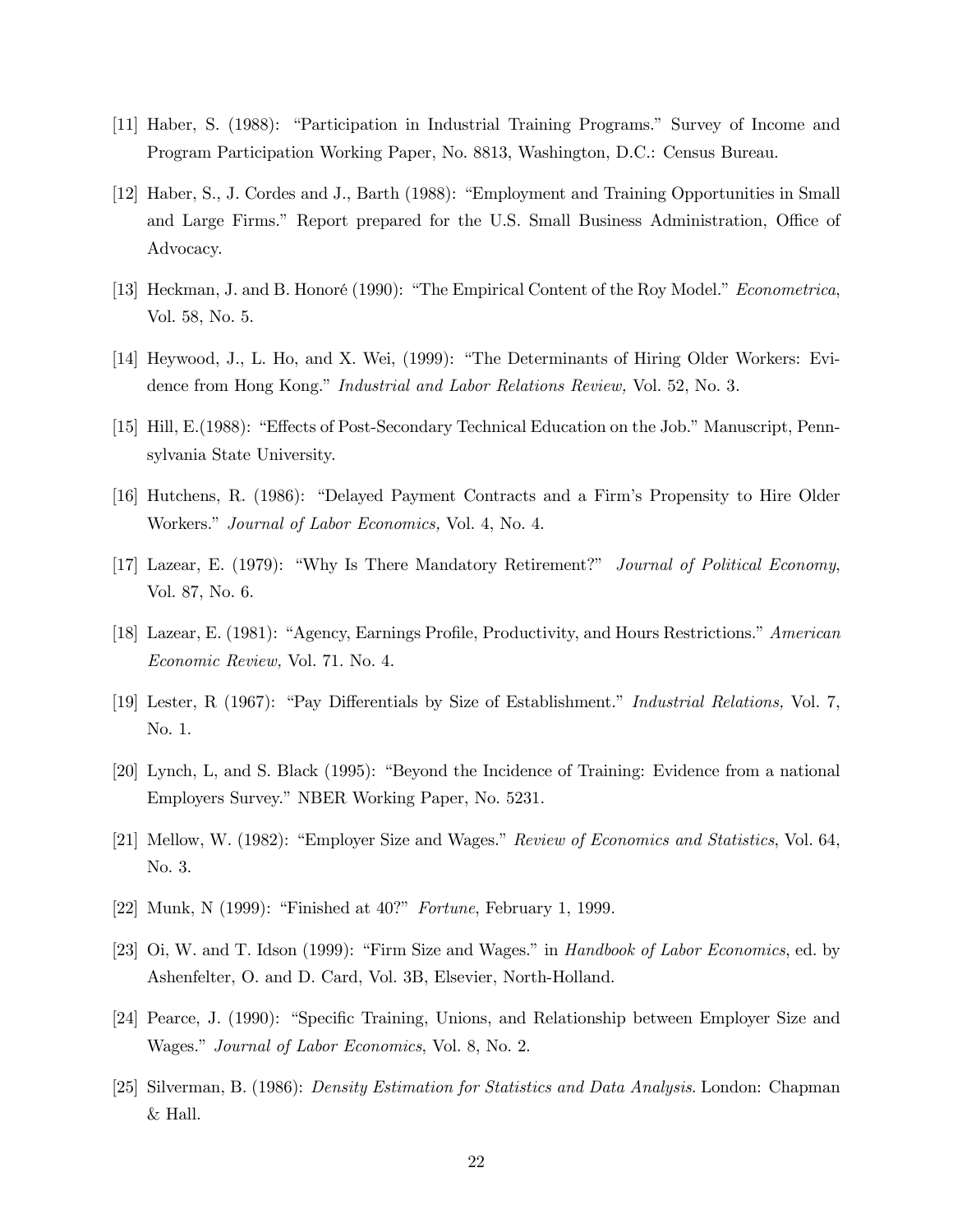- [11] Haber, S. (1988): "Participation in Industrial Training Programs." Survey of Income and Program Participation Working Paper, No. 8813, Washington, D.C.: Census Bureau.
- [12] Haber, S., J. Cordes and J., Barth (1988): "Employment and Training Opportunities in Small and Large Firms." Report prepared for the U.S. Small Business Administration, Office of Advocacy.
- [13] Heckman, J. and B. Honoré (1990): "The Empirical Content of the Roy Model." Econometrica, Vol. 58, No. 5.
- [14] Heywood, J., L. Ho, and X. Wei, (1999): "The Determinants of Hiring Older Workers: Evidence from Hong Kong." *Industrial and Labor Relations Review*, Vol. 52, No. 3.
- [15] Hill, E.(1988): "Effects of Post-Secondary Technical Education on the Job." Manuscript, Pennsylvania State University.
- [16] Hutchens, R. (1986): "Delayed Payment Contracts and a Firm's Propensity to Hire Older Workers.î Journal of Labor Economics, Vol. 4, No. 4.
- [17] Lazear, E. (1979): "Why Is There Mandatory Retirement?" Journal of Political Economy, Vol. 87, No. 6.
- [18] Lazear, E. (1981): "Agency, Earnings Profile, Productivity, and Hours Restrictions." American Economic Review, Vol. 71. No. 4.
- [19] Lester, R (1967): "Pay Differentials by Size of Establishment." Industrial Relations, Vol. 7, No. 1.
- [20] Lynch, L, and S. Black (1995): "Beyond the Incidence of Training: Evidence from a national Employers Survey.î NBER Working Paper, No. 5231.
- [21] Mellow, W. (1982): "Employer Size and Wages." Review of Economics and Statistics, Vol. 64, No. 3.
- [22] Munk, N  $(1999)$ : "Finished at  $40$ ?" Fortune, February 1, 1999.
- [23] Oi, W. and T. Idson (1999): "Firm Size and Wages." in Handbook of Labor Economics, ed. by Ashenfelter, O. and D. Card, Vol. 3B, Elsevier, North-Holland.
- [24] Pearce, J. (1990): "Specific Training, Unions, and Relationship between Employer Size and Wages." *Journal of Labor Economics*, Vol. 8, No. 2.
- [25] Silverman, B. (1986): Density Estimation for Statistics and Data Analysis. London: Chapman & Hall.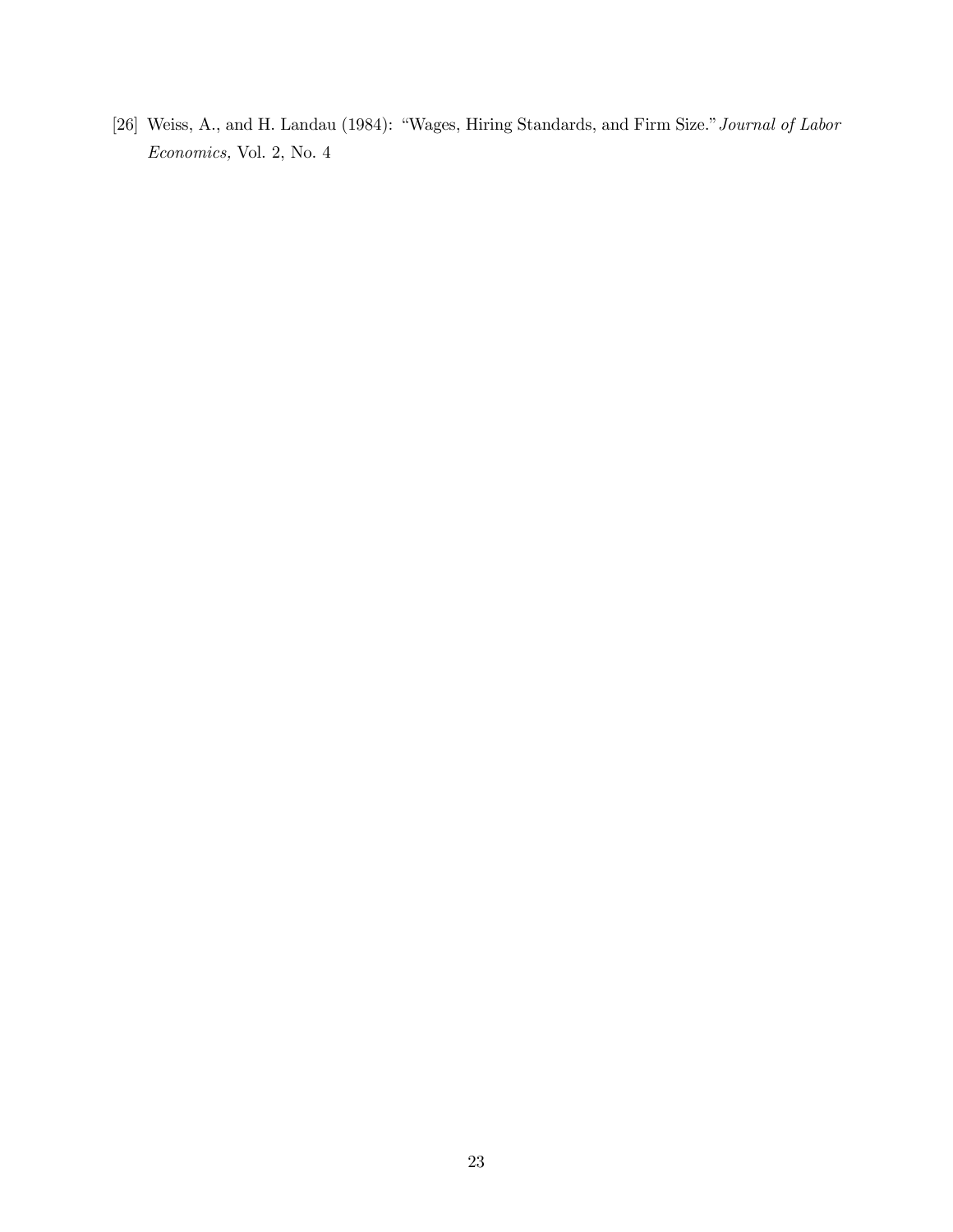[26] Weiss, A., and H. Landau (1984): "Wages, Hiring Standards, and Firm Size." Journal of Labor Economics, Vol. 2, No. 4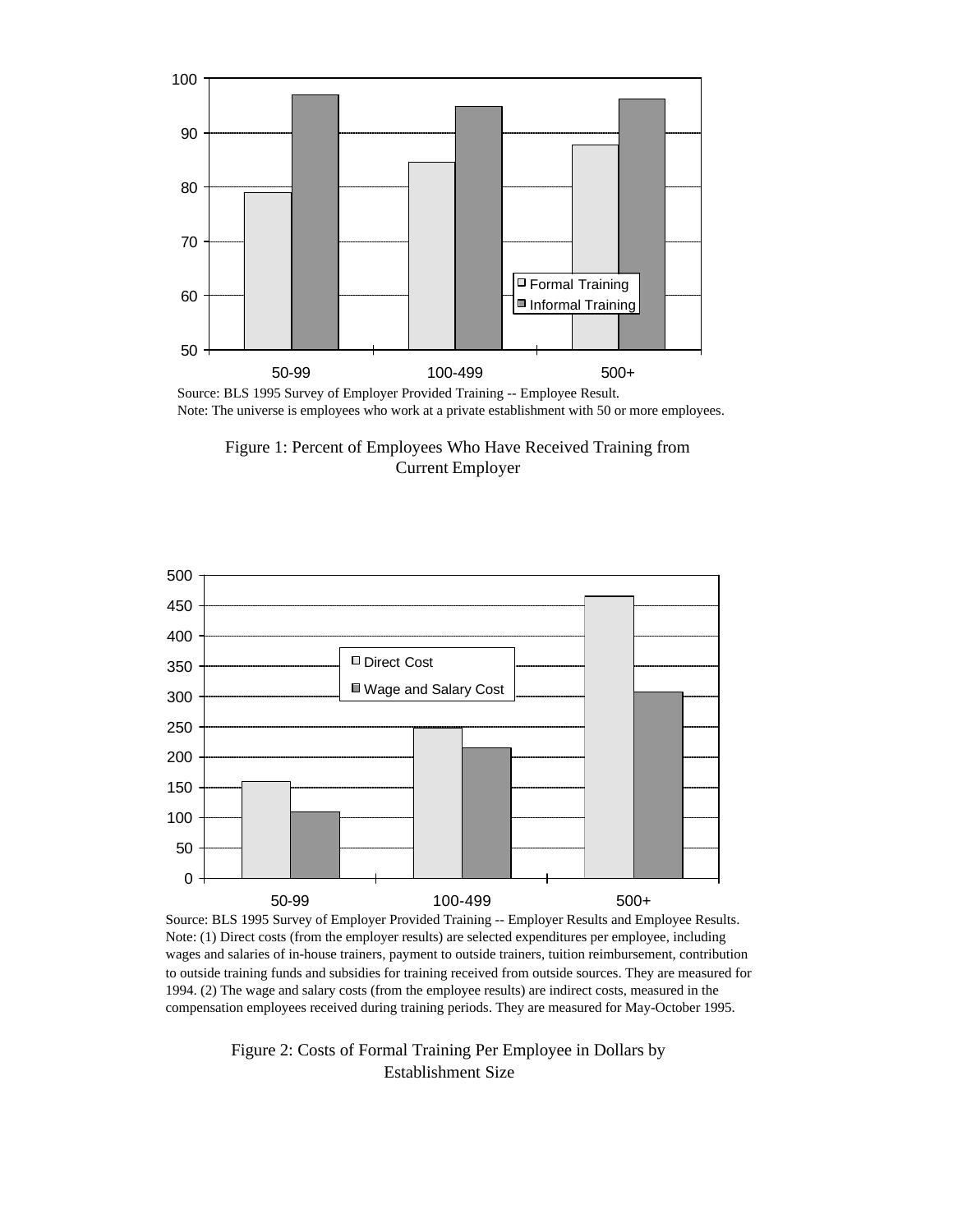

Source: BLS 1995 Survey of Employer Provided Training -- Employee Result. Note: The universe is employees who work at a private establishment with 50 or more employees.





Source: BLS 1995 Survey of Employer Provided Training -- Employer Results and Employee Results. Note: (1) Direct costs (from the employer results) are selected expenditures per employee, including wages and salaries of in-house trainers, payment to outside trainers, tuition reimbursement, contribution to outside training funds and subsidies for training received from outside sources. They are measured for 1994. (2) The wage and salary costs (from the employee results) are indirect costs, measured in the compensation employees received during training periods. They are measured for May-October 1995.

Figure 2: Costs of Formal Training Per Employee in Dollars by Establishment Size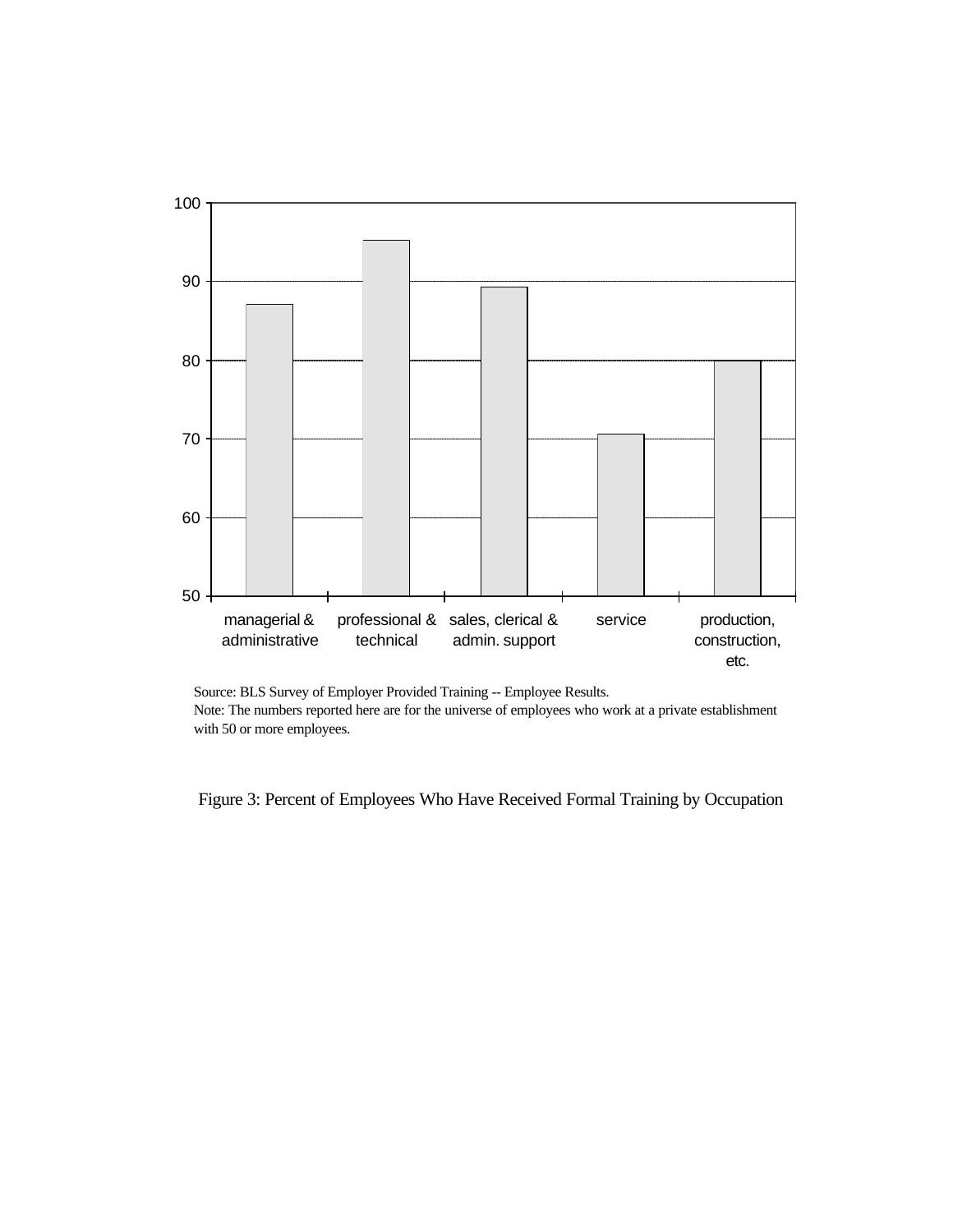

Source: BLS Survey of Employer Provided Training -- Employee Results. Note: The numbers reported here are for the universe of employees who work at a private establishment with 50 or more employees.

Figure 3: Percent of Employees Who Have Received Formal Training by Occupation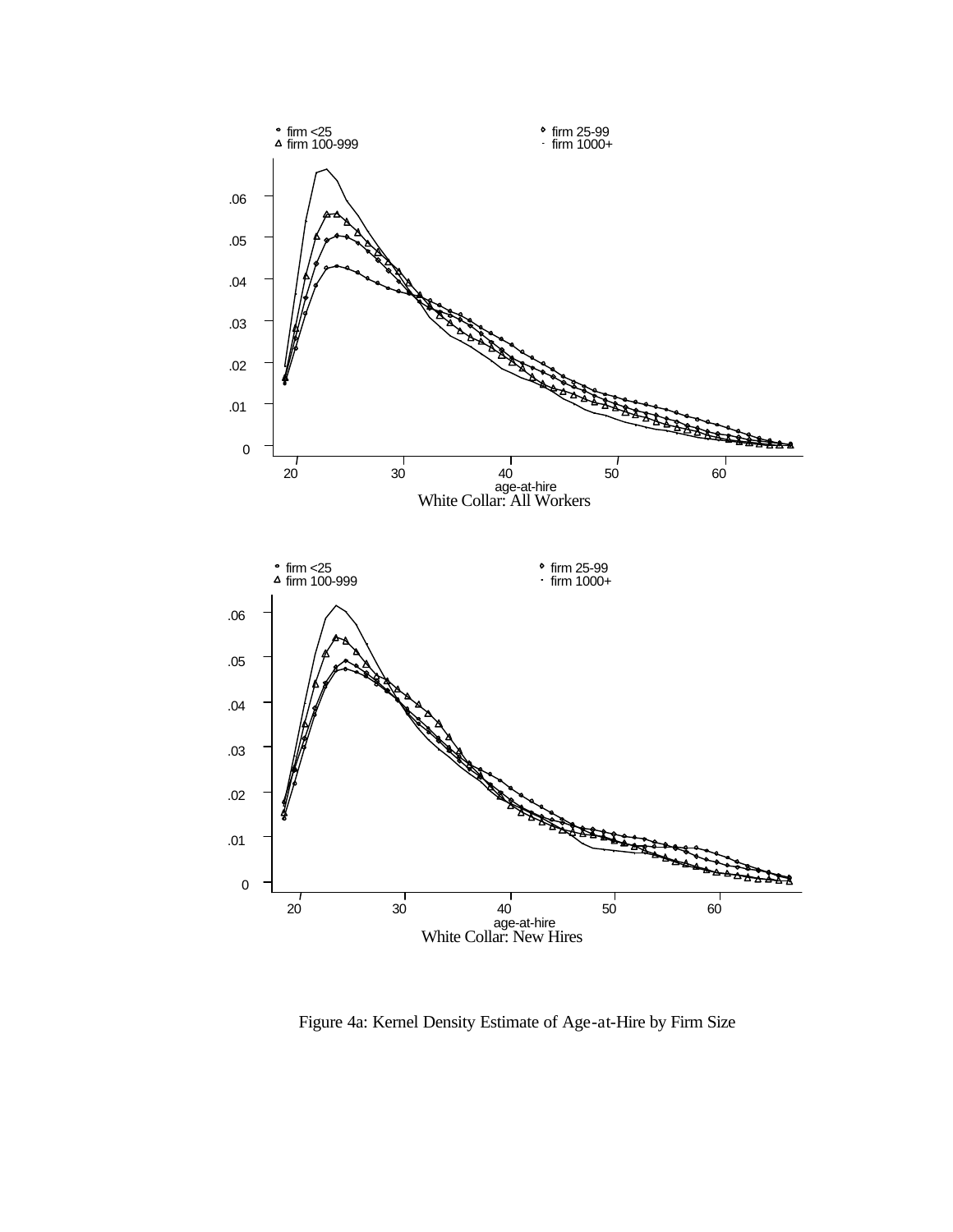

Figure 4a: Kernel Density Estimate of Age-at-Hire by Firm Size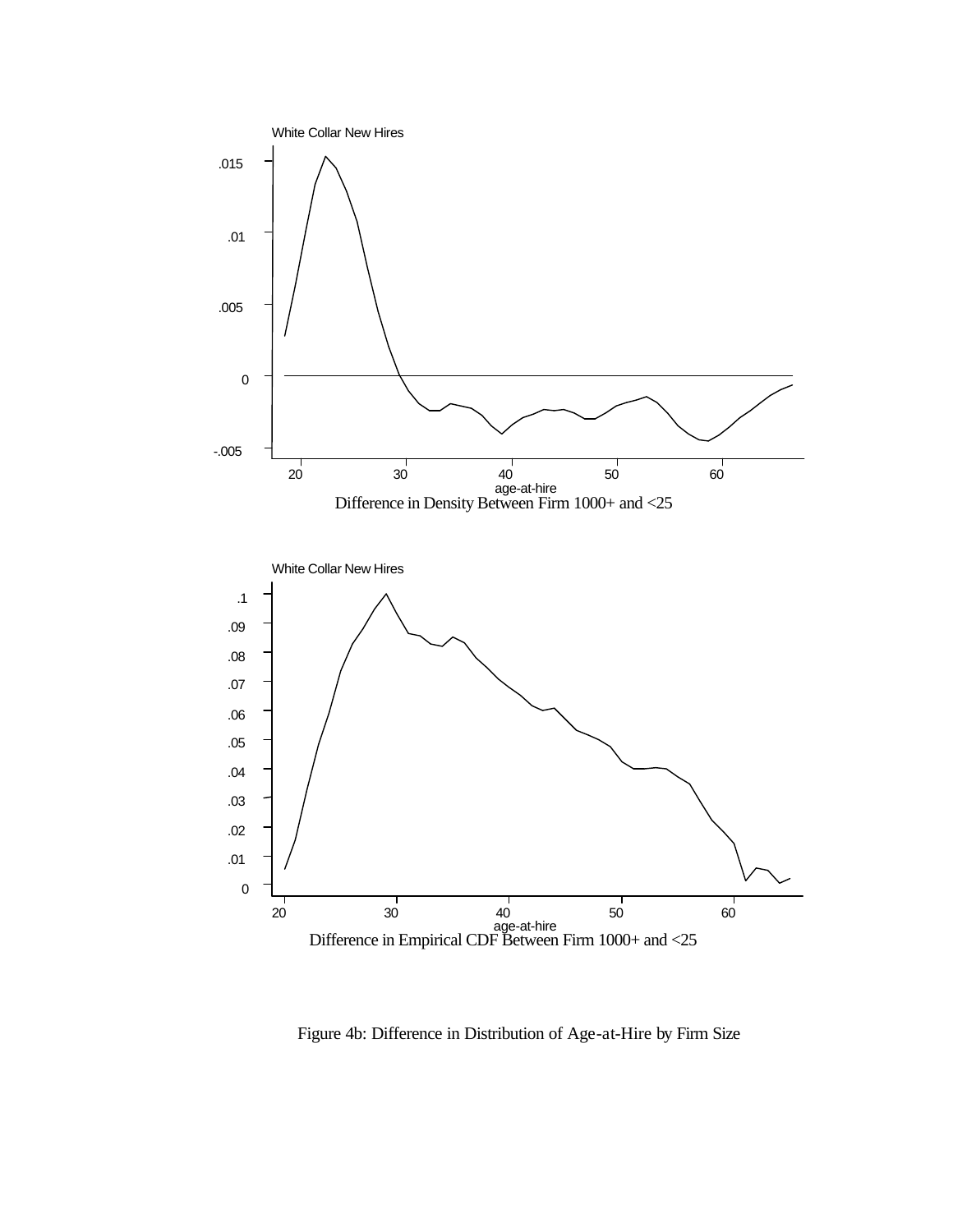

Figure 4b: Difference in Distribution of Age-at-Hire by Firm Size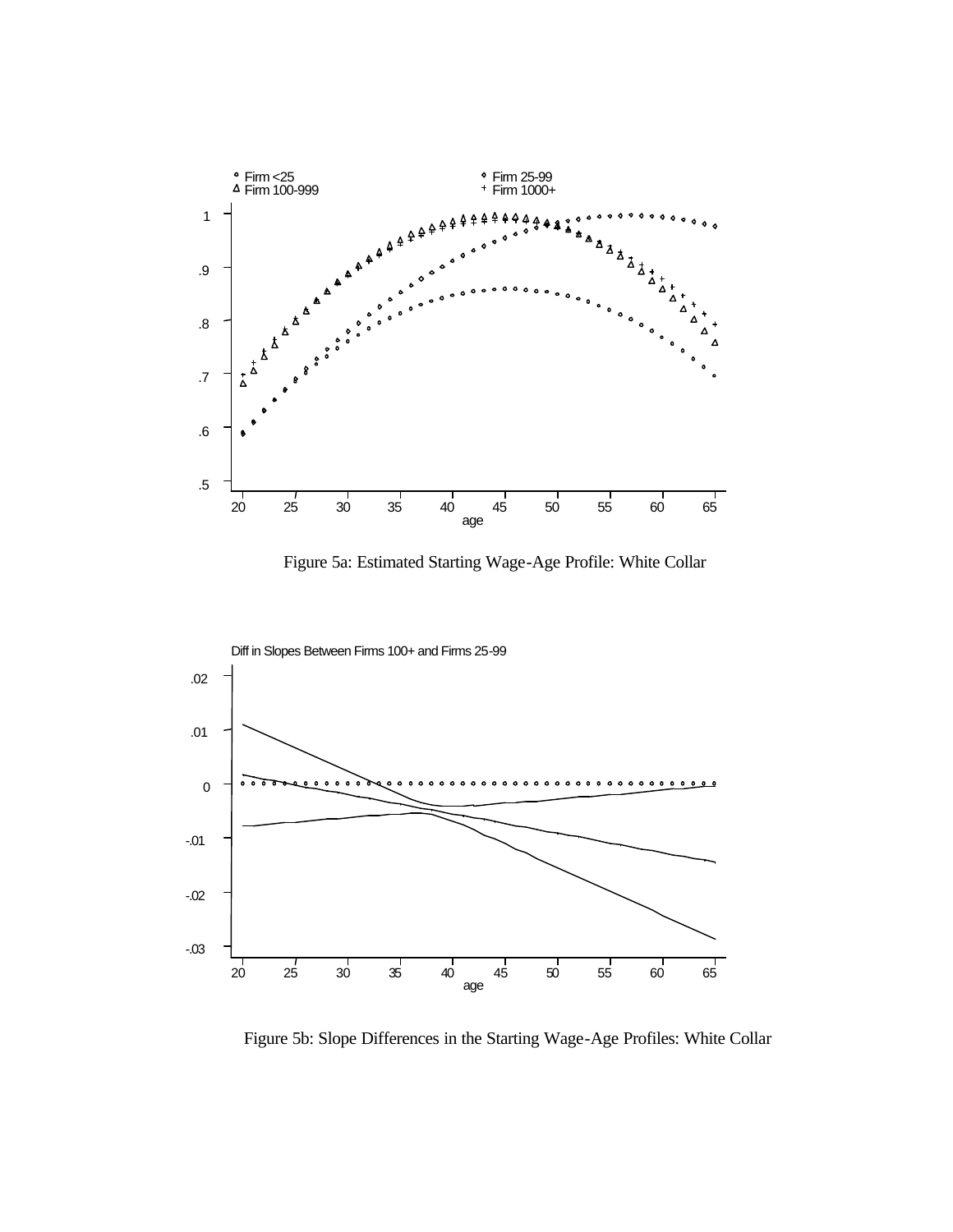

Figure 5a: Estimated Starting Wage-Age Profile: White Collar



Figure 5b: Slope Differences in the Starting Wage-Age Profiles: White Collar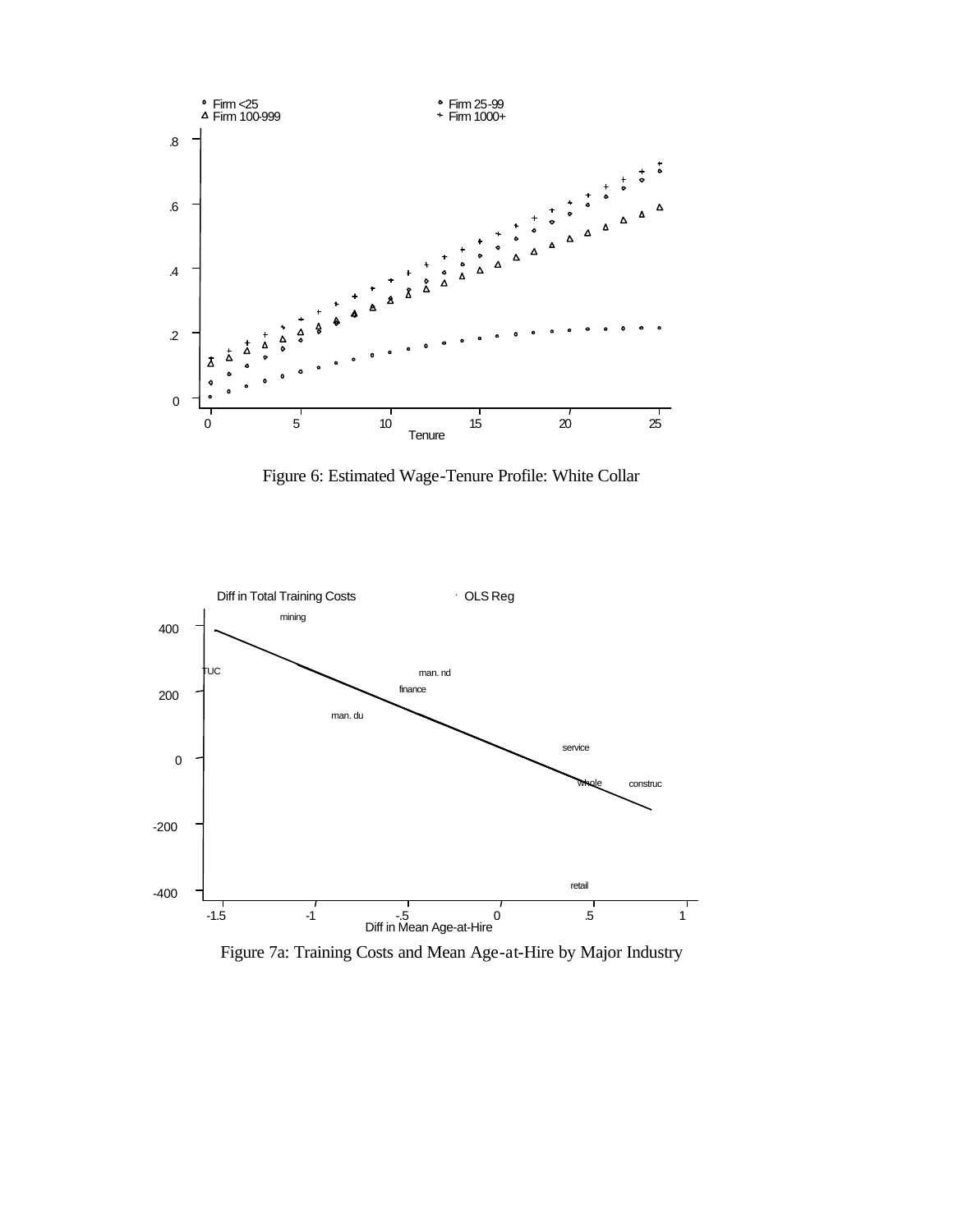

Figure 6: Estimated Wage-Tenure Profile: White Collar



Figure 7a: Training Costs and Mean Age-at-Hire by Major Industry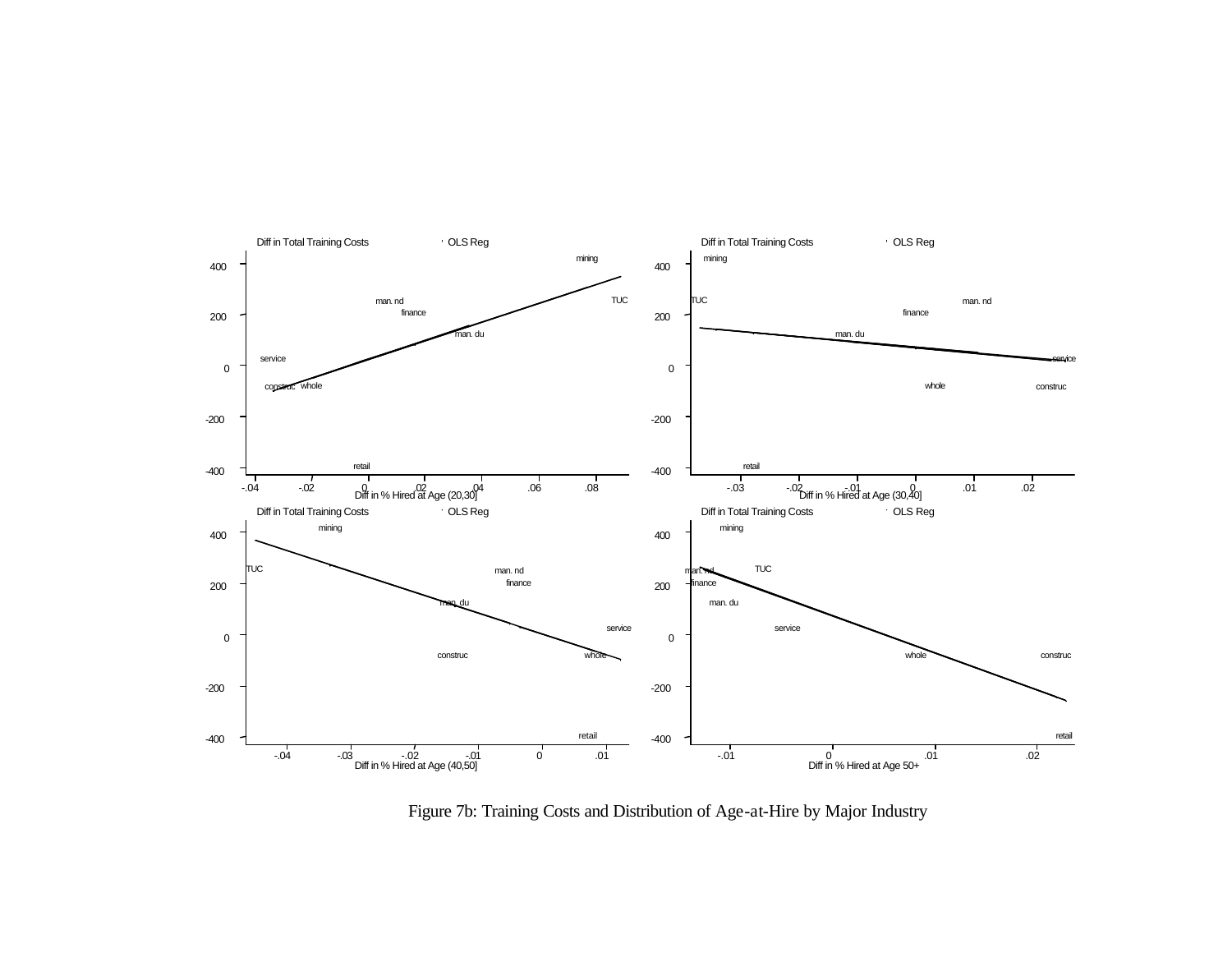

Figure 7b: Training Costs and Distribution of Age-at-Hire by Major Industry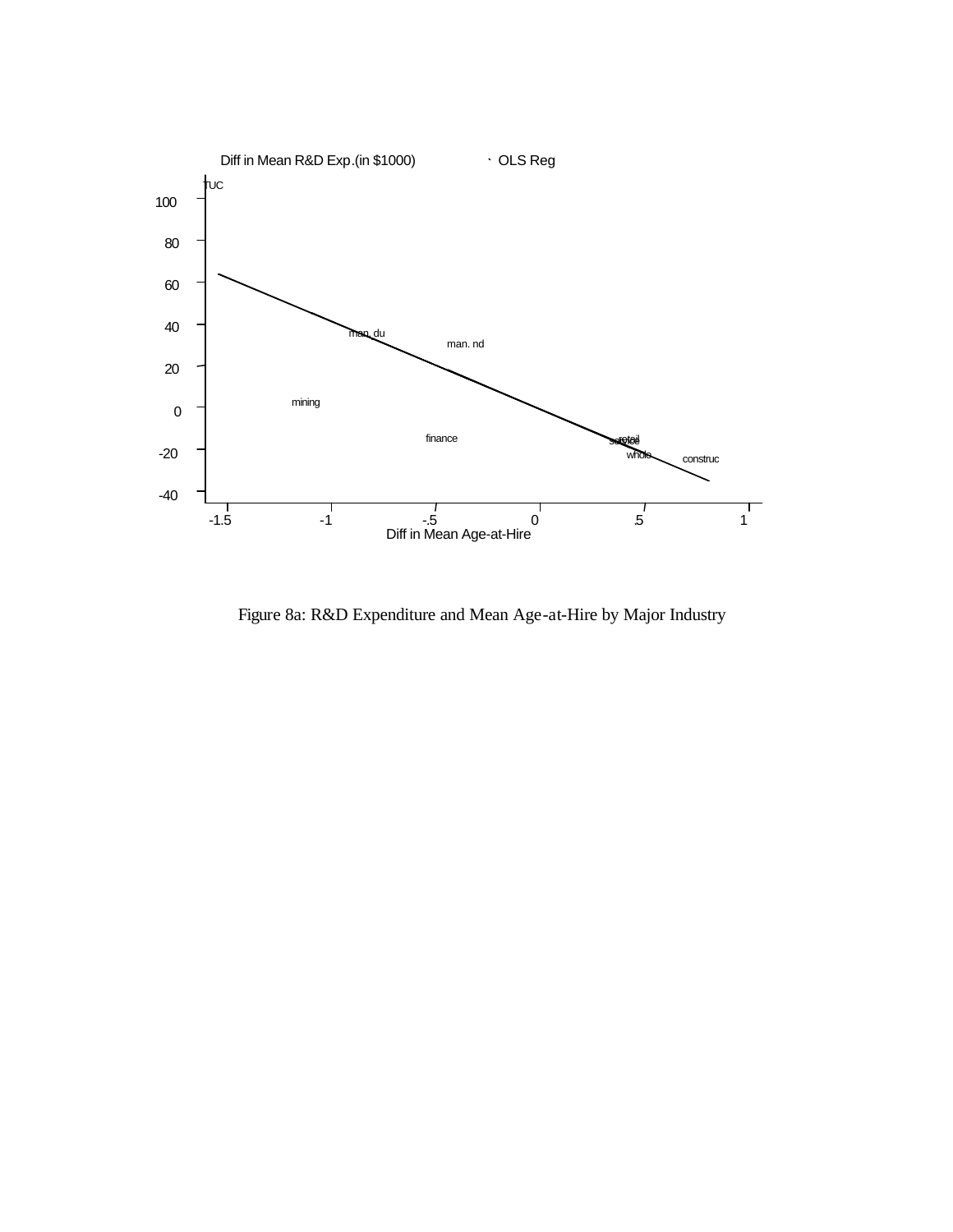

Figure 8a: R&D Expenditure and Mean Age-at-Hire by Major Industry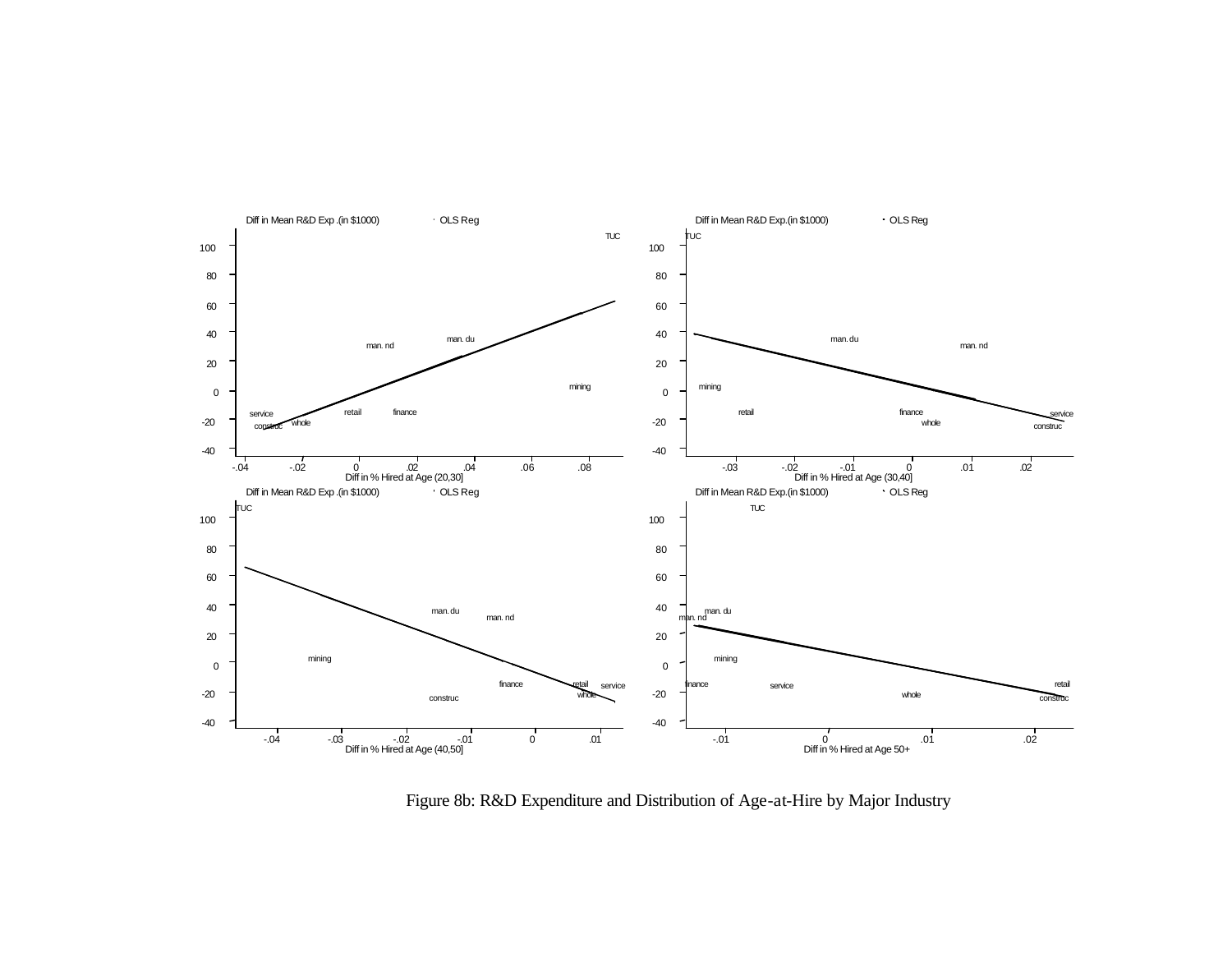

Figure 8b: R&D Expenditure and Distribution of Age-at-Hire by Major Industry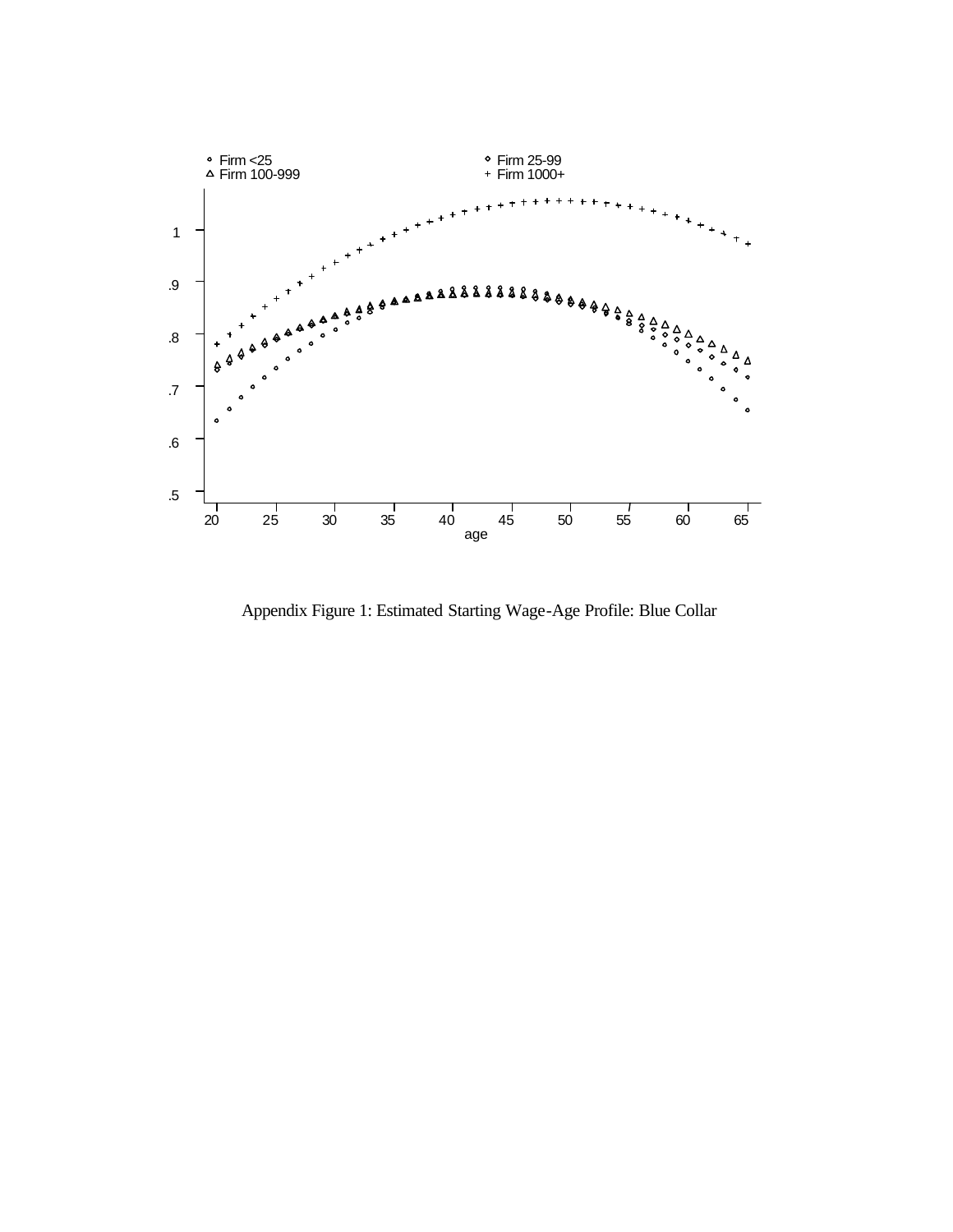

Appendix Figure 1: Estimated Starting Wage-Age Profile: Blue Collar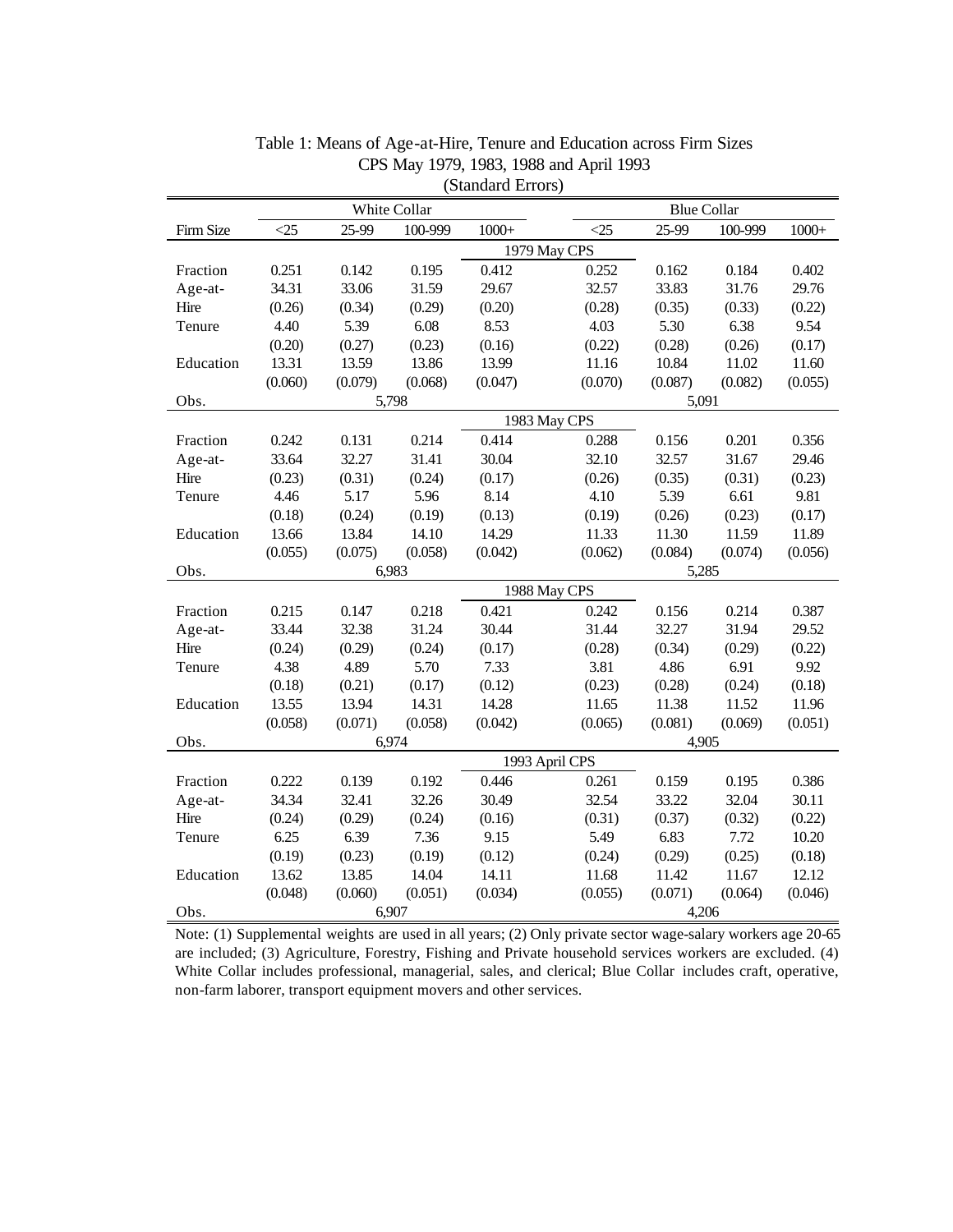| (Dianuaru Errors) |              |                |         |         |               |                    |         |         |  |  |
|-------------------|--------------|----------------|---------|---------|---------------|--------------------|---------|---------|--|--|
|                   | White Collar |                |         |         |               | <b>Blue Collar</b> |         |         |  |  |
| Firm Size         | $\leq$ 25    | 25-99          | 100-999 | $1000+$ | $\triangle 5$ | 25-99              | 100-999 | $1000+$ |  |  |
|                   |              | 1979 May CPS   |         |         |               |                    |         |         |  |  |
| Fraction          | 0.251        | 0.142          | 0.195   | 0.412   | 0.252         | 0.162              | 0.184   | 0.402   |  |  |
| Age-at-           | 34.31        | 33.06          | 31.59   | 29.67   | 32.57         | 33.83              | 31.76   | 29.76   |  |  |
| Hire              | (0.26)       | (0.34)         | (0.29)  | (0.20)  | (0.28)        | (0.35)             | (0.33)  | (0.22)  |  |  |
| Tenure            | 4.40         | 5.39           | 6.08    | 8.53    | 4.03          | 5.30               | 6.38    | 9.54    |  |  |
|                   | (0.20)       | (0.27)         | (0.23)  | (0.16)  | (0.22)        | (0.28)             | (0.26)  | (0.17)  |  |  |
| Education         | 13.31        | 13.59          | 13.86   | 13.99   | 11.16         | 10.84              | 11.02   | 11.60   |  |  |
|                   | (0.060)      | (0.079)        | (0.068) | (0.047) | (0.070)       | (0.087)            | (0.082) | (0.055) |  |  |
| Obs.              |              |                | 5,798   |         |               | 5,091              |         |         |  |  |
|                   |              |                |         |         | 1983 May CPS  |                    |         |         |  |  |
| Fraction          | 0.242        | 0.131          | 0.214   | 0.414   | 0.288         | 0.156              | 0.201   | 0.356   |  |  |
| Age-at-           | 33.64        | 32.27          | 31.41   | 30.04   | 32.10         | 32.57              | 31.67   | 29.46   |  |  |
| Hire              | (0.23)       | (0.31)         | (0.24)  | (0.17)  | (0.26)        | (0.35)             | (0.31)  | (0.23)  |  |  |
| Tenure            | 4.46         | 5.17           | 5.96    | 8.14    | 4.10          | 5.39               | 6.61    | 9.81    |  |  |
|                   | (0.18)       | (0.24)         | (0.19)  | (0.13)  | (0.19)        | (0.26)             | (0.23)  | (0.17)  |  |  |
| Education         | 13.66        | 13.84          | 14.10   | 14.29   | 11.33         | 11.30              | 11.59   | 11.89   |  |  |
|                   | (0.055)      | (0.075)        | (0.058) | (0.042) | (0.062)       | (0.084)            | (0.074) | (0.056) |  |  |
| Obs.              | 6,983        |                |         |         | 5,285         |                    |         |         |  |  |
|                   |              |                |         |         | 1988 May CPS  |                    |         |         |  |  |
| Fraction          | 0.215        | 0.147          | 0.218   | 0.421   | 0.242         | 0.156              | 0.214   | 0.387   |  |  |
| Age-at-           | 33.44        | 32.38          | 31.24   | 30.44   | 31.44         | 32.27              | 31.94   | 29.52   |  |  |
| Hire              | (0.24)       | (0.29)         | (0.24)  | (0.17)  | (0.28)        | (0.34)             | (0.29)  | (0.22)  |  |  |
| Tenure            | 4.38         | 4.89           | 5.70    | 7.33    | 3.81          | 4.86               | 6.91    | 9.92    |  |  |
|                   | (0.18)       | (0.21)         | (0.17)  | (0.12)  | (0.23)        | (0.28)             | (0.24)  | (0.18)  |  |  |
| Education         | 13.55        | 13.94          | 14.31   | 14.28   | 11.65         | 11.38              | 11.52   | 11.96   |  |  |
|                   | (0.058)      | (0.071)        | (0.058) | (0.042) | (0.065)       | (0.081)            | (0.069) | (0.051) |  |  |
| Obs.              |              |                | 6,974   |         |               | 4,905              |         |         |  |  |
|                   |              | 1993 April CPS |         |         |               |                    |         |         |  |  |
| Fraction          | 0.222        | 0.139          | 0.192   | 0.446   | 0.261         | 0.159              | 0.195   | 0.386   |  |  |
| Age-at-           | 34.34        | 32.41          | 32.26   | 30.49   | 32.54         | 33.22              | 32.04   | 30.11   |  |  |
| Hire              | (0.24)       | (0.29)         | (0.24)  | (0.16)  | (0.31)        | (0.37)             | (0.32)  | (0.22)  |  |  |
| Tenure            | 6.25         | 6.39           | 7.36    | 9.15    | 5.49          | 6.83               | 7.72    | 10.20   |  |  |
|                   | (0.19)       | (0.23)         | (0.19)  | (0.12)  | (0.24)        | (0.29)             | (0.25)  | (0.18)  |  |  |
| Education         | 13.62        | 13.85          | 14.04   | 14.11   | 11.68         | 11.42              | 11.67   | 12.12   |  |  |
|                   | (0.048)      | (0.060)        | (0.051) | (0.034) | (0.055)       | (0.071)            | (0.064) | (0.046) |  |  |
| Obs.              | 6,907        |                |         |         | 4,206         |                    |         |         |  |  |

Table 1: Means of Age-at-Hire, Tenure and Education across Firm Sizes CPS May 1979, 1983, 1988 and April 1993 (Standard Errors)

Note: (1) Supplemental weights are used in all years; (2) Only private sector wage-salary workers age 20-65 are included; (3) Agriculture, Forestry, Fishing and Private household services workers are excluded. (4) White Collar includes professional, managerial, sales, and clerical; Blue Collar includes craft, operative, non-farm laborer, transport equipment movers and other services.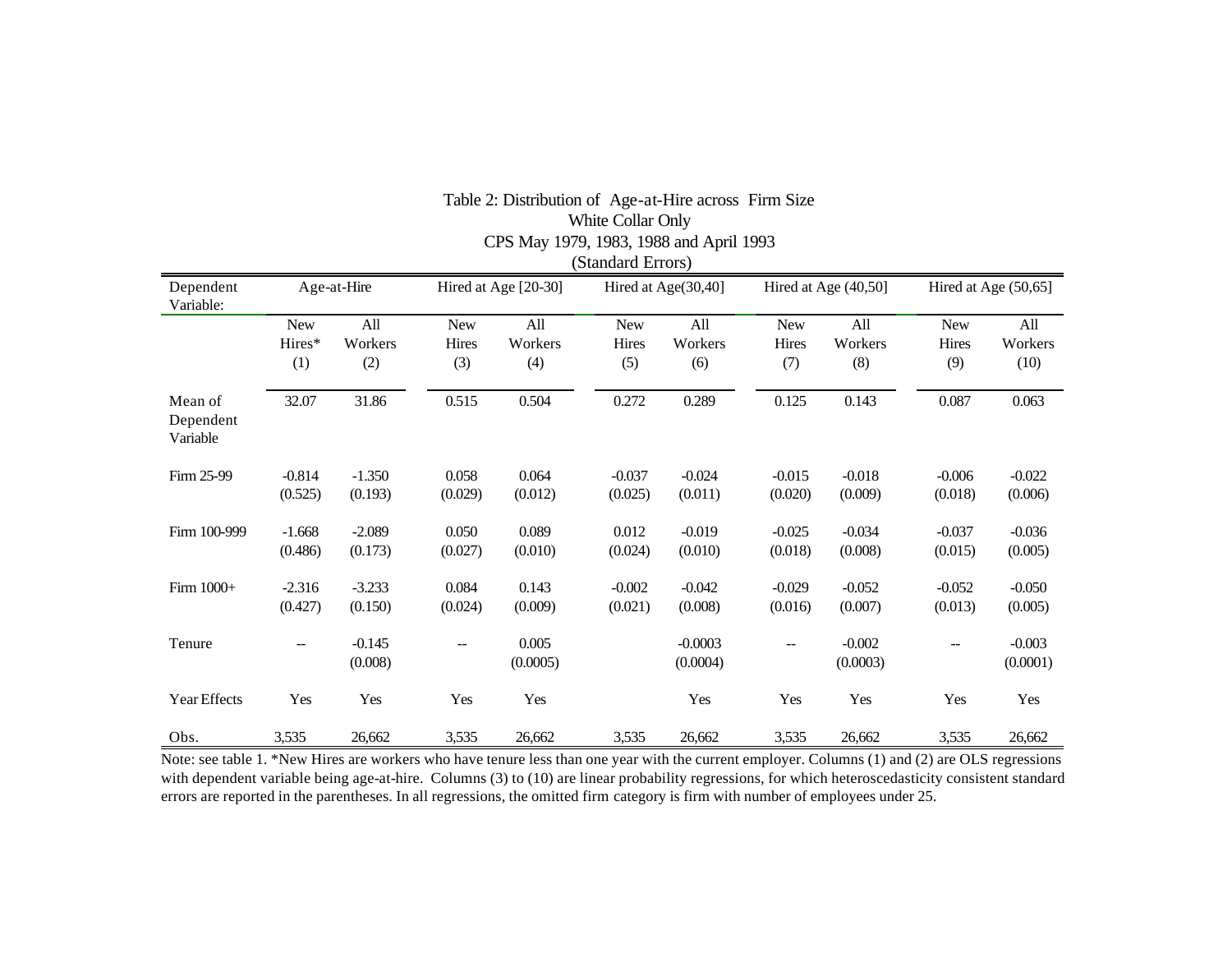|                                  |                      |                       |                            |                       | (Standard Errors)          |                       |                            |                       |                                   |                        |  |
|----------------------------------|----------------------|-----------------------|----------------------------|-----------------------|----------------------------|-----------------------|----------------------------|-----------------------|-----------------------------------|------------------------|--|
| Dependent<br>Variable:           |                      | Age-at-Hire           |                            | Hired at Age [20-30]  |                            | Hired at Age(30,40]   |                            | Hired at Age (40,50]  |                                   | Hired at Age (50,65]   |  |
|                                  | New<br>Hires*<br>(1) | All<br>Workers<br>(2) | <b>New</b><br>Hires<br>(3) | All<br>Workers<br>(4) | <b>New</b><br>Hires<br>(5) | All<br>Workers<br>(6) | <b>New</b><br>Hires<br>(7) | All<br>Workers<br>(8) | <b>New</b><br><b>Hires</b><br>(9) | All<br>Workers<br>(10) |  |
| Mean of<br>Dependent<br>Variable | 32.07                | 31.86                 | 0.515                      | 0.504                 | 0.272                      | 0.289                 | 0.125                      | 0.143                 | 0.087                             | 0.063                  |  |
| Firm 25-99                       | $-0.814$<br>(0.525)  | $-1.350$<br>(0.193)   | 0.058<br>(0.029)           | 0.064<br>(0.012)      | $-0.037$<br>(0.025)        | $-0.024$<br>(0.011)   | $-0.015$<br>(0.020)        | $-0.018$<br>(0.009)   | $-0.006$<br>(0.018)               | $-0.022$<br>(0.006)    |  |
| Firm 100-999                     | $-1.668$<br>(0.486)  | $-2.089$<br>(0.173)   | 0.050<br>(0.027)           | 0.089<br>(0.010)      | 0.012<br>(0.024)           | $-0.019$<br>(0.010)   | $-0.025$<br>(0.018)        | $-0.034$<br>(0.008)   | $-0.037$<br>(0.015)               | $-0.036$<br>(0.005)    |  |
| Firm 1000+                       | $-2.316$<br>(0.427)  | $-3.233$<br>(0.150)   | 0.084<br>(0.024)           | 0.143<br>(0.009)      | $-0.002$<br>(0.021)        | $-0.042$<br>(0.008)   | $-0.029$<br>(0.016)        | $-0.052$<br>(0.007)   | $-0.052$<br>(0.013)               | $-0.050$<br>(0.005)    |  |
| Tenure                           | --                   | $-0.145$<br>(0.008)   | --                         | 0.005<br>(0.0005)     |                            | $-0.0003$<br>(0.0004) | --                         | $-0.002$<br>(0.0003)  | --                                | $-0.003$<br>(0.0001)   |  |
| Year Effects                     | Yes                  | Yes                   | Yes                        | Yes                   |                            | Yes                   | Yes                        | Yes                   | Yes                               | Yes                    |  |
| Obs.                             | 3,535                | 26,662                | 3,535                      | 26,662                | 3,535                      | 26,662                | 3,535                      | 26,662                | 3,535                             | 26,662                 |  |

# Table 2: Distribution of Age-at-Hire across Firm Size White Collar Only CPS May 1979, 1983, 1988 and April 1993

Note: see table 1. \*New Hires are workers who have tenure less than one year with the current employer. Columns (1) and (2) are OLS regressions with dependent variable being age-at-hire. Columns (3) to (10) are linear probability regressions, for which heteroscedasticity consistent standard errors are reported in the parentheses. In all regressions, the omitted firm category is firm with number of employees under 25.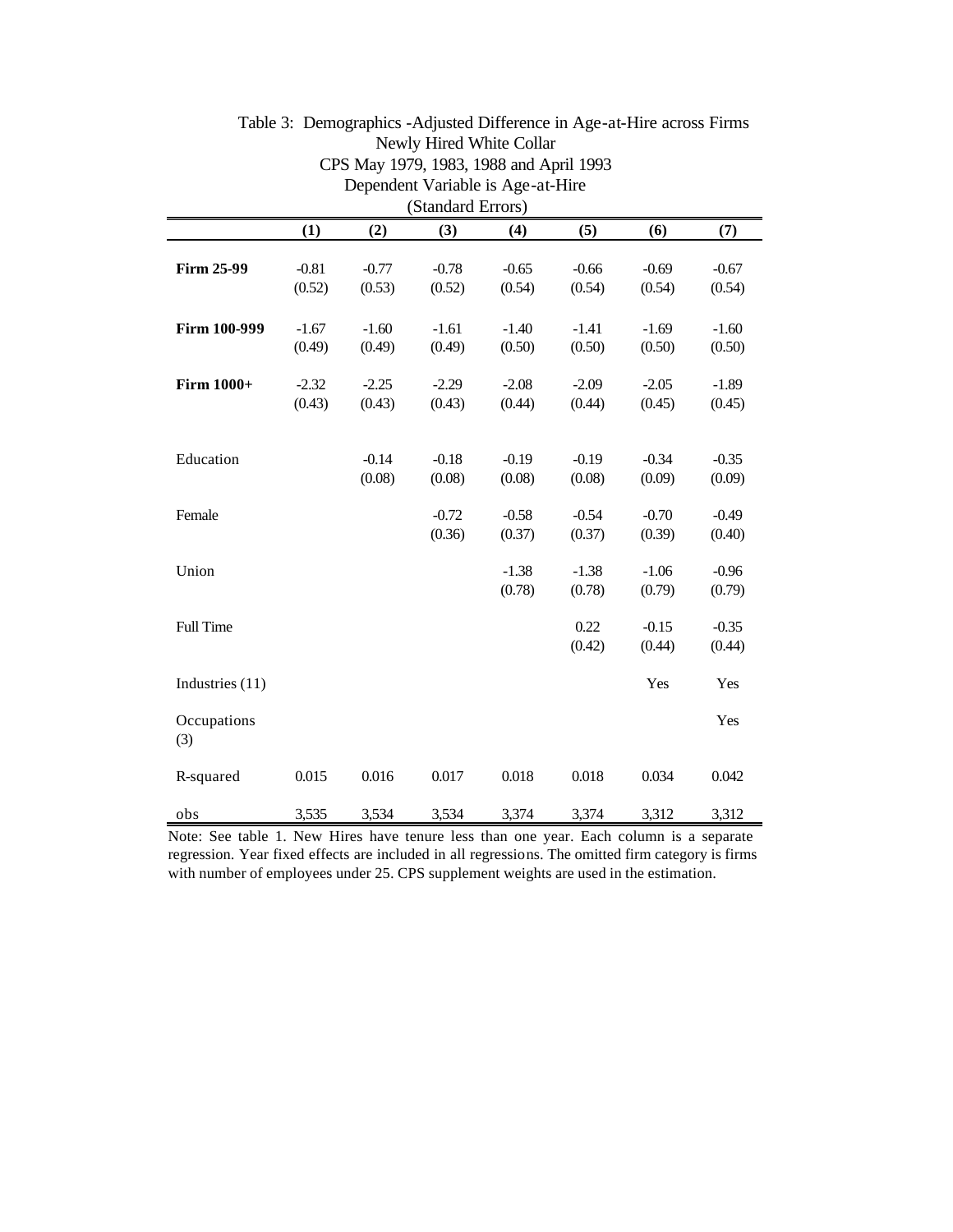| Dependent Variable is Age-at-Hire |                   |                   |                   |                   |                   |                   |                   |  |
|-----------------------------------|-------------------|-------------------|-------------------|-------------------|-------------------|-------------------|-------------------|--|
| (Standard Errors)                 |                   |                   |                   |                   |                   |                   |                   |  |
|                                   | (1)               | (2)               | (3)               | (4)               | (5)               | (6)               | (7)               |  |
| <b>Firm 25-99</b>                 | $-0.81$<br>(0.52) | $-0.77$<br>(0.53) | $-0.78$<br>(0.52) | $-0.65$<br>(0.54) | $-0.66$<br>(0.54) | $-0.69$<br>(0.54) | $-0.67$<br>(0.54) |  |
| Firm 100-999                      | $-1.67$<br>(0.49) | $-1.60$<br>(0.49) | $-1.61$<br>(0.49) | $-1.40$<br>(0.50) | $-1.41$<br>(0.50) | $-1.69$<br>(0.50) | $-1.60$<br>(0.50) |  |
| <b>Firm 1000+</b>                 | $-2.32$<br>(0.43) | $-2.25$<br>(0.43) | $-2.29$<br>(0.43) | $-2.08$<br>(0.44) | $-2.09$<br>(0.44) | $-2.05$<br>(0.45) | $-1.89$<br>(0.45) |  |
| Education                         |                   | $-0.14$<br>(0.08) | $-0.18$<br>(0.08) | $-0.19$<br>(0.08) | $-0.19$<br>(0.08) | $-0.34$<br>(0.09) | $-0.35$<br>(0.09) |  |
| Female                            |                   |                   | $-0.72$<br>(0.36) | $-0.58$<br>(0.37) | $-0.54$<br>(0.37) | $-0.70$<br>(0.39) | $-0.49$<br>(0.40) |  |
| Union                             |                   |                   |                   | $-1.38$<br>(0.78) | $-1.38$<br>(0.78) | $-1.06$<br>(0.79) | $-0.96$<br>(0.79) |  |
| <b>Full Time</b>                  |                   |                   |                   |                   | 0.22<br>(0.42)    | $-0.15$<br>(0.44) | $-0.35$<br>(0.44) |  |
| Industries (11)                   |                   |                   |                   |                   |                   | Yes               | Yes               |  |
| Occupations<br>(3)                |                   |                   |                   |                   |                   |                   | Yes               |  |
| R-squared                         | 0.015             | 0.016             | 0.017             | 0.018             | 0.018             | 0.034             | 0.042             |  |
| obs                               | 3,535             | 3,534             | 3,534             | 3,374             | 3,374             | 3,312             | 3,312             |  |

# Table 3: Demographics -Adjusted Difference in Age-at-Hire across Firms Newly Hired White Collar CPS May 1979, 1983, 1988 and April 1993

Note: See table 1. New Hires have tenure less than one year. Each column is a separate regression. Year fixed effects are included in all regressions. The omitted firm category is firms with number of employees under 25. CPS supplement weights are used in the estimation.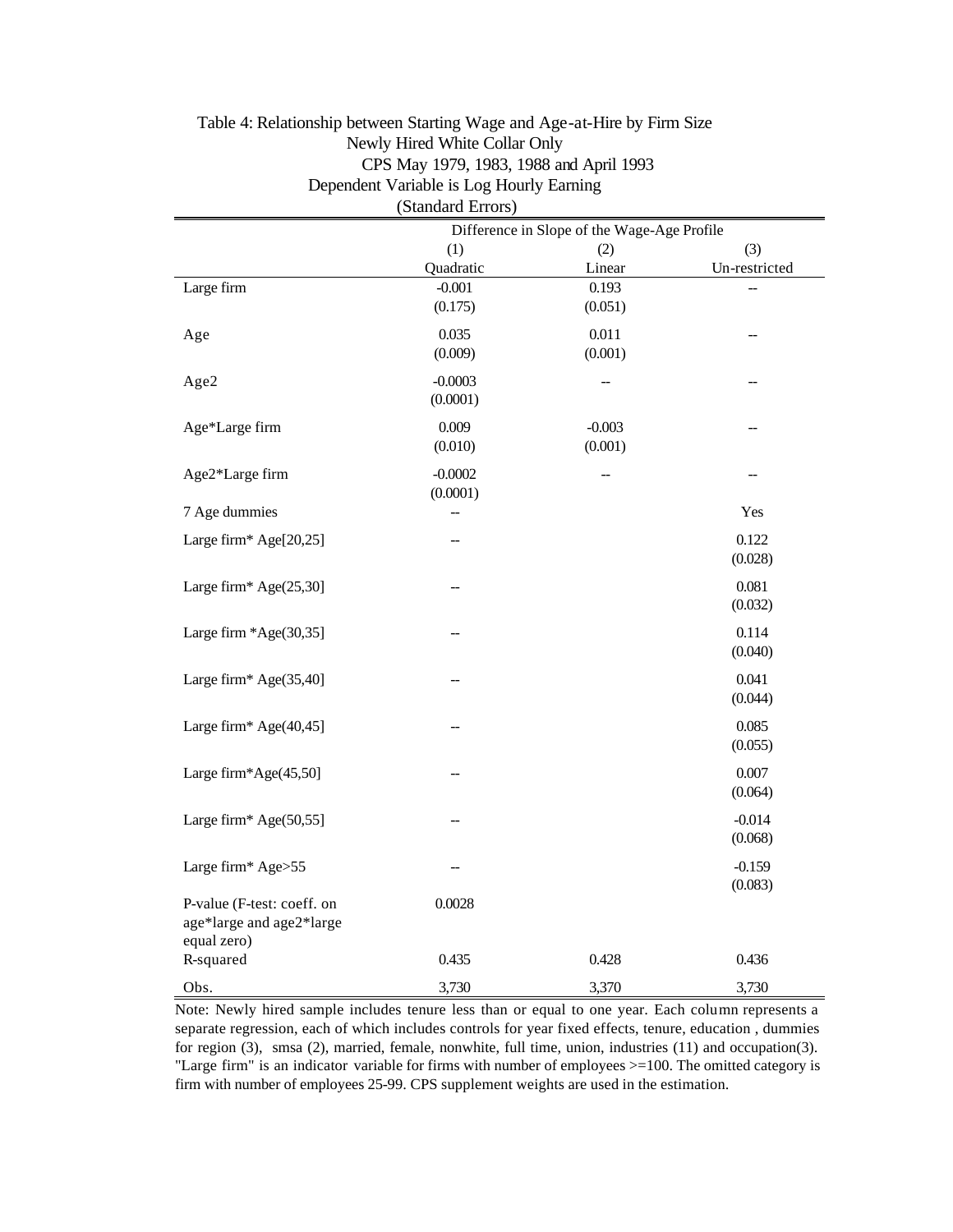|                            | (Standard Errors)                           |          |               |  |  |  |
|----------------------------|---------------------------------------------|----------|---------------|--|--|--|
|                            | Difference in Slope of the Wage-Age Profile |          |               |  |  |  |
|                            | (1)                                         | (2)      | (3)           |  |  |  |
|                            | Quadratic                                   | Linear   | Un-restricted |  |  |  |
| Large firm                 | $-0.001$                                    | 0.193    |               |  |  |  |
|                            | (0.175)                                     | (0.051)  |               |  |  |  |
| Age                        | 0.035                                       | 0.011    |               |  |  |  |
|                            | (0.009)                                     | (0.001)  |               |  |  |  |
|                            |                                             |          |               |  |  |  |
| Age2                       | $-0.0003$                                   | --       |               |  |  |  |
|                            | (0.0001)                                    |          |               |  |  |  |
| Age*Large firm             | 0.009                                       | $-0.003$ |               |  |  |  |
|                            | (0.010)                                     | (0.001)  |               |  |  |  |
| Age2*Large firm            | $-0.0002$                                   | --       |               |  |  |  |
|                            | (0.0001)                                    |          |               |  |  |  |
| 7 Age dummies              | --                                          |          | Yes           |  |  |  |
|                            |                                             |          |               |  |  |  |
| Large firm* Age[20,25]     |                                             |          | 0.122         |  |  |  |
|                            |                                             |          | (0.028)       |  |  |  |
| Large firm* Age(25,30]     |                                             |          | 0.081         |  |  |  |
|                            |                                             |          | (0.032)       |  |  |  |
| Large firm *Age(30,35]     |                                             |          | 0.114         |  |  |  |
|                            |                                             |          | (0.040)       |  |  |  |
|                            |                                             |          |               |  |  |  |
| Large firm* Age(35,40]     |                                             |          | 0.041         |  |  |  |
|                            |                                             |          | (0.044)       |  |  |  |
| Large firm* Age(40,45]     |                                             |          | 0.085         |  |  |  |
|                            |                                             |          | (0.055)       |  |  |  |
|                            |                                             |          |               |  |  |  |
| Large firm*Age(45,50]      |                                             |          | 0.007         |  |  |  |
|                            |                                             |          | (0.064)       |  |  |  |
| Large firm* Age(50,55]     |                                             |          | $-0.014$      |  |  |  |
|                            |                                             |          | (0.068)       |  |  |  |
| Large firm* Age>55         |                                             |          | $-0.159$      |  |  |  |
|                            |                                             |          | (0.083)       |  |  |  |
| P-value (F-test: coeff. on | 0.0028                                      |          |               |  |  |  |
| age*large and age2*large   |                                             |          |               |  |  |  |
| equal zero)                |                                             |          |               |  |  |  |
| R-squared                  | 0.435                                       | 0.428    | 0.436         |  |  |  |
|                            |                                             |          |               |  |  |  |
| Obs.                       | 3,730                                       | 3,370    | 3,730         |  |  |  |

# Table 4: Relationship between Starting Wage and Age-at-Hire by Firm Size Newly Hired White Collar Only CPS May 1979, 1983, 1988 and April 1993 Dependent Variable is Log Hourly Earning

Note: Newly hired sample includes tenure less than or equal to one year. Each column represents a separate regression, each of which includes controls for year fixed effects, tenure, education , dummies for region (3), smsa (2), married, female, nonwhite, full time, union, industries (11) and occupation(3). "Large firm" is an indicator variable for firms with number of employees >=100. The omitted category is firm with number of employees 25-99. CPS supplement weights are used in the estimation.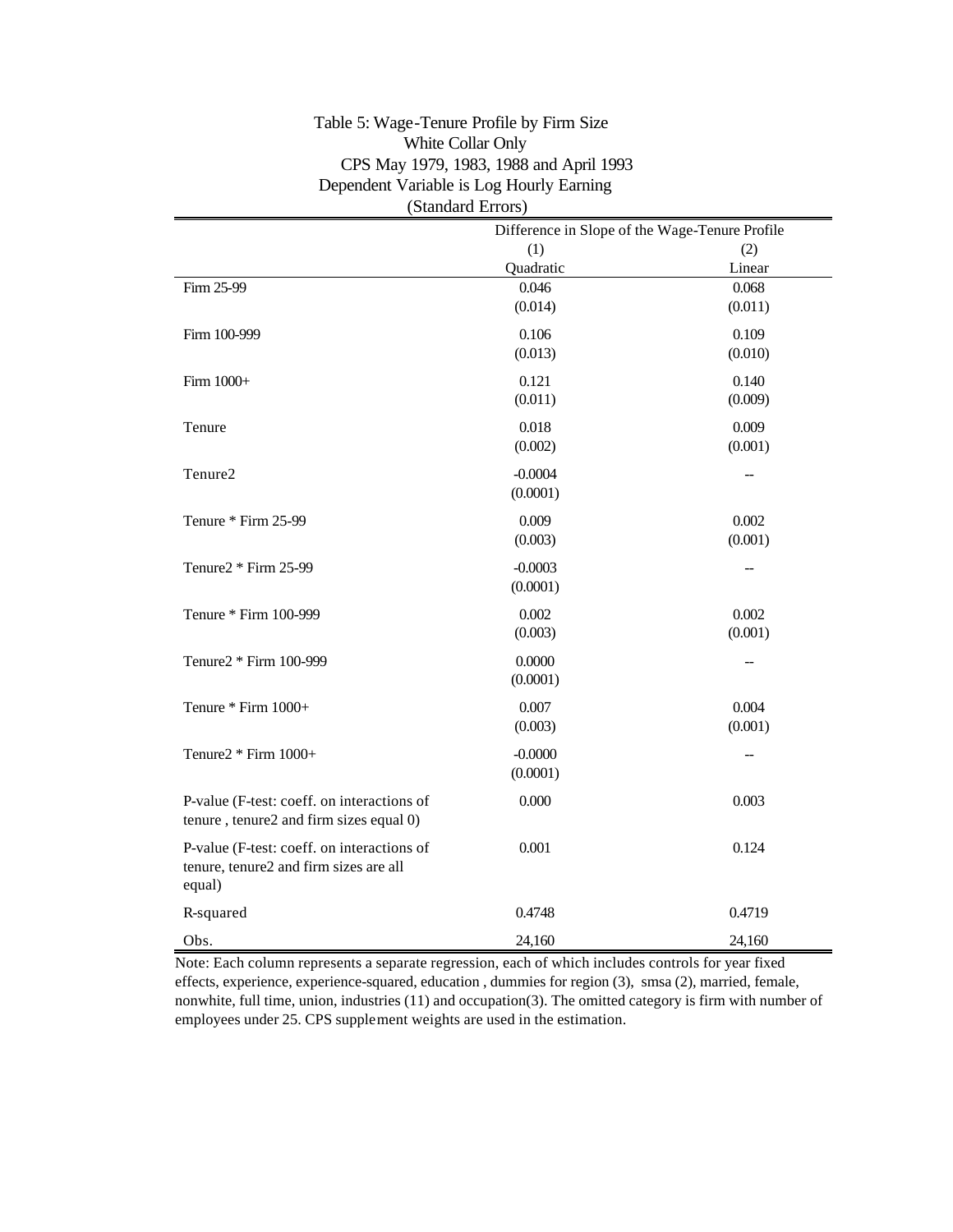### Table 5: Wage-Tenure Profile by Firm Size White Collar Only CPS May 1979, 1983, 1988 and April 1993 Dependent Variable is Log Hourly Earning (Standard Errors)

|                                                                                      | Difference in Slope of the Wage-Tenure Profile |         |  |  |  |
|--------------------------------------------------------------------------------------|------------------------------------------------|---------|--|--|--|
|                                                                                      | (1)<br>(2)                                     |         |  |  |  |
|                                                                                      | Quadratic                                      | Linear  |  |  |  |
| Firm 25-99                                                                           | 0.046                                          | 0.068   |  |  |  |
|                                                                                      | (0.014)                                        | (0.011) |  |  |  |
| Firm 100-999                                                                         | 0.106                                          | 0.109   |  |  |  |
|                                                                                      | (0.013)                                        | (0.010) |  |  |  |
| Firm 1000+                                                                           | 0.121                                          | 0.140   |  |  |  |
|                                                                                      | (0.011)                                        | (0.009) |  |  |  |
| Tenure                                                                               | 0.018                                          | 0.009   |  |  |  |
|                                                                                      | (0.002)                                        | (0.001) |  |  |  |
| Tenure2                                                                              | $-0.0004$                                      |         |  |  |  |
|                                                                                      | (0.0001)                                       |         |  |  |  |
| Tenure * Firm 25-99                                                                  | 0.009                                          | 0.002   |  |  |  |
|                                                                                      | (0.003)                                        | (0.001) |  |  |  |
| Tenure2 * Firm 25-99                                                                 | $-0.0003$                                      |         |  |  |  |
|                                                                                      | (0.0001)                                       |         |  |  |  |
| Tenure * Firm 100-999                                                                | 0.002                                          | 0.002   |  |  |  |
|                                                                                      | (0.003)                                        | (0.001) |  |  |  |
| Tenure2 * Firm 100-999                                                               | 0.0000                                         | --      |  |  |  |
|                                                                                      | (0.0001)                                       |         |  |  |  |
| Tenure * Firm 1000+                                                                  | 0.007                                          | 0.004   |  |  |  |
|                                                                                      | (0.003)                                        | (0.001) |  |  |  |
| Tenure2 * Firm 1000+                                                                 | $-0.0000$                                      |         |  |  |  |
|                                                                                      | (0.0001)                                       |         |  |  |  |
| P-value (F-test: coeff. on interactions of                                           | 0.000                                          | 0.003   |  |  |  |
| tenure, tenure2 and firm sizes equal 0)                                              |                                                |         |  |  |  |
| P-value (F-test: coeff. on interactions of<br>tenure, tenure2 and firm sizes are all | 0.001                                          | 0.124   |  |  |  |
| equal)                                                                               |                                                |         |  |  |  |
| R-squared                                                                            | 0.4748                                         | 0.4719  |  |  |  |
| Obs.                                                                                 | 24,160                                         | 24,160  |  |  |  |

Note: Each column represents a separate regression, each of which includes controls for year fixed effects, experience, experience-squared, education , dummies for region (3), smsa (2), married, female, nonwhite, full time, union, industries (11) and occupation(3). The omitted category is firm with number of employees under 25. CPS supplement weights are used in the estimation.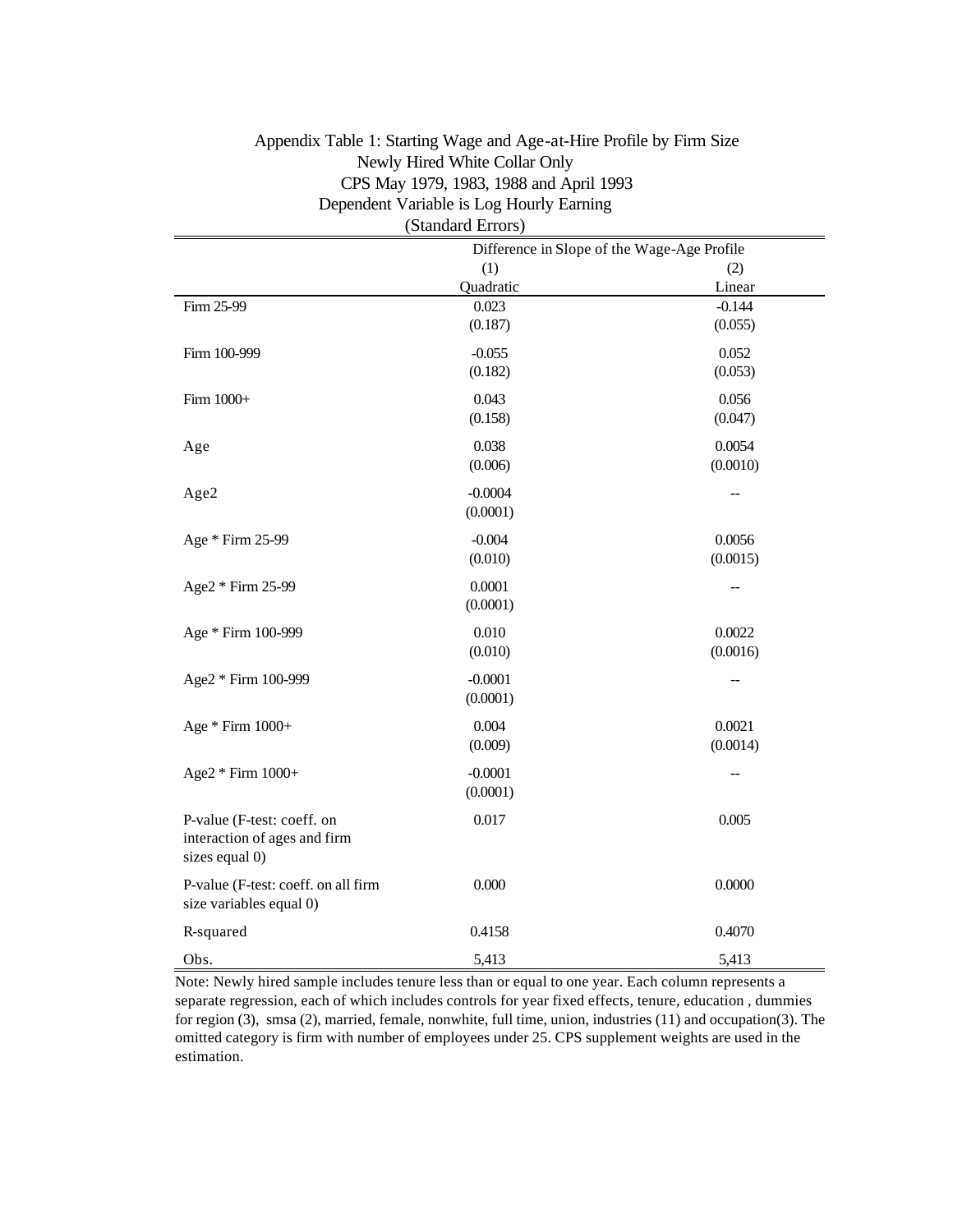| (Standard Errors)                   |                                             |          |  |  |  |  |
|-------------------------------------|---------------------------------------------|----------|--|--|--|--|
|                                     | Difference in Slope of the Wage-Age Profile |          |  |  |  |  |
|                                     | (1)                                         | (2)      |  |  |  |  |
|                                     | Quadratic                                   | Linear   |  |  |  |  |
| Firm 25-99                          | 0.023                                       | $-0.144$ |  |  |  |  |
|                                     | (0.187)                                     | (0.055)  |  |  |  |  |
| Firm 100-999                        | $-0.055$                                    | 0.052    |  |  |  |  |
|                                     | (0.182)                                     | (0.053)  |  |  |  |  |
| Firm 1000+                          | 0.043                                       | 0.056    |  |  |  |  |
|                                     | (0.158)                                     | (0.047)  |  |  |  |  |
| Age                                 | 0.038                                       | 0.0054   |  |  |  |  |
|                                     | (0.006)                                     | (0.0010) |  |  |  |  |
| Age2                                | $-0.0004$                                   | --       |  |  |  |  |
|                                     | (0.0001)                                    |          |  |  |  |  |
| Age * Firm 25-99                    | $-0.004$                                    | 0.0056   |  |  |  |  |
|                                     | (0.010)                                     | (0.0015) |  |  |  |  |
| Age2 * Firm 25-99                   | 0.0001                                      |          |  |  |  |  |
|                                     | (0.0001)                                    |          |  |  |  |  |
| Age * Firm 100-999                  | 0.010                                       | 0.0022   |  |  |  |  |
|                                     | (0.010)                                     | (0.0016) |  |  |  |  |
| Age2 * Firm 100-999                 | $-0.0001$                                   |          |  |  |  |  |
|                                     | (0.0001)                                    |          |  |  |  |  |
| Age * Firm 1000+                    | 0.004                                       | 0.0021   |  |  |  |  |
|                                     | (0.009)                                     | (0.0014) |  |  |  |  |
| Age2 * Firm 1000+                   | $-0.0001$                                   | --       |  |  |  |  |
|                                     | (0.0001)                                    |          |  |  |  |  |
| P-value (F-test: coeff. on          | 0.017                                       | 0.005    |  |  |  |  |
| interaction of ages and firm        |                                             |          |  |  |  |  |
| sizes equal 0)                      |                                             |          |  |  |  |  |
| P-value (F-test: coeff. on all firm | 0.000                                       | 0.0000   |  |  |  |  |
| size variables equal 0)             |                                             |          |  |  |  |  |
| R-squared                           | 0.4158                                      | 0.4070   |  |  |  |  |
| Obs.                                | 5,413                                       | 5,413    |  |  |  |  |

# Appendix Table 1: Starting Wage and Age-at-Hire Profile by Firm Size Newly Hired White Collar Only CPS May 1979, 1983, 1988 and April 1993 Dependent Variable is Log Hourly Earning

Note: Newly hired sample includes tenure less than or equal to one year. Each column represents a separate regression, each of which includes controls for year fixed effects, tenure, education , dummies for region (3), smsa (2), married, female, nonwhite, full time, union, industries (11) and occupation(3). The omitted category is firm with number of employees under 25. CPS supplement weights are used in the estimation.